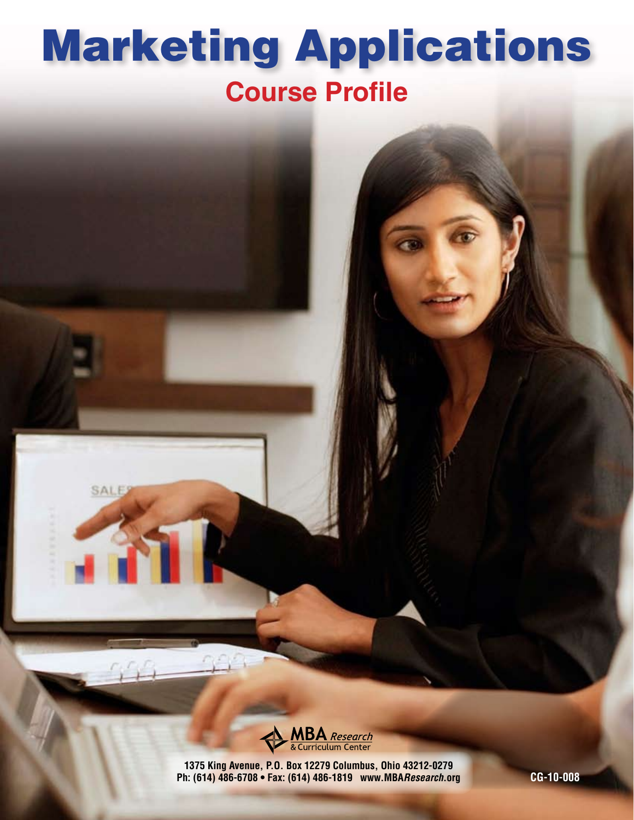# Marketing Applications **Course Profile**



SALE

K

**1375 King Avenue, P.O. Box 12279 Columbus, Ohio 43212-0279 Ph: (614) 486-6708 • Fax: (614) 486-1819 www.MBAResearch.org**

**CG-10-008**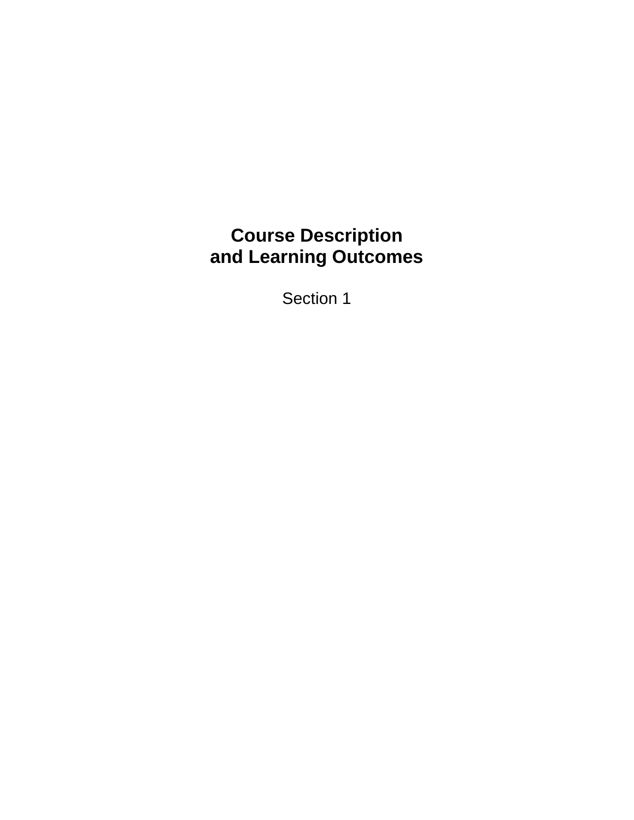## **Course Description and Learning Outcomes**

Section 1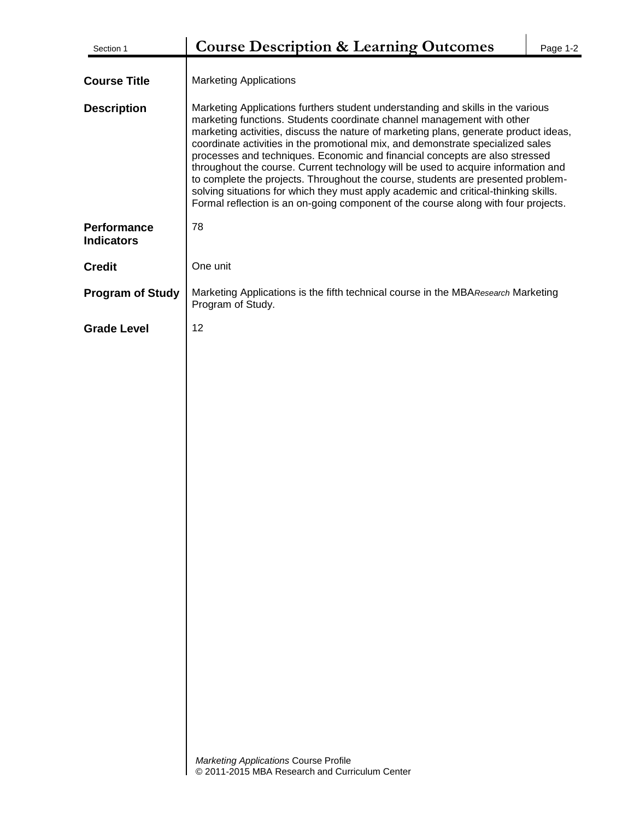| Section 1                               | <b>Course Description &amp; Learning Outcomes</b>                                                                                                                                                                                                                                                                                                                                                                                                                                                                                                                                                                                                                                                                                                                         | Page 1-2 |
|-----------------------------------------|---------------------------------------------------------------------------------------------------------------------------------------------------------------------------------------------------------------------------------------------------------------------------------------------------------------------------------------------------------------------------------------------------------------------------------------------------------------------------------------------------------------------------------------------------------------------------------------------------------------------------------------------------------------------------------------------------------------------------------------------------------------------------|----------|
| <b>Course Title</b>                     | <b>Marketing Applications</b>                                                                                                                                                                                                                                                                                                                                                                                                                                                                                                                                                                                                                                                                                                                                             |          |
| <b>Description</b>                      | Marketing Applications furthers student understanding and skills in the various<br>marketing functions. Students coordinate channel management with other<br>marketing activities, discuss the nature of marketing plans, generate product ideas,<br>coordinate activities in the promotional mix, and demonstrate specialized sales<br>processes and techniques. Economic and financial concepts are also stressed<br>throughout the course. Current technology will be used to acquire information and<br>to complete the projects. Throughout the course, students are presented problem-<br>solving situations for which they must apply academic and critical-thinking skills.<br>Formal reflection is an on-going component of the course along with four projects. |          |
| <b>Performance</b><br><b>Indicators</b> | 78                                                                                                                                                                                                                                                                                                                                                                                                                                                                                                                                                                                                                                                                                                                                                                        |          |
| <b>Credit</b>                           | One unit                                                                                                                                                                                                                                                                                                                                                                                                                                                                                                                                                                                                                                                                                                                                                                  |          |
| <b>Program of Study</b>                 | Marketing Applications is the fifth technical course in the MBAResearch Marketing<br>Program of Study.                                                                                                                                                                                                                                                                                                                                                                                                                                                                                                                                                                                                                                                                    |          |
| <b>Grade Level</b>                      | 12                                                                                                                                                                                                                                                                                                                                                                                                                                                                                                                                                                                                                                                                                                                                                                        |          |
|                                         |                                                                                                                                                                                                                                                                                                                                                                                                                                                                                                                                                                                                                                                                                                                                                                           |          |
|                                         | Marketing Applications Course Profile<br>© 2011-2015 MBA Research and Curriculum Center                                                                                                                                                                                                                                                                                                                                                                                                                                                                                                                                                                                                                                                                                   |          |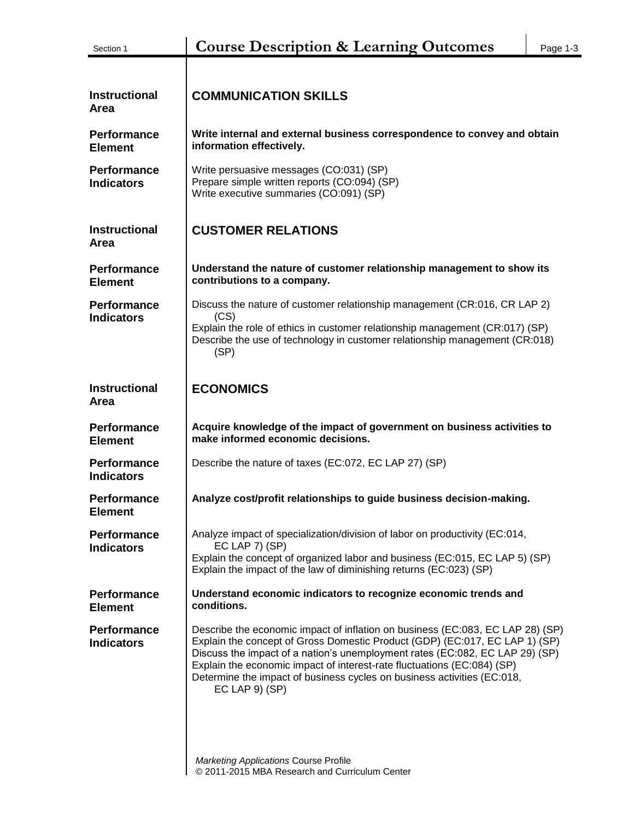| Section 1                               | <b>Course Description &amp; Learning Outcomes</b>                                                                                                                                                                                                                                                                                                                                                                         | Page 1-3 |
|-----------------------------------------|---------------------------------------------------------------------------------------------------------------------------------------------------------------------------------------------------------------------------------------------------------------------------------------------------------------------------------------------------------------------------------------------------------------------------|----------|
|                                         |                                                                                                                                                                                                                                                                                                                                                                                                                           |          |
| <b>Instructional</b><br><b>Area</b>     | <b>COMMUNICATION SKILLS</b>                                                                                                                                                                                                                                                                                                                                                                                               |          |
| <b>Performance</b><br><b>Element</b>    | Write internal and external business correspondence to convey and obtain<br>information effectively.                                                                                                                                                                                                                                                                                                                      |          |
| <b>Performance</b><br><b>Indicators</b> | Write persuasive messages (CO:031) (SP)<br>Prepare simple written reports (CO:094) (SP)<br>Write executive summaries (CO:091) (SP)                                                                                                                                                                                                                                                                                        |          |
| <b>Instructional</b><br>Area            | <b>CUSTOMER RELATIONS</b>                                                                                                                                                                                                                                                                                                                                                                                                 |          |
| <b>Performance</b><br><b>Element</b>    | Understand the nature of customer relationship management to show its<br>contributions to a company.                                                                                                                                                                                                                                                                                                                      |          |
| <b>Performance</b><br><b>Indicators</b> | Discuss the nature of customer relationship management (CR:016, CR LAP 2)<br>(CS)<br>Explain the role of ethics in customer relationship management (CR:017) (SP)<br>Describe the use of technology in customer relationship management (CR:018)<br>(SP)                                                                                                                                                                  |          |
| <b>Instructional</b><br>Area            | <b>ECONOMICS</b>                                                                                                                                                                                                                                                                                                                                                                                                          |          |
| <b>Performance</b><br><b>Element</b>    | Acquire knowledge of the impact of government on business activities to<br>make informed economic decisions.                                                                                                                                                                                                                                                                                                              |          |
| <b>Performance</b><br><b>Indicators</b> | Describe the nature of taxes (EC:072, EC LAP 27) (SP)                                                                                                                                                                                                                                                                                                                                                                     |          |
| <b>Performance</b><br><b>Element</b>    | Analyze cost/profit relationships to guide business decision-making.                                                                                                                                                                                                                                                                                                                                                      |          |
| Performance<br><b>Indicators</b>        | Analyze impact of specialization/division of labor on productivity (EC:014,<br>EC LAP 7) (SP)<br>Explain the concept of organized labor and business (EC:015, EC LAP 5) (SP)<br>Explain the impact of the law of diminishing returns (EC:023) (SP)                                                                                                                                                                        |          |
| <b>Performance</b><br><b>Element</b>    | Understand economic indicators to recognize economic trends and<br>conditions.                                                                                                                                                                                                                                                                                                                                            |          |
| <b>Performance</b><br><b>Indicators</b> | Describe the economic impact of inflation on business (EC:083, EC LAP 28) (SP)<br>Explain the concept of Gross Domestic Product (GDP) (EC:017, EC LAP 1) (SP)<br>Discuss the impact of a nation's unemployment rates (EC:082, EC LAP 29) (SP)<br>Explain the economic impact of interest-rate fluctuations (EC:084) (SP)<br>Determine the impact of business cycles on business activities (EC:018,<br>$EC$ LAP $9)$ (SP) |          |
|                                         | <b>Marketing Applications Course Profile</b>                                                                                                                                                                                                                                                                                                                                                                              |          |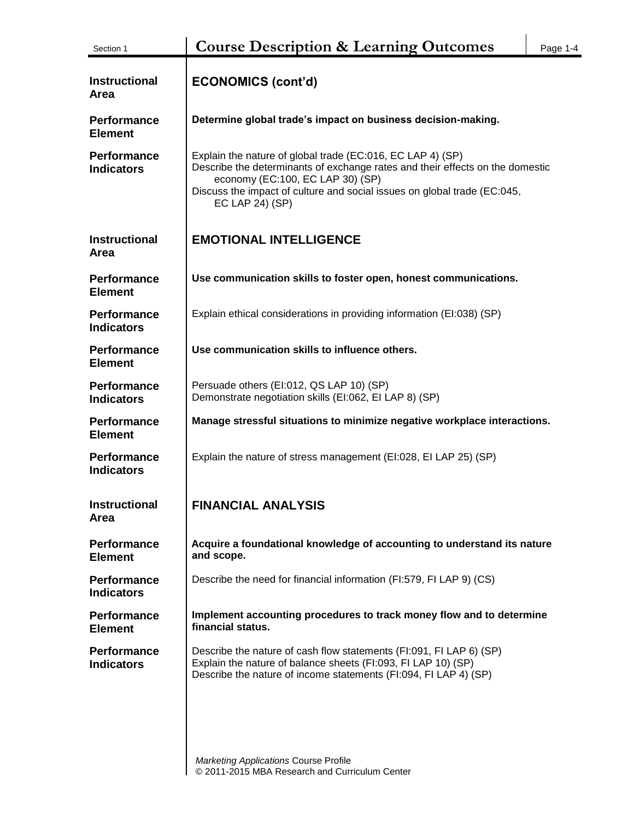| Section 1                               | <b>Course Description &amp; Learning Outcomes</b>                                                                                                                                                                                                                              | Page 1-4 |
|-----------------------------------------|--------------------------------------------------------------------------------------------------------------------------------------------------------------------------------------------------------------------------------------------------------------------------------|----------|
| <b>Instructional</b><br><b>Area</b>     | <b>ECONOMICS (cont'd)</b>                                                                                                                                                                                                                                                      |          |
| <b>Performance</b><br><b>Element</b>    | Determine global trade's impact on business decision-making.                                                                                                                                                                                                                   |          |
| <b>Performance</b><br><b>Indicators</b> | Explain the nature of global trade (EC:016, EC LAP 4) (SP)<br>Describe the determinants of exchange rates and their effects on the domestic<br>economy (EC:100, EC LAP 30) (SP)<br>Discuss the impact of culture and social issues on global trade (EC:045,<br>EC LAP 24) (SP) |          |
| <b>Instructional</b><br><b>Area</b>     | <b>EMOTIONAL INTELLIGENCE</b>                                                                                                                                                                                                                                                  |          |
| <b>Performance</b><br><b>Element</b>    | Use communication skills to foster open, honest communications.                                                                                                                                                                                                                |          |
| <b>Performance</b><br><b>Indicators</b> | Explain ethical considerations in providing information (EI:038) (SP)                                                                                                                                                                                                          |          |
| <b>Performance</b><br><b>Element</b>    | Use communication skills to influence others.                                                                                                                                                                                                                                  |          |
| <b>Performance</b><br><b>Indicators</b> | Persuade others (EI:012, QS LAP 10) (SP)<br>Demonstrate negotiation skills (EI:062, EI LAP 8) (SP)                                                                                                                                                                             |          |
| <b>Performance</b><br><b>Element</b>    | Manage stressful situations to minimize negative workplace interactions.                                                                                                                                                                                                       |          |
| <b>Performance</b><br><b>Indicators</b> | Explain the nature of stress management (EI:028, EI LAP 25) (SP)                                                                                                                                                                                                               |          |
| <b>Instructional</b><br>Area            | <b>FINANCIAL ANALYSIS</b>                                                                                                                                                                                                                                                      |          |
| <b>Performance</b><br><b>Element</b>    | Acquire a foundational knowledge of accounting to understand its nature<br>and scope.                                                                                                                                                                                          |          |
| <b>Performance</b><br><b>Indicators</b> | Describe the need for financial information (FI:579, FI LAP 9) (CS)                                                                                                                                                                                                            |          |
| <b>Performance</b><br><b>Element</b>    | Implement accounting procedures to track money flow and to determine<br>financial status.                                                                                                                                                                                      |          |
| <b>Performance</b><br><b>Indicators</b> | Describe the nature of cash flow statements (FI:091, FI LAP 6) (SP)<br>Explain the nature of balance sheets (FI:093, FI LAP 10) (SP)<br>Describe the nature of income statements (FI:094, FI LAP 4) (SP)                                                                       |          |
|                                         |                                                                                                                                                                                                                                                                                |          |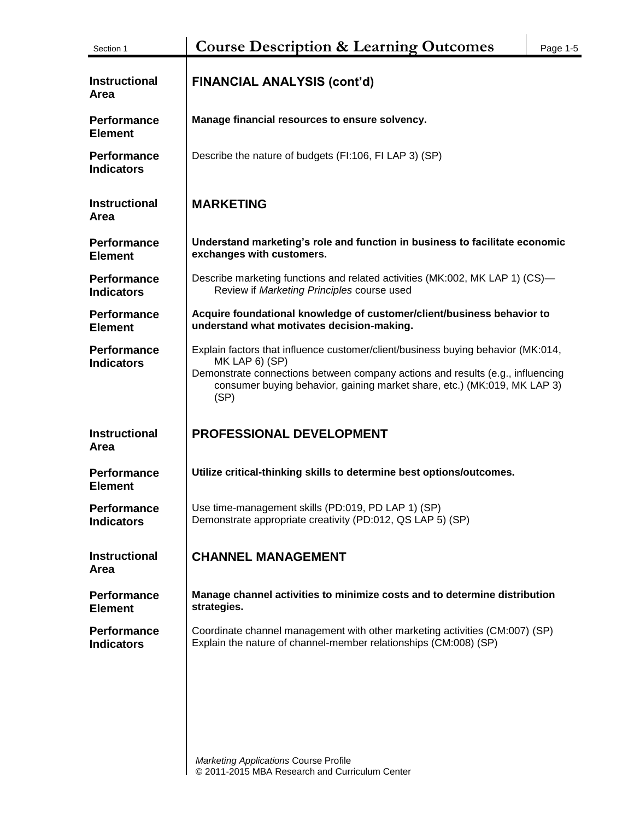| Section 1                               | <b>Course Description &amp; Learning Outcomes</b>                                                                                                                                                                                                                               | Page 1-5 |
|-----------------------------------------|---------------------------------------------------------------------------------------------------------------------------------------------------------------------------------------------------------------------------------------------------------------------------------|----------|
| <b>Instructional</b><br><b>Area</b>     | <b>FINANCIAL ANALYSIS (cont'd)</b>                                                                                                                                                                                                                                              |          |
| <b>Performance</b><br><b>Element</b>    | Manage financial resources to ensure solvency.                                                                                                                                                                                                                                  |          |
| <b>Performance</b><br><b>Indicators</b> | Describe the nature of budgets (FI:106, FI LAP 3) (SP)                                                                                                                                                                                                                          |          |
| <b>Instructional</b><br><b>Area</b>     | <b>MARKETING</b>                                                                                                                                                                                                                                                                |          |
| <b>Performance</b><br><b>Element</b>    | Understand marketing's role and function in business to facilitate economic<br>exchanges with customers.                                                                                                                                                                        |          |
| Performance<br><b>Indicators</b>        | Describe marketing functions and related activities (MK:002, MK LAP 1) (CS)—<br>Review if Marketing Principles course used                                                                                                                                                      |          |
| <b>Performance</b><br><b>Element</b>    | Acquire foundational knowledge of customer/client/business behavior to<br>understand what motivates decision-making.                                                                                                                                                            |          |
| <b>Performance</b><br><b>Indicators</b> | Explain factors that influence customer/client/business buying behavior (MK:014,<br><b>MK LAP 6) (SP)</b><br>Demonstrate connections between company actions and results (e.g., influencing<br>consumer buying behavior, gaining market share, etc.) (MK:019, MK LAP 3)<br>(SP) |          |
| <b>Instructional</b><br><b>Area</b>     | <b>PROFESSIONAL DEVELOPMENT</b>                                                                                                                                                                                                                                                 |          |
| <b>Performance</b><br><b>Element</b>    | Utilize critical-thinking skills to determine best options/outcomes.                                                                                                                                                                                                            |          |
| Performance<br><b>Indicators</b>        | Use time-management skills (PD:019, PD LAP 1) (SP)<br>Demonstrate appropriate creativity (PD:012, QS LAP 5) (SP)                                                                                                                                                                |          |
| <b>Instructional</b><br>Area            | <b>CHANNEL MANAGEMENT</b>                                                                                                                                                                                                                                                       |          |
| <b>Performance</b><br><b>Element</b>    | Manage channel activities to minimize costs and to determine distribution<br>strategies.                                                                                                                                                                                        |          |
| <b>Performance</b><br><b>Indicators</b> | Coordinate channel management with other marketing activities (CM:007) (SP)<br>Explain the nature of channel-member relationships (CM:008) (SP)                                                                                                                                 |          |
|                                         |                                                                                                                                                                                                                                                                                 |          |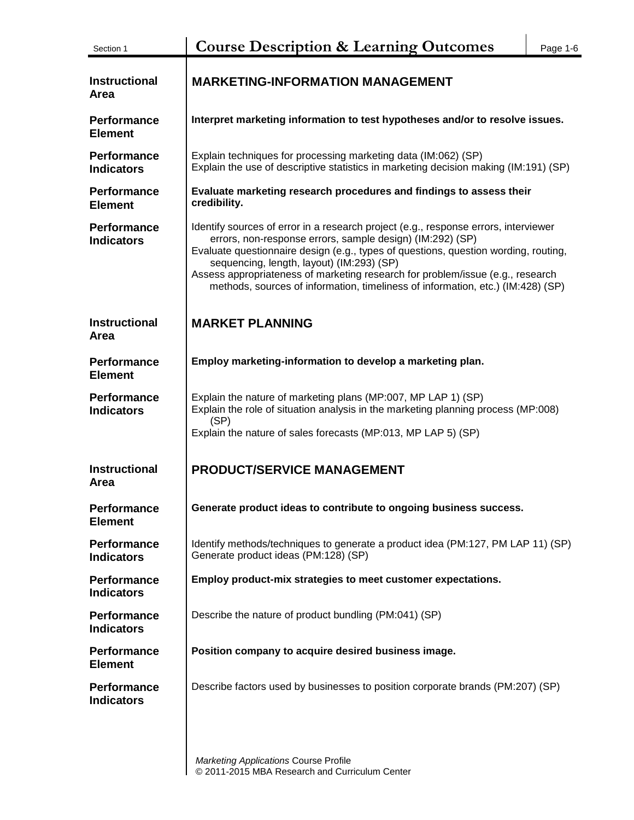| Section 1                               | <b>Course Description &amp; Learning Outcomes</b>                                                                                                                                                                                                                                                                                                                                                                                                         | Page 1-6 |
|-----------------------------------------|-----------------------------------------------------------------------------------------------------------------------------------------------------------------------------------------------------------------------------------------------------------------------------------------------------------------------------------------------------------------------------------------------------------------------------------------------------------|----------|
| <b>Instructional</b><br><b>Area</b>     | <b>MARKETING-INFORMATION MANAGEMENT</b>                                                                                                                                                                                                                                                                                                                                                                                                                   |          |
| <b>Performance</b><br><b>Element</b>    | Interpret marketing information to test hypotheses and/or to resolve issues.                                                                                                                                                                                                                                                                                                                                                                              |          |
| <b>Performance</b><br><b>Indicators</b> | Explain techniques for processing marketing data (IM:062) (SP)<br>Explain the use of descriptive statistics in marketing decision making (IM:191) (SP)                                                                                                                                                                                                                                                                                                    |          |
| <b>Performance</b><br><b>Element</b>    | Evaluate marketing research procedures and findings to assess their<br>credibility.                                                                                                                                                                                                                                                                                                                                                                       |          |
| <b>Performance</b><br><b>Indicators</b> | Identify sources of error in a research project (e.g., response errors, interviewer<br>errors, non-response errors, sample design) (IM:292) (SP)<br>Evaluate questionnaire design (e.g., types of questions, question wording, routing,<br>sequencing, length, layout) (IM:293) (SP)<br>Assess appropriateness of marketing research for problem/issue (e.g., research<br>methods, sources of information, timeliness of information, etc.) (IM:428) (SP) |          |
| <b>Instructional</b><br><b>Area</b>     | <b>MARKET PLANNING</b>                                                                                                                                                                                                                                                                                                                                                                                                                                    |          |
| <b>Performance</b><br><b>Element</b>    | Employ marketing-information to develop a marketing plan.                                                                                                                                                                                                                                                                                                                                                                                                 |          |
| <b>Performance</b><br><b>Indicators</b> | Explain the nature of marketing plans (MP:007, MP LAP 1) (SP)<br>Explain the role of situation analysis in the marketing planning process (MP:008)<br>(SP)<br>Explain the nature of sales forecasts (MP:013, MP LAP 5) (SP)                                                                                                                                                                                                                               |          |
| <b>Instructional</b><br>Area            | <b>PRODUCT/SERVICE MANAGEMENT</b>                                                                                                                                                                                                                                                                                                                                                                                                                         |          |
| <b>Performance</b><br><b>Element</b>    | Generate product ideas to contribute to ongoing business success.                                                                                                                                                                                                                                                                                                                                                                                         |          |
| Performance<br><b>Indicators</b>        | Identify methods/techniques to generate a product idea (PM:127, PM LAP 11) (SP)<br>Generate product ideas (PM:128) (SP)                                                                                                                                                                                                                                                                                                                                   |          |
| <b>Performance</b><br><b>Indicators</b> | Employ product-mix strategies to meet customer expectations.                                                                                                                                                                                                                                                                                                                                                                                              |          |
| <b>Performance</b><br><b>Indicators</b> | Describe the nature of product bundling (PM:041) (SP)                                                                                                                                                                                                                                                                                                                                                                                                     |          |
| <b>Performance</b><br><b>Element</b>    | Position company to acquire desired business image.                                                                                                                                                                                                                                                                                                                                                                                                       |          |
| <b>Performance</b><br><b>Indicators</b> | Describe factors used by businesses to position corporate brands (PM:207) (SP)                                                                                                                                                                                                                                                                                                                                                                            |          |

*Marketing Applications* Course Profile © 2011-2015 MBA Research and Curriculum Center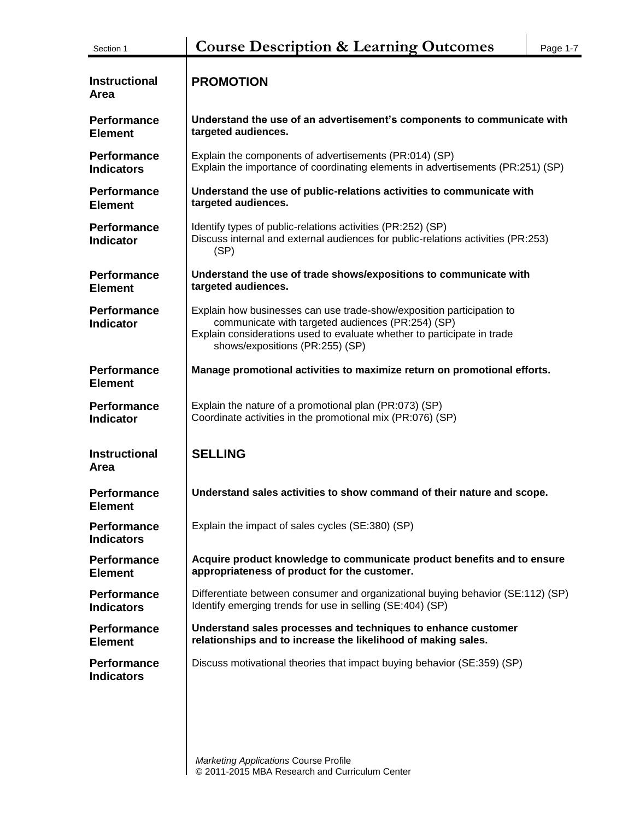| Section 1                               | <b>Course Description &amp; Learning Outcomes</b>                                                                                                                                                                                        | Page 1-7 |
|-----------------------------------------|------------------------------------------------------------------------------------------------------------------------------------------------------------------------------------------------------------------------------------------|----------|
| <b>Instructional</b><br><b>Area</b>     | <b>PROMOTION</b>                                                                                                                                                                                                                         |          |
| <b>Performance</b><br><b>Element</b>    | Understand the use of an advertisement's components to communicate with<br>targeted audiences.                                                                                                                                           |          |
| <b>Performance</b><br><b>Indicators</b> | Explain the components of advertisements (PR:014) (SP)<br>Explain the importance of coordinating elements in advertisements (PR:251) (SP)                                                                                                |          |
| <b>Performance</b><br><b>Element</b>    | Understand the use of public-relations activities to communicate with<br>targeted audiences.                                                                                                                                             |          |
| <b>Performance</b><br><b>Indicator</b>  | Identify types of public-relations activities (PR:252) (SP)<br>Discuss internal and external audiences for public-relations activities (PR:253)<br>(SP)                                                                                  |          |
| <b>Performance</b><br><b>Element</b>    | Understand the use of trade shows/expositions to communicate with<br>targeted audiences.                                                                                                                                                 |          |
| <b>Performance</b><br><b>Indicator</b>  | Explain how businesses can use trade-show/exposition participation to<br>communicate with targeted audiences (PR:254) (SP)<br>Explain considerations used to evaluate whether to participate in trade<br>shows/expositions (PR:255) (SP) |          |
| <b>Performance</b><br><b>Element</b>    | Manage promotional activities to maximize return on promotional efforts.                                                                                                                                                                 |          |
| <b>Performance</b><br><b>Indicator</b>  | Explain the nature of a promotional plan (PR:073) (SP)<br>Coordinate activities in the promotional mix (PR:076) (SP)                                                                                                                     |          |
| <b>Instructional</b><br><b>Area</b>     | <b>SELLING</b>                                                                                                                                                                                                                           |          |
| <b>Performance</b><br>Element           | Understand sales activities to show command of their nature and scope.                                                                                                                                                                   |          |
| <b>Performance</b><br><b>Indicators</b> | Explain the impact of sales cycles (SE:380) (SP)                                                                                                                                                                                         |          |
| <b>Performance</b><br><b>Element</b>    | Acquire product knowledge to communicate product benefits and to ensure<br>appropriateness of product for the customer.                                                                                                                  |          |
| <b>Performance</b><br><b>Indicators</b> | Differentiate between consumer and organizational buying behavior (SE:112) (SP)<br>Identify emerging trends for use in selling (SE:404) (SP)                                                                                             |          |
| <b>Performance</b><br><b>Element</b>    | Understand sales processes and techniques to enhance customer<br>relationships and to increase the likelihood of making sales.                                                                                                           |          |
| <b>Performance</b><br><b>Indicators</b> | Discuss motivational theories that impact buying behavior (SE:359) (SP)                                                                                                                                                                  |          |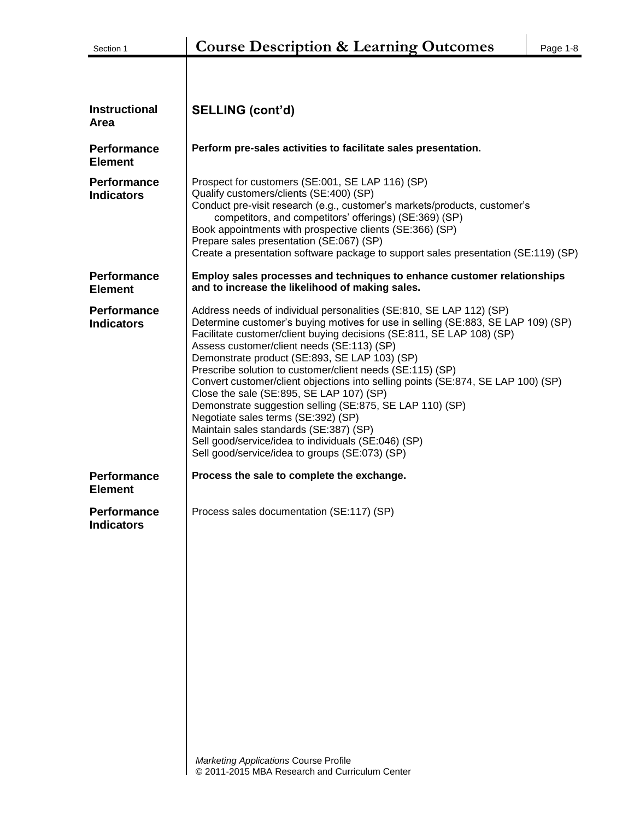| Section 1                               | <b>Course Description &amp; Learning Outcomes</b>                                                                                                                                                                                                                                                                                                                                                                                                                                                                                                                                                                                                                                                                                                                                  | Page 1-8 |
|-----------------------------------------|------------------------------------------------------------------------------------------------------------------------------------------------------------------------------------------------------------------------------------------------------------------------------------------------------------------------------------------------------------------------------------------------------------------------------------------------------------------------------------------------------------------------------------------------------------------------------------------------------------------------------------------------------------------------------------------------------------------------------------------------------------------------------------|----------|
|                                         |                                                                                                                                                                                                                                                                                                                                                                                                                                                                                                                                                                                                                                                                                                                                                                                    |          |
|                                         |                                                                                                                                                                                                                                                                                                                                                                                                                                                                                                                                                                                                                                                                                                                                                                                    |          |
| <b>Instructional</b><br>Area            | <b>SELLING (cont'd)</b>                                                                                                                                                                                                                                                                                                                                                                                                                                                                                                                                                                                                                                                                                                                                                            |          |
| <b>Performance</b><br><b>Element</b>    | Perform pre-sales activities to facilitate sales presentation.                                                                                                                                                                                                                                                                                                                                                                                                                                                                                                                                                                                                                                                                                                                     |          |
| <b>Performance</b><br><b>Indicators</b> | Prospect for customers (SE:001, SE LAP 116) (SP)<br>Qualify customers/clients (SE:400) (SP)<br>Conduct pre-visit research (e.g., customer's markets/products, customer's<br>competitors, and competitors' offerings) (SE:369) (SP)<br>Book appointments with prospective clients (SE:366) (SP)<br>Prepare sales presentation (SE:067) (SP)<br>Create a presentation software package to support sales presentation (SE:119) (SP)                                                                                                                                                                                                                                                                                                                                                   |          |
| <b>Performance</b><br><b>Element</b>    | Employ sales processes and techniques to enhance customer relationships<br>and to increase the likelihood of making sales.                                                                                                                                                                                                                                                                                                                                                                                                                                                                                                                                                                                                                                                         |          |
| <b>Performance</b><br><b>Indicators</b> | Address needs of individual personalities (SE:810, SE LAP 112) (SP)<br>Determine customer's buying motives for use in selling (SE:883, SE LAP 109) (SP)<br>Facilitate customer/client buying decisions (SE:811, SE LAP 108) (SP)<br>Assess customer/client needs (SE:113) (SP)<br>Demonstrate product (SE:893, SE LAP 103) (SP)<br>Prescribe solution to customer/client needs (SE:115) (SP)<br>Convert customer/client objections into selling points (SE:874, SE LAP 100) (SP)<br>Close the sale (SE:895, SE LAP 107) (SP)<br>Demonstrate suggestion selling (SE:875, SE LAP 110) (SP)<br>Negotiate sales terms (SE:392) (SP)<br>Maintain sales standards (SE:387) (SP)<br>Sell good/service/idea to individuals (SE:046) (SP)<br>Sell good/service/idea to groups (SE:073) (SP) |          |
| <b>Performance</b><br><b>Element</b>    | Process the sale to complete the exchange.                                                                                                                                                                                                                                                                                                                                                                                                                                                                                                                                                                                                                                                                                                                                         |          |
| <b>Performance</b><br><b>Indicators</b> | Process sales documentation (SE:117) (SP)                                                                                                                                                                                                                                                                                                                                                                                                                                                                                                                                                                                                                                                                                                                                          |          |
|                                         | Marketing Applications Course Profile<br>© 2011-2015 MBA Research and Curriculum Center                                                                                                                                                                                                                                                                                                                                                                                                                                                                                                                                                                                                                                                                                            |          |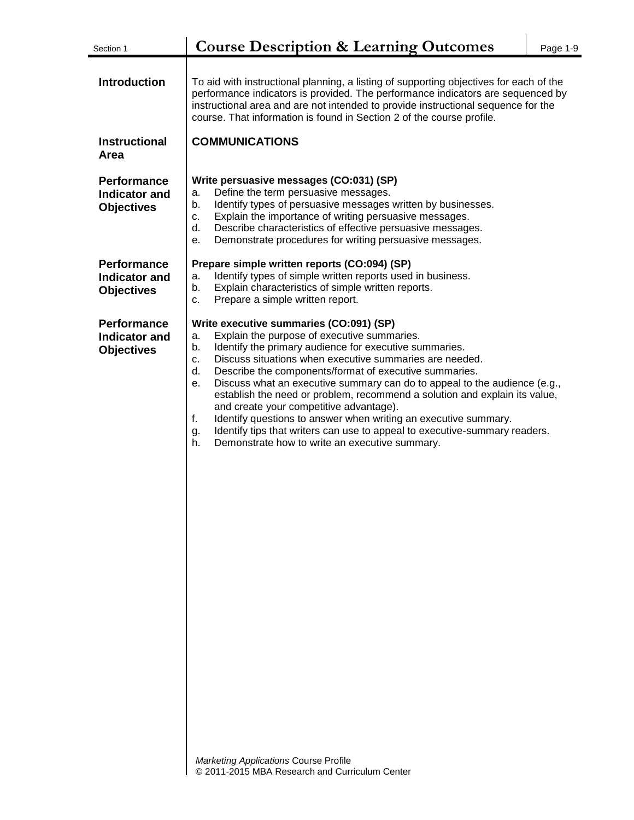| Section 1                                                       | <b>Course Description &amp; Learning Outcomes</b>                                                                                                                                                                                                                                                                                                                                                                                                                                                                                                                                                                                                                                                                                                                                                                                | Page 1-9 |
|-----------------------------------------------------------------|----------------------------------------------------------------------------------------------------------------------------------------------------------------------------------------------------------------------------------------------------------------------------------------------------------------------------------------------------------------------------------------------------------------------------------------------------------------------------------------------------------------------------------------------------------------------------------------------------------------------------------------------------------------------------------------------------------------------------------------------------------------------------------------------------------------------------------|----------|
| <b>Introduction</b>                                             | To aid with instructional planning, a listing of supporting objectives for each of the<br>performance indicators is provided. The performance indicators are sequenced by<br>instructional area and are not intended to provide instructional sequence for the<br>course. That information is found in Section 2 of the course profile.                                                                                                                                                                                                                                                                                                                                                                                                                                                                                          |          |
| <b>Instructional</b><br>Area                                    | <b>COMMUNICATIONS</b>                                                                                                                                                                                                                                                                                                                                                                                                                                                                                                                                                                                                                                                                                                                                                                                                            |          |
| <b>Performance</b><br><b>Indicator and</b><br><b>Objectives</b> | Write persuasive messages (CO:031) (SP)<br>Define the term persuasive messages.<br>a.<br>Identify types of persuasive messages written by businesses.<br>b.<br>Explain the importance of writing persuasive messages.<br>c.<br>d.<br>Describe characteristics of effective persuasive messages.<br>Demonstrate procedures for writing persuasive messages.<br>е.                                                                                                                                                                                                                                                                                                                                                                                                                                                                 |          |
| <b>Performance</b><br><b>Indicator and</b><br><b>Objectives</b> | Prepare simple written reports (CO:094) (SP)<br>Identify types of simple written reports used in business.<br>a.<br>Explain characteristics of simple written reports.<br>b.<br>Prepare a simple written report.<br>c.                                                                                                                                                                                                                                                                                                                                                                                                                                                                                                                                                                                                           |          |
| <b>Performance</b><br><b>Indicator and</b><br><b>Objectives</b> | Write executive summaries (CO:091) (SP)<br>Explain the purpose of executive summaries.<br>a.<br>Identify the primary audience for executive summaries.<br>b.<br>Discuss situations when executive summaries are needed.<br>c.<br>d.<br>Describe the components/format of executive summaries.<br>Discuss what an executive summary can do to appeal to the audience (e.g.,<br>е.<br>establish the need or problem, recommend a solution and explain its value,<br>and create your competitive advantage).<br>Identify questions to answer when writing an executive summary.<br>f.<br>Identify tips that writers can use to appeal to executive-summary readers.<br>g.<br>Demonstrate how to write an executive summary.<br>h.<br><b>Marketing Applications Course Profile</b><br>© 2011-2015 MBA Research and Curriculum Center |          |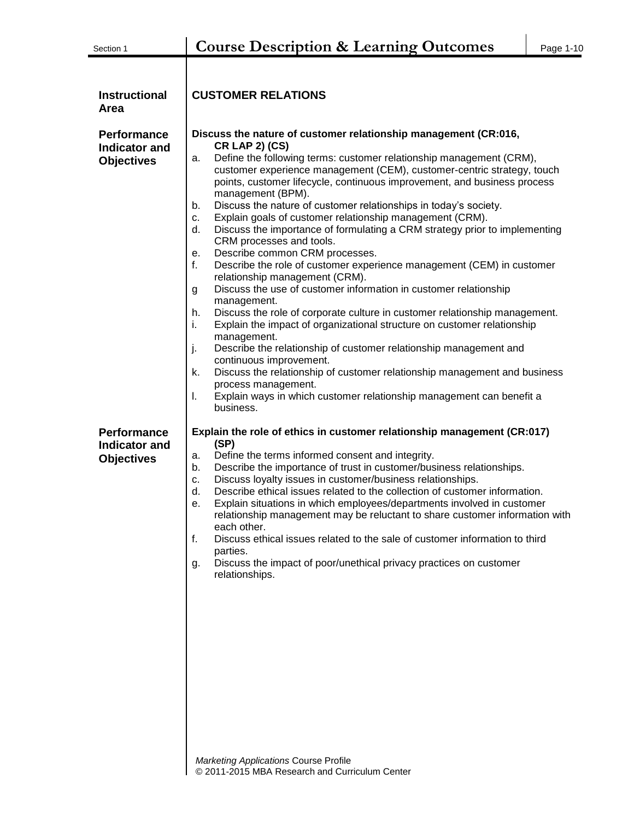| <b>Instructional</b><br><b>Area</b>                             | <b>CUSTOMER RELATIONS</b>                                                                                                                                                                                                                                                                                                                                                                                                                                                                                                                                                                                                                                                                                                                                                                                                                                                                                                                                                                                                                                                                                                                                                                                                                                                                                                                                    |
|-----------------------------------------------------------------|--------------------------------------------------------------------------------------------------------------------------------------------------------------------------------------------------------------------------------------------------------------------------------------------------------------------------------------------------------------------------------------------------------------------------------------------------------------------------------------------------------------------------------------------------------------------------------------------------------------------------------------------------------------------------------------------------------------------------------------------------------------------------------------------------------------------------------------------------------------------------------------------------------------------------------------------------------------------------------------------------------------------------------------------------------------------------------------------------------------------------------------------------------------------------------------------------------------------------------------------------------------------------------------------------------------------------------------------------------------|
| <b>Performance</b><br><b>Indicator and</b><br><b>Objectives</b> | Discuss the nature of customer relationship management (CR:016,<br><b>CR LAP 2) (CS)</b><br>Define the following terms: customer relationship management (CRM),<br>a.<br>customer experience management (CEM), customer-centric strategy, touch<br>points, customer lifecycle, continuous improvement, and business process<br>management (BPM).<br>Discuss the nature of customer relationships in today's society.<br>b.<br>Explain goals of customer relationship management (CRM).<br>c.<br>Discuss the importance of formulating a CRM strategy prior to implementing<br>d.<br>CRM processes and tools.<br>Describe common CRM processes.<br>е.<br>f.<br>Describe the role of customer experience management (CEM) in customer<br>relationship management (CRM).<br>Discuss the use of customer information in customer relationship<br>g<br>management.<br>Discuss the role of corporate culture in customer relationship management.<br>h.<br>i.<br>Explain the impact of organizational structure on customer relationship<br>management.<br>j.<br>Describe the relationship of customer relationship management and<br>continuous improvement.<br>Discuss the relationship of customer relationship management and business<br>k.<br>process management.<br>Explain ways in which customer relationship management can benefit a<br>I.<br>business. |
| <b>Performance</b><br><b>Indicator and</b><br><b>Objectives</b> | Explain the role of ethics in customer relationship management (CR:017)<br>(SP)<br>Define the terms informed consent and integrity.<br>а.<br>Describe the importance of trust in customer/business relationships.<br>b.<br>Discuss loyalty issues in customer/business relationships.<br>c.<br>d.<br>Describe ethical issues related to the collection of customer information.<br>Explain situations in which employees/departments involved in customer<br>е.<br>relationship management may be reluctant to share customer information with<br>each other.<br>f.<br>Discuss ethical issues related to the sale of customer information to third<br>parties.<br>Discuss the impact of poor/unethical privacy practices on customer<br>g.<br>relationships.<br><b>Marketing Applications Course Profile</b>                                                                                                                                                                                                                                                                                                                                                                                                                                                                                                                                                 |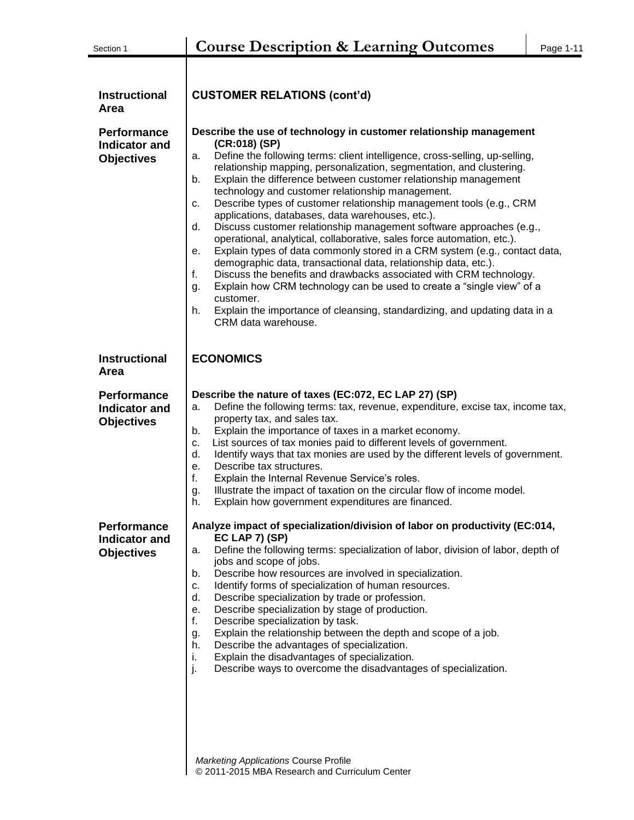| <b>Instructional</b><br>Area                                    | <b>CUSTOMER RELATIONS (cont'd)</b>                                                                                                                                                                                                                                                                                                                                                                                                                                                                                                                                                                                                                                                                                                                                                                                                                                                                                                                                                                                                                                                                              |
|-----------------------------------------------------------------|-----------------------------------------------------------------------------------------------------------------------------------------------------------------------------------------------------------------------------------------------------------------------------------------------------------------------------------------------------------------------------------------------------------------------------------------------------------------------------------------------------------------------------------------------------------------------------------------------------------------------------------------------------------------------------------------------------------------------------------------------------------------------------------------------------------------------------------------------------------------------------------------------------------------------------------------------------------------------------------------------------------------------------------------------------------------------------------------------------------------|
| <b>Performance</b><br><b>Indicator and</b><br><b>Objectives</b> | Describe the use of technology in customer relationship management<br>(CR:018) (SP)<br>Define the following terms: client intelligence, cross-selling, up-selling,<br>а.<br>relationship mapping, personalization, segmentation, and clustering.<br>Explain the difference between customer relationship management<br>b.<br>technology and customer relationship management.<br>Describe types of customer relationship management tools (e.g., CRM<br>c.<br>applications, databases, data warehouses, etc.).<br>Discuss customer relationship management software approaches (e.g.,<br>d.<br>operational, analytical, collaborative, sales force automation, etc.).<br>Explain types of data commonly stored in a CRM system (e.g., contact data,<br>е.<br>demographic data, transactional data, relationship data, etc.).<br>f.<br>Discuss the benefits and drawbacks associated with CRM technology.<br>Explain how CRM technology can be used to create a "single view" of a<br>g.<br>customer.<br>Explain the importance of cleansing, standardizing, and updating data in a<br>h.<br>CRM data warehouse. |
| <b>Instructional</b><br><b>Area</b>                             | <b>ECONOMICS</b>                                                                                                                                                                                                                                                                                                                                                                                                                                                                                                                                                                                                                                                                                                                                                                                                                                                                                                                                                                                                                                                                                                |
| <b>Performance</b><br><b>Indicator and</b><br><b>Objectives</b> | Describe the nature of taxes (EC:072, EC LAP 27) (SP)<br>Define the following terms: tax, revenue, expenditure, excise tax, income tax,<br>a.<br>property tax, and sales tax.<br>Explain the importance of taxes in a market economy.<br>b.<br>List sources of tax monies paid to different levels of government.<br>c.<br>Identify ways that tax monies are used by the different levels of government.<br>d.<br>Describe tax structures.<br>е.<br>f.<br>Explain the Internal Revenue Service's roles.<br>Illustrate the impact of taxation on the circular flow of income model.<br>g.<br>h.<br>Explain how government expenditures are financed.                                                                                                                                                                                                                                                                                                                                                                                                                                                             |
| <b>Performance</b><br><b>Indicator and</b><br><b>Objectives</b> | Analyze impact of specialization/division of labor on productivity (EC:014,<br><b>EC LAP 7) (SP)</b><br>Define the following terms: specialization of labor, division of labor, depth of<br>а.<br>jobs and scope of jobs.<br>Describe how resources are involved in specialization.<br>b.<br>Identify forms of specialization of human resources.<br>c.<br>Describe specialization by trade or profession.<br>d.<br>Describe specialization by stage of production.<br>е.<br>f.<br>Describe specialization by task.<br>Explain the relationship between the depth and scope of a job.<br>g.<br>Describe the advantages of specialization.<br>h.<br>Explain the disadvantages of specialization.<br>i.<br>j.<br>Describe ways to overcome the disadvantages of specialization.<br><b>Marketing Applications Course Profile</b>                                                                                                                                                                                                                                                                                   |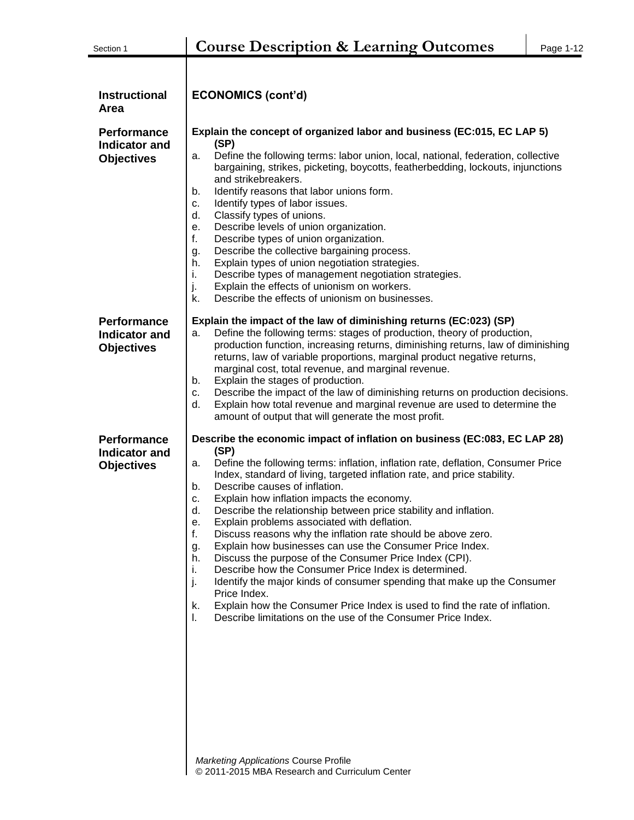| <b>Instructional</b><br><b>Area</b>                             | <b>ECONOMICS (cont'd)</b>                                                                                                                                                                                                                                                                                                                                                                                                                                                                                                                                                                                                                                                                                                                                                                                                                                                                                                                                                                                                                                           |
|-----------------------------------------------------------------|---------------------------------------------------------------------------------------------------------------------------------------------------------------------------------------------------------------------------------------------------------------------------------------------------------------------------------------------------------------------------------------------------------------------------------------------------------------------------------------------------------------------------------------------------------------------------------------------------------------------------------------------------------------------------------------------------------------------------------------------------------------------------------------------------------------------------------------------------------------------------------------------------------------------------------------------------------------------------------------------------------------------------------------------------------------------|
| <b>Performance</b><br><b>Indicator and</b><br><b>Objectives</b> | Explain the concept of organized labor and business (EC:015, EC LAP 5)<br>(SP)<br>Define the following terms: labor union, local, national, federation, collective<br>а.<br>bargaining, strikes, picketing, boycotts, featherbedding, lockouts, injunctions<br>and strikebreakers.<br>Identify reasons that labor unions form.<br>b.<br>Identify types of labor issues.<br>c.<br>d.<br>Classify types of unions.<br>Describe levels of union organization.<br>е.<br>f.<br>Describe types of union organization.<br>Describe the collective bargaining process.<br>g.<br>Explain types of union negotiation strategies.<br>h.<br>Describe types of management negotiation strategies.<br>i.<br>j.<br>Explain the effects of unionism on workers.<br>k.<br>Describe the effects of unionism on businesses.                                                                                                                                                                                                                                                            |
| <b>Performance</b><br><b>Indicator and</b><br><b>Objectives</b> | Explain the impact of the law of diminishing returns (EC:023) (SP)<br>Define the following terms: stages of production, theory of production,<br>a.<br>production function, increasing returns, diminishing returns, law of diminishing<br>returns, law of variable proportions, marginal product negative returns,<br>marginal cost, total revenue, and marginal revenue.<br>Explain the stages of production.<br>b.<br>Describe the impact of the law of diminishing returns on production decisions.<br>c.<br>Explain how total revenue and marginal revenue are used to determine the<br>d.<br>amount of output that will generate the most profit.                                                                                                                                                                                                                                                                                                                                                                                                             |
| <b>Performance</b><br><b>Indicator and</b><br><b>Objectives</b> | Describe the economic impact of inflation on business (EC:083, EC LAP 28)<br>(SP)<br>Define the following terms: inflation, inflation rate, deflation, Consumer Price<br>а.<br>Index, standard of living, targeted inflation rate, and price stability.<br>Describe causes of inflation.<br>b.<br>Explain how inflation impacts the economy.<br>c.<br>d.<br>Describe the relationship between price stability and inflation.<br>Explain problems associated with deflation.<br>е.<br>f.<br>Discuss reasons why the inflation rate should be above zero.<br>Explain how businesses can use the Consumer Price Index.<br>g.<br>Discuss the purpose of the Consumer Price Index (CPI).<br>h.<br>Describe how the Consumer Price Index is determined.<br>i.<br>Identify the major kinds of consumer spending that make up the Consumer<br>j.<br>Price Index.<br>Explain how the Consumer Price Index is used to find the rate of inflation.<br>k.<br>Describe limitations on the use of the Consumer Price Index.<br>L.<br><b>Marketing Applications Course Profile</b> |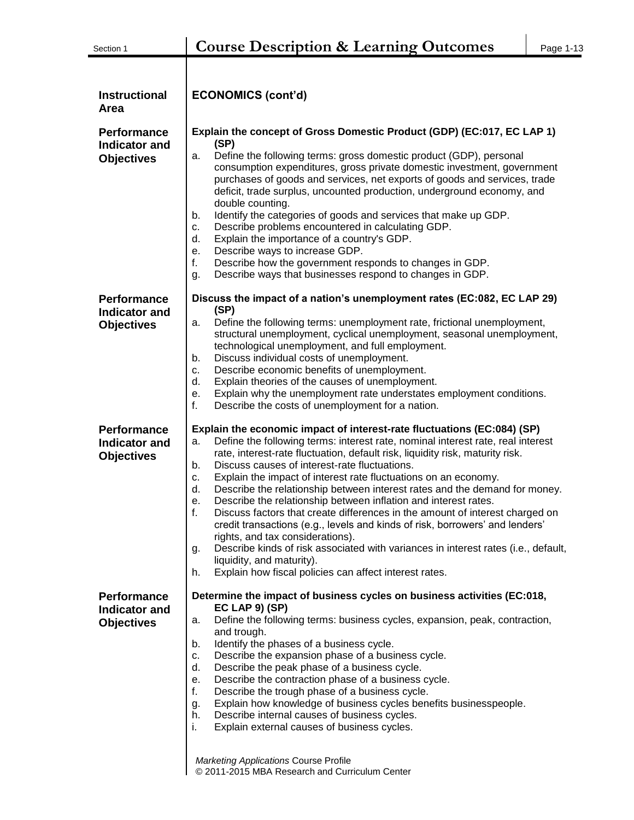| <b>Instructional</b>                                            | <b>ECONOMICS (cont'd)</b>                                                                                                                                                                                                                                                                                                                                                                                                                                                                                                                                                                                                                                                                                                                                                                                                                                                                                                                         |
|-----------------------------------------------------------------|---------------------------------------------------------------------------------------------------------------------------------------------------------------------------------------------------------------------------------------------------------------------------------------------------------------------------------------------------------------------------------------------------------------------------------------------------------------------------------------------------------------------------------------------------------------------------------------------------------------------------------------------------------------------------------------------------------------------------------------------------------------------------------------------------------------------------------------------------------------------------------------------------------------------------------------------------|
| Area                                                            |                                                                                                                                                                                                                                                                                                                                                                                                                                                                                                                                                                                                                                                                                                                                                                                                                                                                                                                                                   |
| <b>Performance</b><br><b>Indicator and</b>                      | Explain the concept of Gross Domestic Product (GDP) (EC:017, EC LAP 1)<br>(SP)                                                                                                                                                                                                                                                                                                                                                                                                                                                                                                                                                                                                                                                                                                                                                                                                                                                                    |
| <b>Objectives</b>                                               | Define the following terms: gross domestic product (GDP), personal<br>a.<br>consumption expenditures, gross private domestic investment, government<br>purchases of goods and services, net exports of goods and services, trade<br>deficit, trade surplus, uncounted production, underground economy, and<br>double counting.<br>Identify the categories of goods and services that make up GDP.<br>b.<br>Describe problems encountered in calculating GDP.<br>c.<br>d.<br>Explain the importance of a country's GDP.<br>Describe ways to increase GDP.<br>е.<br>f.<br>Describe how the government responds to changes in GDP.<br>Describe ways that businesses respond to changes in GDP.<br>g.                                                                                                                                                                                                                                                 |
| <b>Performance</b>                                              | Discuss the impact of a nation's unemployment rates (EC:082, EC LAP 29)                                                                                                                                                                                                                                                                                                                                                                                                                                                                                                                                                                                                                                                                                                                                                                                                                                                                           |
| <b>Indicator and</b><br><b>Objectives</b>                       | (SP)<br>Define the following terms: unemployment rate, frictional unemployment,<br>a.<br>structural unemployment, cyclical unemployment, seasonal unemployment,<br>technological unemployment, and full employment.<br>Discuss individual costs of unemployment.<br>b.<br>Describe economic benefits of unemployment.<br>c.<br>d.<br>Explain theories of the causes of unemployment.<br>Explain why the unemployment rate understates employment conditions.<br>е.<br>f.<br>Describe the costs of unemployment for a nation.                                                                                                                                                                                                                                                                                                                                                                                                                      |
| <b>Performance</b><br><b>Indicator and</b><br><b>Objectives</b> | Explain the economic impact of interest-rate fluctuations (EC:084) (SP)<br>Define the following terms: interest rate, nominal interest rate, real interest<br>a.<br>rate, interest-rate fluctuation, default risk, liquidity risk, maturity risk.<br>Discuss causes of interest-rate fluctuations.<br>b.<br>Explain the impact of interest rate fluctuations on an economy.<br>c.<br>d.<br>Describe the relationship between interest rates and the demand for money.<br>Describe the relationship between inflation and interest rates.<br>е.<br>f.<br>Discuss factors that create differences in the amount of interest charged on<br>credit transactions (e.g., levels and kinds of risk, borrowers' and lenders'<br>rights, and tax considerations).<br>Describe kinds of risk associated with variances in interest rates (i.e., default,<br>g.<br>liquidity, and maturity).<br>Explain how fiscal policies can affect interest rates.<br>h. |
| <b>Performance</b><br><b>Indicator and</b><br><b>Objectives</b> | Determine the impact of business cycles on business activities (EC:018,<br><b>EC LAP 9) (SP)</b><br>Define the following terms: business cycles, expansion, peak, contraction,<br>а.<br>and trough.<br>Identify the phases of a business cycle.<br>b.<br>Describe the expansion phase of a business cycle.<br>c.<br>Describe the peak phase of a business cycle.<br>d.<br>Describe the contraction phase of a business cycle.<br>е.<br>f.<br>Describe the trough phase of a business cycle.<br>Explain how knowledge of business cycles benefits businesspeople.<br>g.<br>Describe internal causes of business cycles.<br>h.<br>Explain external causes of business cycles.<br>i.                                                                                                                                                                                                                                                                 |
|                                                                 | Marketing Applications Course Profile<br>© 2011-2015 MBA Research and Curriculum Center                                                                                                                                                                                                                                                                                                                                                                                                                                                                                                                                                                                                                                                                                                                                                                                                                                                           |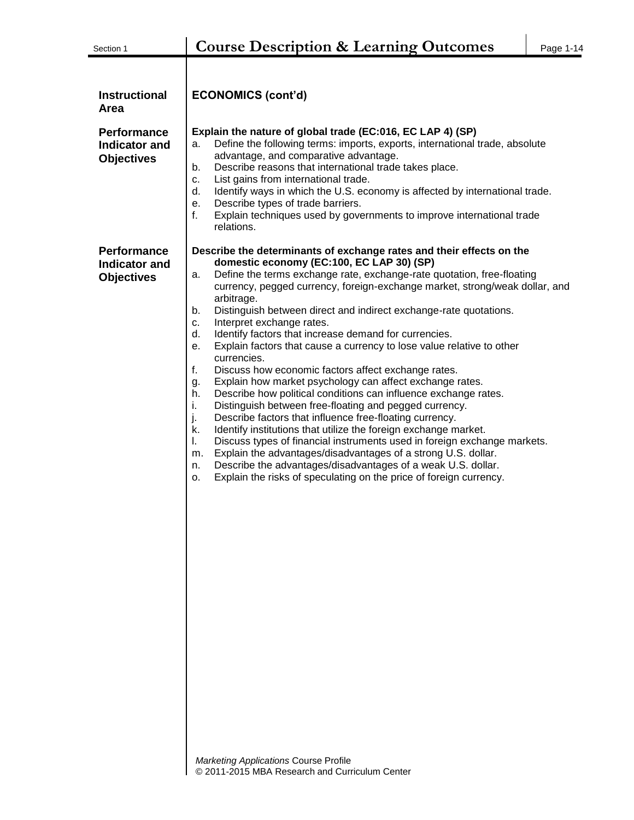| Section 1                                                       | <b>Course Description &amp; Learning Outcomes</b>                                                                                                                                                                                                                                                                                                                                                                                                                                                                                                                                                                                                                                                                                                                                                                                                                                                                                                                                                                                                                                                                                                                                                                                                                                                                                                                               | Page 1-14 |
|-----------------------------------------------------------------|---------------------------------------------------------------------------------------------------------------------------------------------------------------------------------------------------------------------------------------------------------------------------------------------------------------------------------------------------------------------------------------------------------------------------------------------------------------------------------------------------------------------------------------------------------------------------------------------------------------------------------------------------------------------------------------------------------------------------------------------------------------------------------------------------------------------------------------------------------------------------------------------------------------------------------------------------------------------------------------------------------------------------------------------------------------------------------------------------------------------------------------------------------------------------------------------------------------------------------------------------------------------------------------------------------------------------------------------------------------------------------|-----------|
| <b>Instructional</b><br>Area                                    | <b>ECONOMICS (cont'd)</b>                                                                                                                                                                                                                                                                                                                                                                                                                                                                                                                                                                                                                                                                                                                                                                                                                                                                                                                                                                                                                                                                                                                                                                                                                                                                                                                                                       |           |
| <b>Performance</b><br><b>Indicator and</b><br><b>Objectives</b> | Explain the nature of global trade (EC:016, EC LAP 4) (SP)<br>Define the following terms: imports, exports, international trade, absolute<br>a.<br>advantage, and comparative advantage.<br>Describe reasons that international trade takes place.<br>b.<br>List gains from international trade.<br>c.<br>d.<br>Identify ways in which the U.S. economy is affected by international trade.<br>Describe types of trade barriers.<br>е.<br>f.<br>relations.                                                                                                                                                                                                                                                                                                                                                                                                                                                                                                                                                                                                                                                                                                                                                                                                                                                                                                                      |           |
| <b>Performance</b><br><b>Indicator and</b><br><b>Objectives</b> | Explain techniques used by governments to improve international trade<br>Describe the determinants of exchange rates and their effects on the<br>domestic economy (EC:100, EC LAP 30) (SP)<br>Define the terms exchange rate, exchange-rate quotation, free-floating<br>a.<br>currency, pegged currency, foreign-exchange market, strong/weak dollar, and<br>arbitrage.<br>Distinguish between direct and indirect exchange-rate quotations.<br>b.<br>Interpret exchange rates.<br>c.<br>Identify factors that increase demand for currencies.<br>d.<br>Explain factors that cause a currency to lose value relative to other<br>е.<br>currencies.<br>f.<br>Discuss how economic factors affect exchange rates.<br>Explain how market psychology can affect exchange rates.<br>g.<br>Describe how political conditions can influence exchange rates.<br>h.<br>i.<br>Distinguish between free-floating and pegged currency.<br>j.<br>Describe factors that influence free-floating currency.<br>Identify institutions that utilize the foreign exchange market.<br>k.<br>Discuss types of financial instruments used in foreign exchange markets.<br>I.<br>Explain the advantages/disadvantages of a strong U.S. dollar.<br>m.<br>Describe the advantages/disadvantages of a weak U.S. dollar.<br>n.<br>Explain the risks of speculating on the price of foreign currency.<br>о. |           |
|                                                                 | <b>Marketing Applications Course Profile</b>                                                                                                                                                                                                                                                                                                                                                                                                                                                                                                                                                                                                                                                                                                                                                                                                                                                                                                                                                                                                                                                                                                                                                                                                                                                                                                                                    |           |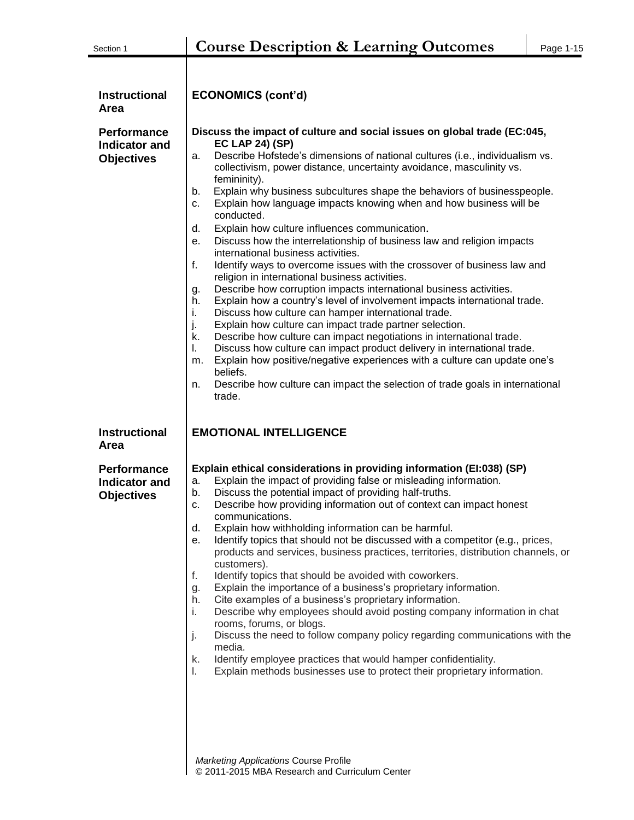| <b>Instructional</b>                                            | <b>ECONOMICS (cont'd)</b>                                                                                                                                                                                                                                                                                                                                                                                                                                                                                                                                                                                                                                                                                                                                                                                                                                                                                                                                                                                                                                                                                                                                                                                                                                                                                                                                                                                                               |
|-----------------------------------------------------------------|-----------------------------------------------------------------------------------------------------------------------------------------------------------------------------------------------------------------------------------------------------------------------------------------------------------------------------------------------------------------------------------------------------------------------------------------------------------------------------------------------------------------------------------------------------------------------------------------------------------------------------------------------------------------------------------------------------------------------------------------------------------------------------------------------------------------------------------------------------------------------------------------------------------------------------------------------------------------------------------------------------------------------------------------------------------------------------------------------------------------------------------------------------------------------------------------------------------------------------------------------------------------------------------------------------------------------------------------------------------------------------------------------------------------------------------------|
| <b>Area</b>                                                     |                                                                                                                                                                                                                                                                                                                                                                                                                                                                                                                                                                                                                                                                                                                                                                                                                                                                                                                                                                                                                                                                                                                                                                                                                                                                                                                                                                                                                                         |
| <b>Performance</b><br><b>Indicator and</b><br><b>Objectives</b> | Discuss the impact of culture and social issues on global trade (EC:045,<br><b>EC LAP 24) (SP)</b><br>Describe Hofstede's dimensions of national cultures (i.e., individualism vs.<br>a.<br>collectivism, power distance, uncertainty avoidance, masculinity vs.<br>femininity).<br>Explain why business subcultures shape the behaviors of businesspeople.<br>b.<br>Explain how language impacts knowing when and how business will be<br>c.<br>conducted.<br>d.<br>Explain how culture influences communication.<br>Discuss how the interrelationship of business law and religion impacts<br>е.<br>international business activities.<br>f.<br>Identify ways to overcome issues with the crossover of business law and<br>religion in international business activities.<br>Describe how corruption impacts international business activities.<br>g.<br>Explain how a country's level of involvement impacts international trade.<br>h.<br>Discuss how culture can hamper international trade.<br>i.<br>Explain how culture can impact trade partner selection.<br>j.<br>Describe how culture can impact negotiations in international trade.<br>k.<br>Discuss how culture can impact product delivery in international trade.<br>I.<br>Explain how positive/negative experiences with a culture can update one's<br>m.<br>beliefs.<br>Describe how culture can impact the selection of trade goals in international<br>n.<br>trade. |
| <b>Instructional</b><br><b>Area</b>                             | <b>EMOTIONAL INTELLIGENCE</b>                                                                                                                                                                                                                                                                                                                                                                                                                                                                                                                                                                                                                                                                                                                                                                                                                                                                                                                                                                                                                                                                                                                                                                                                                                                                                                                                                                                                           |
| <b>Performance</b><br><b>Indicator and</b><br><b>Objectives</b> | Explain ethical considerations in providing information (EI:038) (SP)<br>Explain the impact of providing false or misleading information.<br>a.<br>Discuss the potential impact of providing half-truths.<br>b.<br>Describe how providing information out of context can impact honest<br>c.<br>communications.<br>Explain how withholding information can be harmful.<br>d.<br>Identify topics that should not be discussed with a competitor (e.g., prices,<br>е.<br>products and services, business practices, territories, distribution channels, or<br>customers).<br>f.<br>Identify topics that should be avoided with coworkers.<br>Explain the importance of a business's proprietary information.<br>g.<br>Cite examples of a business's proprietary information.<br>h.<br>i.<br>Describe why employees should avoid posting company information in chat<br>rooms, forums, or blogs.<br>Discuss the need to follow company policy regarding communications with the<br>j.<br>media.<br>Identify employee practices that would hamper confidentiality.<br>k.<br>Explain methods businesses use to protect their proprietary information.<br>I.<br>Marketing Applications Course Profile                                                                                                                                                                                                                                         |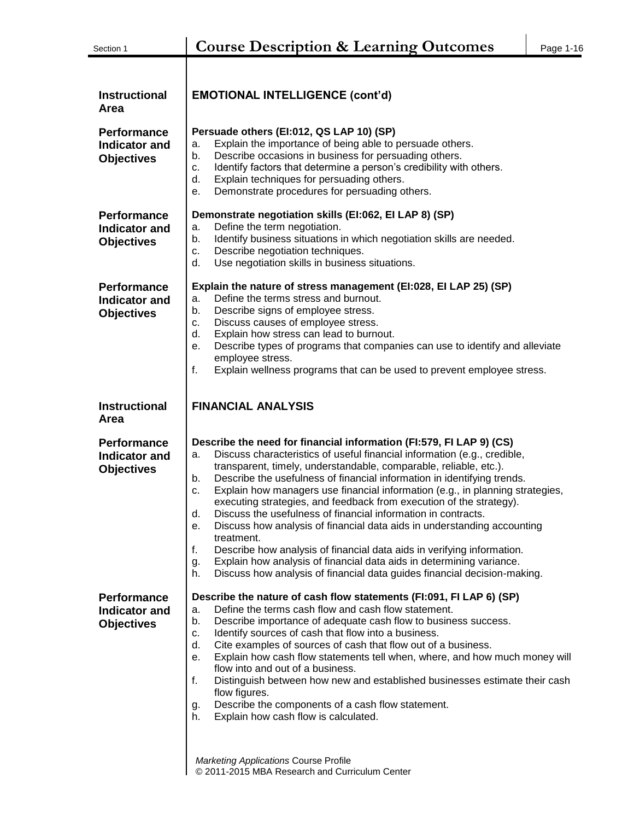| Section 1                                                       | <b>Course Description &amp; Learning Outcomes</b>                                                                                                                                                                                                                                                                                                                                                                                                                                                                                                                                                                                                                                                                                                                                                                                                                                               | Page 1-16 |
|-----------------------------------------------------------------|-------------------------------------------------------------------------------------------------------------------------------------------------------------------------------------------------------------------------------------------------------------------------------------------------------------------------------------------------------------------------------------------------------------------------------------------------------------------------------------------------------------------------------------------------------------------------------------------------------------------------------------------------------------------------------------------------------------------------------------------------------------------------------------------------------------------------------------------------------------------------------------------------|-----------|
|                                                                 |                                                                                                                                                                                                                                                                                                                                                                                                                                                                                                                                                                                                                                                                                                                                                                                                                                                                                                 |           |
| <b>Instructional</b><br>Area                                    | <b>EMOTIONAL INTELLIGENCE (cont'd)</b>                                                                                                                                                                                                                                                                                                                                                                                                                                                                                                                                                                                                                                                                                                                                                                                                                                                          |           |
| <b>Performance</b><br><b>Indicator and</b><br><b>Objectives</b> | Persuade others (EI:012, QS LAP 10) (SP)<br>Explain the importance of being able to persuade others.<br>a.<br>Describe occasions in business for persuading others.<br>b.<br>Identify factors that determine a person's credibility with others.<br>c.<br>Explain techniques for persuading others.<br>d.<br>Demonstrate procedures for persuading others.<br>е.                                                                                                                                                                                                                                                                                                                                                                                                                                                                                                                                |           |
| <b>Performance</b><br><b>Indicator and</b><br><b>Objectives</b> | Demonstrate negotiation skills (EI:062, EI LAP 8) (SP)<br>Define the term negotiation.<br>a.<br>Identify business situations in which negotiation skills are needed.<br>b.<br>Describe negotiation techniques.<br>c.<br>d.<br>Use negotiation skills in business situations.                                                                                                                                                                                                                                                                                                                                                                                                                                                                                                                                                                                                                    |           |
| <b>Performance</b><br><b>Indicator and</b><br><b>Objectives</b> | Explain the nature of stress management (EI:028, EI LAP 25) (SP)<br>Define the terms stress and burnout.<br>a.<br>Describe signs of employee stress.<br>b.<br>Discuss causes of employee stress.<br>c.<br>Explain how stress can lead to burnout.<br>d.<br>Describe types of programs that companies can use to identify and alleviate<br>е.<br>employee stress.<br>f.<br>Explain wellness programs that can be used to prevent employee stress.                                                                                                                                                                                                                                                                                                                                                                                                                                                |           |
| <b>Instructional</b><br><b>Area</b>                             | <b>FINANCIAL ANALYSIS</b>                                                                                                                                                                                                                                                                                                                                                                                                                                                                                                                                                                                                                                                                                                                                                                                                                                                                       |           |
| <b>Performance</b><br><b>Indicator and</b><br><b>Objectives</b> | Describe the need for financial information (FI:579, FI LAP 9) (CS)<br>Discuss characteristics of useful financial information (e.g., credible,<br>a.<br>transparent, timely, understandable, comparable, reliable, etc.).<br>Describe the usefulness of financial information in identifying trends.<br>b.<br>Explain how managers use financial information (e.g., in planning strategies,<br>c.<br>executing strategies, and feedback from execution of the strategy).<br>Discuss the usefulness of financial information in contracts.<br>d.<br>Discuss how analysis of financial data aids in understanding accounting<br>е.<br>treatment.<br>Describe how analysis of financial data aids in verifying information.<br>f.<br>Explain how analysis of financial data aids in determining variance.<br>g.<br>Discuss how analysis of financial data guides financial decision-making.<br>h. |           |
| <b>Performance</b><br><b>Indicator and</b><br><b>Objectives</b> | Describe the nature of cash flow statements (FI:091, FI LAP 6) (SP)<br>Define the terms cash flow and cash flow statement.<br>а.<br>Describe importance of adequate cash flow to business success.<br>b.<br>Identify sources of cash that flow into a business.<br>c.<br>Cite examples of sources of cash that flow out of a business.<br>d.<br>Explain how cash flow statements tell when, where, and how much money will<br>е.<br>flow into and out of a business.<br>f.<br>Distinguish between how new and established businesses estimate their cash<br>flow figures.<br>Describe the components of a cash flow statement.<br>g.<br>Explain how cash flow is calculated.<br>h.<br><b>Marketing Applications Course Profile</b>                                                                                                                                                              |           |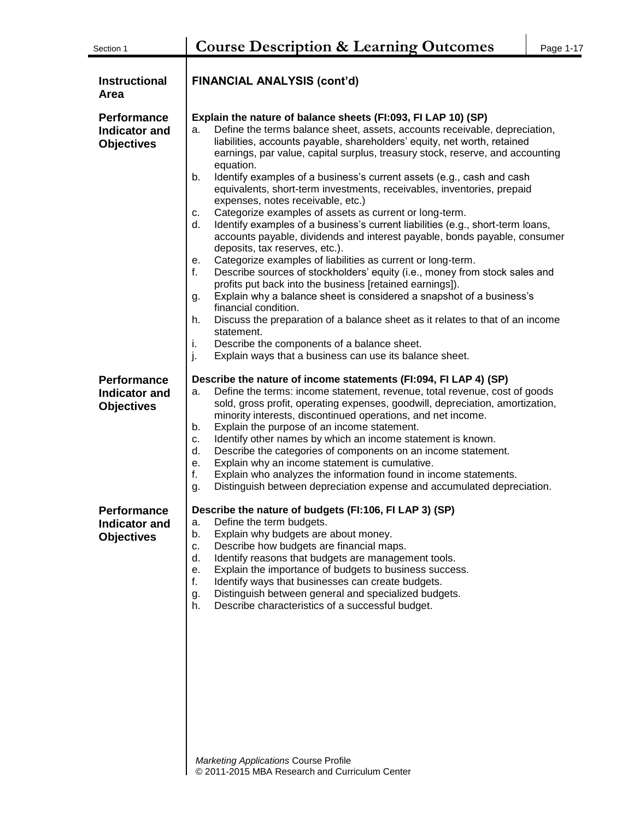| Section 1                                                       | <b>Course Description &amp; Learning Outcomes</b>                                                                                                                                                                                                                                                                                                                                                                                                                                                                                                                                                                                                                                                                                                                                                                                                                                                                                                                                                                                                                                                                                                                                                                                                                                                                                                      | Page 1-17 |
|-----------------------------------------------------------------|--------------------------------------------------------------------------------------------------------------------------------------------------------------------------------------------------------------------------------------------------------------------------------------------------------------------------------------------------------------------------------------------------------------------------------------------------------------------------------------------------------------------------------------------------------------------------------------------------------------------------------------------------------------------------------------------------------------------------------------------------------------------------------------------------------------------------------------------------------------------------------------------------------------------------------------------------------------------------------------------------------------------------------------------------------------------------------------------------------------------------------------------------------------------------------------------------------------------------------------------------------------------------------------------------------------------------------------------------------|-----------|
| <b>Instructional</b><br>Area                                    | <b>FINANCIAL ANALYSIS (cont'd)</b>                                                                                                                                                                                                                                                                                                                                                                                                                                                                                                                                                                                                                                                                                                                                                                                                                                                                                                                                                                                                                                                                                                                                                                                                                                                                                                                     |           |
| <b>Performance</b><br><b>Indicator and</b><br><b>Objectives</b> | Explain the nature of balance sheets (FI:093, FI LAP 10) (SP)<br>Define the terms balance sheet, assets, accounts receivable, depreciation,<br>a.<br>liabilities, accounts payable, shareholders' equity, net worth, retained<br>earnings, par value, capital surplus, treasury stock, reserve, and accounting<br>equation.<br>Identify examples of a business's current assets (e.g., cash and cash<br>b.<br>equivalents, short-term investments, receivables, inventories, prepaid<br>expenses, notes receivable, etc.)<br>Categorize examples of assets as current or long-term.<br>С.<br>Identify examples of a business's current liabilities (e.g., short-term loans,<br>d.<br>accounts payable, dividends and interest payable, bonds payable, consumer<br>deposits, tax reserves, etc.).<br>Categorize examples of liabilities as current or long-term.<br>е.<br>Describe sources of stockholders' equity (i.e., money from stock sales and<br>f.<br>profits put back into the business [retained earnings]).<br>Explain why a balance sheet is considered a snapshot of a business's<br>g.<br>financial condition.<br>Discuss the preparation of a balance sheet as it relates to that of an income<br>h.<br>statement.<br>Describe the components of a balance sheet.<br>i.<br>j.<br>Explain ways that a business can use its balance sheet. |           |
| <b>Performance</b><br><b>Indicator and</b><br><b>Objectives</b> | Describe the nature of income statements (FI:094, FI LAP 4) (SP)<br>Define the terms: income statement, revenue, total revenue, cost of goods<br>a.<br>sold, gross profit, operating expenses, goodwill, depreciation, amortization,<br>minority interests, discontinued operations, and net income.<br>Explain the purpose of an income statement.<br>b.<br>Identify other names by which an income statement is known.<br>c.<br>Describe the categories of components on an income statement.<br>d.<br>Explain why an income statement is cumulative.<br>е.<br>f.<br>Explain who analyzes the information found in income statements.<br>Distinguish between depreciation expense and accumulated depreciation.<br>g.                                                                                                                                                                                                                                                                                                                                                                                                                                                                                                                                                                                                                                |           |
| <b>Performance</b><br><b>Indicator and</b><br><b>Objectives</b> | Describe the nature of budgets (FI:106, FI LAP 3) (SP)<br>Define the term budgets.<br>a.<br>Explain why budgets are about money.<br>b.<br>Describe how budgets are financial maps.<br>c.<br>Identify reasons that budgets are management tools.<br>d.<br>Explain the importance of budgets to business success.<br>е.<br>Identify ways that businesses can create budgets.<br>f.<br>Distinguish between general and specialized budgets.<br>g.<br>Describe characteristics of a successful budget.<br>h.<br><b>Marketing Applications Course Profile</b>                                                                                                                                                                                                                                                                                                                                                                                                                                                                                                                                                                                                                                                                                                                                                                                               |           |
|                                                                 | © 2011-2015 MBA Research and Curriculum Center                                                                                                                                                                                                                                                                                                                                                                                                                                                                                                                                                                                                                                                                                                                                                                                                                                                                                                                                                                                                                                                                                                                                                                                                                                                                                                         |           |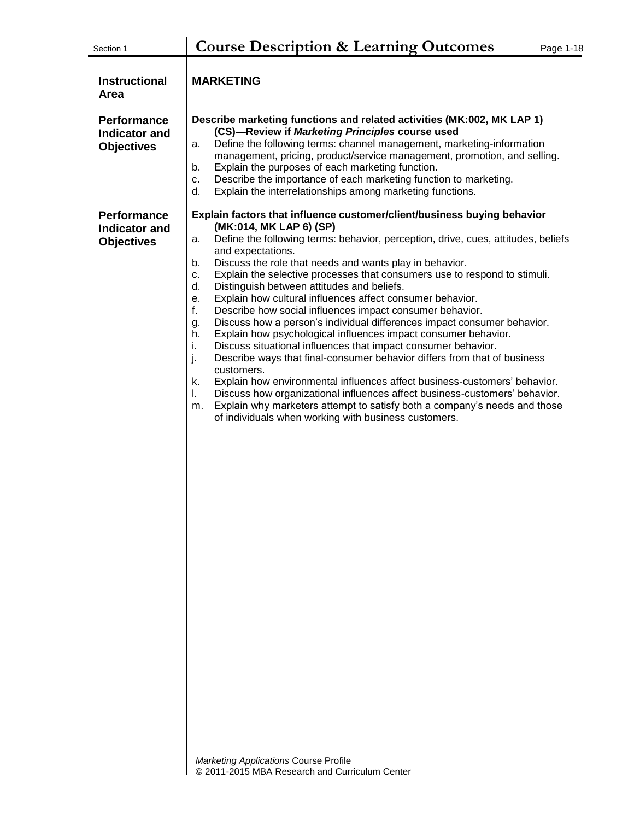| Section 1                                                       | <b>Course Description &amp; Learning Outcomes</b>                                                                                                                                                                                                                                                                                                                                                                                                                                                                                                                                                                                                                                                                                                                                                                                                                                                                                                                                                                                                                                                                                                                                                                 | Page 1-18 |
|-----------------------------------------------------------------|-------------------------------------------------------------------------------------------------------------------------------------------------------------------------------------------------------------------------------------------------------------------------------------------------------------------------------------------------------------------------------------------------------------------------------------------------------------------------------------------------------------------------------------------------------------------------------------------------------------------------------------------------------------------------------------------------------------------------------------------------------------------------------------------------------------------------------------------------------------------------------------------------------------------------------------------------------------------------------------------------------------------------------------------------------------------------------------------------------------------------------------------------------------------------------------------------------------------|-----------|
| <b>Instructional</b><br>Area                                    | <b>MARKETING</b>                                                                                                                                                                                                                                                                                                                                                                                                                                                                                                                                                                                                                                                                                                                                                                                                                                                                                                                                                                                                                                                                                                                                                                                                  |           |
| <b>Performance</b><br><b>Indicator and</b><br><b>Objectives</b> | Describe marketing functions and related activities (MK:002, MK LAP 1)<br>(CS)-Review if Marketing Principles course used<br>Define the following terms: channel management, marketing-information<br>a.<br>management, pricing, product/service management, promotion, and selling.<br>Explain the purposes of each marketing function.<br>b.<br>Describe the importance of each marketing function to marketing.<br>c.<br>Explain the interrelationships among marketing functions.<br>d.                                                                                                                                                                                                                                                                                                                                                                                                                                                                                                                                                                                                                                                                                                                       |           |
| <b>Performance</b><br><b>Indicator and</b><br><b>Objectives</b> | Explain factors that influence customer/client/business buying behavior<br>(MK:014, MK LAP 6) (SP)<br>Define the following terms: behavior, perception, drive, cues, attitudes, beliefs<br>a.<br>and expectations.<br>Discuss the role that needs and wants play in behavior.<br>b.<br>Explain the selective processes that consumers use to respond to stimuli.<br>c.<br>d.<br>Distinguish between attitudes and beliefs.<br>Explain how cultural influences affect consumer behavior.<br>е.<br>f.<br>Describe how social influences impact consumer behavior.<br>Discuss how a person's individual differences impact consumer behavior.<br>g.<br>Explain how psychological influences impact consumer behavior.<br>h.<br>Discuss situational influences that impact consumer behavior.<br>i.<br>j.<br>Describe ways that final-consumer behavior differs from that of business<br>customers.<br>Explain how environmental influences affect business-customers' behavior.<br>k.<br>L.<br>Discuss how organizational influences affect business-customers' behavior.<br>Explain why marketers attempt to satisfy both a company's needs and those<br>m.<br>of individuals when working with business customers. |           |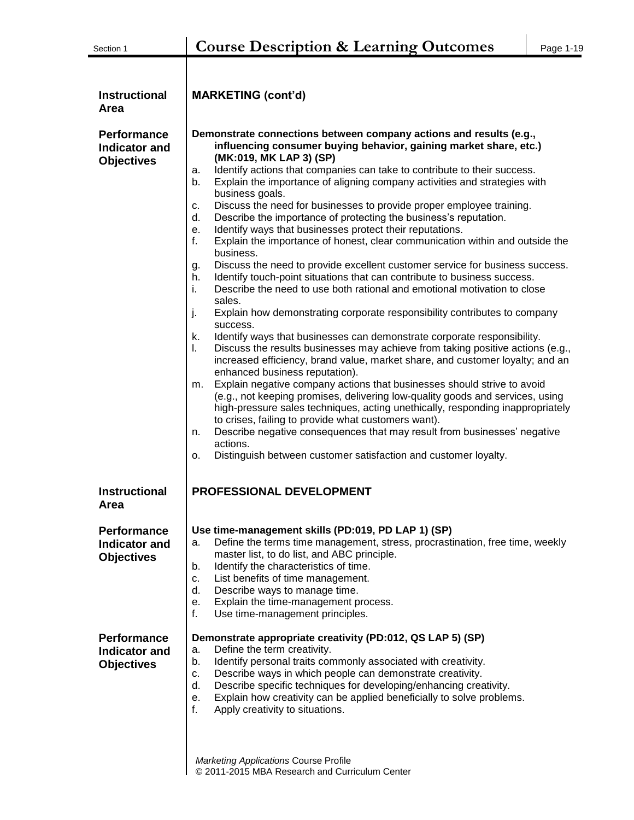| <b>Instructional</b><br>Area                                    | <b>MARKETING (cont'd)</b>                                                                                                                                                                                                                                                                                                                                                                                                                                                                                                                                                                                                                                                                                                                                                                                                                                                                                                                                                                                                                                                                                                                                                                                                                                                                                                                                                                                                                                                                                                                                                                                                                                                                                                                                                                                                                |
|-----------------------------------------------------------------|------------------------------------------------------------------------------------------------------------------------------------------------------------------------------------------------------------------------------------------------------------------------------------------------------------------------------------------------------------------------------------------------------------------------------------------------------------------------------------------------------------------------------------------------------------------------------------------------------------------------------------------------------------------------------------------------------------------------------------------------------------------------------------------------------------------------------------------------------------------------------------------------------------------------------------------------------------------------------------------------------------------------------------------------------------------------------------------------------------------------------------------------------------------------------------------------------------------------------------------------------------------------------------------------------------------------------------------------------------------------------------------------------------------------------------------------------------------------------------------------------------------------------------------------------------------------------------------------------------------------------------------------------------------------------------------------------------------------------------------------------------------------------------------------------------------------------------------|
| <b>Performance</b><br>Indicator and<br><b>Objectives</b>        | Demonstrate connections between company actions and results (e.g.,<br>influencing consumer buying behavior, gaining market share, etc.)<br>(MK:019, MK LAP 3) (SP)<br>Identify actions that companies can take to contribute to their success.<br>a.<br>Explain the importance of aligning company activities and strategies with<br>b.<br>business goals.<br>Discuss the need for businesses to provide proper employee training.<br>С.<br>Describe the importance of protecting the business's reputation.<br>d.<br>Identify ways that businesses protect their reputations.<br>е.<br>f.<br>Explain the importance of honest, clear communication within and outside the<br>business.<br>Discuss the need to provide excellent customer service for business success.<br>g.<br>Identify touch-point situations that can contribute to business success.<br>h.<br>Describe the need to use both rational and emotional motivation to close<br>i.<br>sales.<br>Explain how demonstrating corporate responsibility contributes to company<br>j.<br>success.<br>k.<br>Identify ways that businesses can demonstrate corporate responsibility.<br>Discuss the results businesses may achieve from taking positive actions (e.g.,<br>L.<br>increased efficiency, brand value, market share, and customer loyalty; and an<br>enhanced business reputation).<br>Explain negative company actions that businesses should strive to avoid<br>m.<br>(e.g., not keeping promises, delivering low-quality goods and services, using<br>high-pressure sales techniques, acting unethically, responding inappropriately<br>to crises, failing to provide what customers want).<br>Describe negative consequences that may result from businesses' negative<br>n.<br>actions.<br>Distinguish between customer satisfaction and customer loyalty.<br>о. |
| <b>Instructional</b><br><b>Area</b>                             | <b>PROFESSIONAL DEVELOPMENT</b>                                                                                                                                                                                                                                                                                                                                                                                                                                                                                                                                                                                                                                                                                                                                                                                                                                                                                                                                                                                                                                                                                                                                                                                                                                                                                                                                                                                                                                                                                                                                                                                                                                                                                                                                                                                                          |
| <b>Performance</b><br><b>Indicator and</b><br><b>Objectives</b> | Use time-management skills (PD:019, PD LAP 1) (SP)<br>Define the terms time management, stress, procrastination, free time, weekly<br>a.<br>master list, to do list, and ABC principle.<br>Identify the characteristics of time.<br>b.<br>List benefits of time management.<br>c.<br>d.<br>Describe ways to manage time.<br>Explain the time-management process.<br>е.<br>f.<br>Use time-management principles.                                                                                                                                                                                                                                                                                                                                                                                                                                                                                                                                                                                                                                                                                                                                                                                                                                                                                                                                                                                                                                                                                                                                                                                                                                                                                                                                                                                                                          |
| <b>Performance</b><br><b>Indicator and</b><br><b>Objectives</b> | Demonstrate appropriate creativity (PD:012, QS LAP 5) (SP)<br>Define the term creativity.<br>а.<br>Identify personal traits commonly associated with creativity.<br>b.<br>Describe ways in which people can demonstrate creativity.<br>с.<br>Describe specific techniques for developing/enhancing creativity.<br>d.<br>Explain how creativity can be applied beneficially to solve problems.<br>е.<br>f.<br>Apply creativity to situations.<br><b>Marketing Applications Course Profile</b><br>© 2011-2015 MBA Research and Curriculum Center                                                                                                                                                                                                                                                                                                                                                                                                                                                                                                                                                                                                                                                                                                                                                                                                                                                                                                                                                                                                                                                                                                                                                                                                                                                                                           |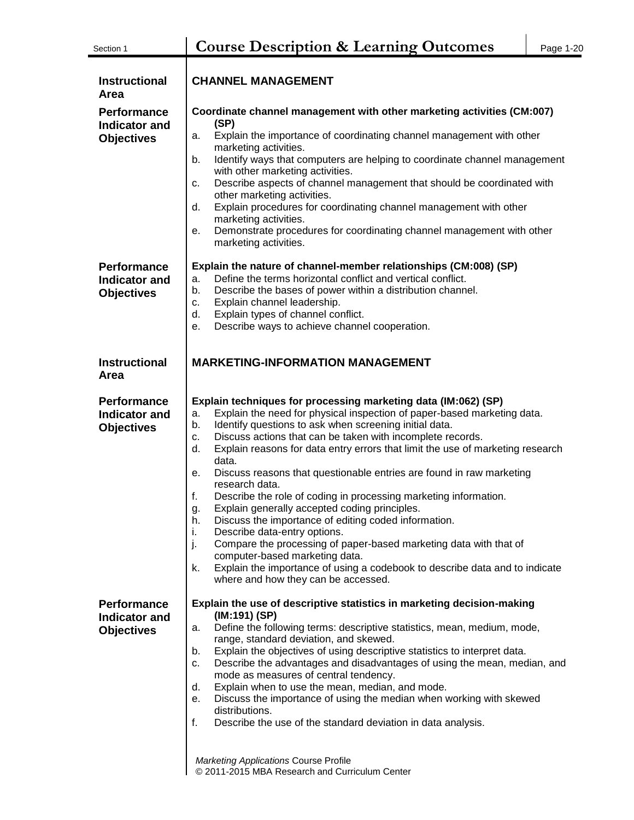| Section 1                                                       | <b>Course Description &amp; Learning Outcomes</b>                                                                                                                                                                                                                                                                                                                                                                                                                                                                                                                                                                                                                                                                                                                                                                                                                                                                                                                  | Page 1-20 |
|-----------------------------------------------------------------|--------------------------------------------------------------------------------------------------------------------------------------------------------------------------------------------------------------------------------------------------------------------------------------------------------------------------------------------------------------------------------------------------------------------------------------------------------------------------------------------------------------------------------------------------------------------------------------------------------------------------------------------------------------------------------------------------------------------------------------------------------------------------------------------------------------------------------------------------------------------------------------------------------------------------------------------------------------------|-----------|
| <b>Instructional</b><br>Area                                    | <b>CHANNEL MANAGEMENT</b>                                                                                                                                                                                                                                                                                                                                                                                                                                                                                                                                                                                                                                                                                                                                                                                                                                                                                                                                          |           |
| <b>Performance</b><br>Indicator and<br><b>Objectives</b>        | Coordinate channel management with other marketing activities (CM:007)<br>(SP)<br>Explain the importance of coordinating channel management with other<br>a.<br>marketing activities.<br>Identify ways that computers are helping to coordinate channel management<br>b.<br>with other marketing activities.<br>Describe aspects of channel management that should be coordinated with<br>c.<br>other marketing activities.<br>Explain procedures for coordinating channel management with other<br>d.<br>marketing activities.<br>Demonstrate procedures for coordinating channel management with other<br>е.<br>marketing activities.                                                                                                                                                                                                                                                                                                                            |           |
| <b>Performance</b><br><b>Indicator and</b><br><b>Objectives</b> | Explain the nature of channel-member relationships (CM:008) (SP)<br>Define the terms horizontal conflict and vertical conflict.<br>a.<br>Describe the bases of power within a distribution channel.<br>b.<br>Explain channel leadership.<br>c.<br>Explain types of channel conflict.<br>d.<br>Describe ways to achieve channel cooperation.<br>е.                                                                                                                                                                                                                                                                                                                                                                                                                                                                                                                                                                                                                  |           |
| <b>Instructional</b><br>Area                                    | <b>MARKETING-INFORMATION MANAGEMENT</b>                                                                                                                                                                                                                                                                                                                                                                                                                                                                                                                                                                                                                                                                                                                                                                                                                                                                                                                            |           |
| <b>Performance</b><br><b>Indicator and</b><br><b>Objectives</b> | Explain techniques for processing marketing data (IM:062) (SP)<br>Explain the need for physical inspection of paper-based marketing data.<br>a.<br>Identify questions to ask when screening initial data.<br>b.<br>Discuss actions that can be taken with incomplete records.<br>c.<br>d.<br>Explain reasons for data entry errors that limit the use of marketing research<br>data.<br>Discuss reasons that questionable entries are found in raw marketing<br>е.<br>research data.<br>f.<br>Describe the role of coding in processing marketing information.<br>Explain generally accepted coding principles.<br>g.<br>Discuss the importance of editing coded information.<br>h.<br>Describe data-entry options.<br>i.<br>j.<br>Compare the processing of paper-based marketing data with that of<br>computer-based marketing data.<br>k.<br>Explain the importance of using a codebook to describe data and to indicate<br>where and how they can be accessed. |           |
| <b>Performance</b><br><b>Indicator and</b><br><b>Objectives</b> | Explain the use of descriptive statistics in marketing decision-making<br>(IM:191) (SP)<br>Define the following terms: descriptive statistics, mean, medium, mode,<br>а.<br>range, standard deviation, and skewed.<br>Explain the objectives of using descriptive statistics to interpret data.<br>b.<br>Describe the advantages and disadvantages of using the mean, median, and<br>c.<br>mode as measures of central tendency.<br>Explain when to use the mean, median, and mode.<br>d.<br>Discuss the importance of using the median when working with skewed<br>е.<br>distributions.<br>f.<br>Describe the use of the standard deviation in data analysis.<br>Marketing Applications Course Profile<br>© 2011-2015 MBA Research and Curriculum Center                                                                                                                                                                                                          |           |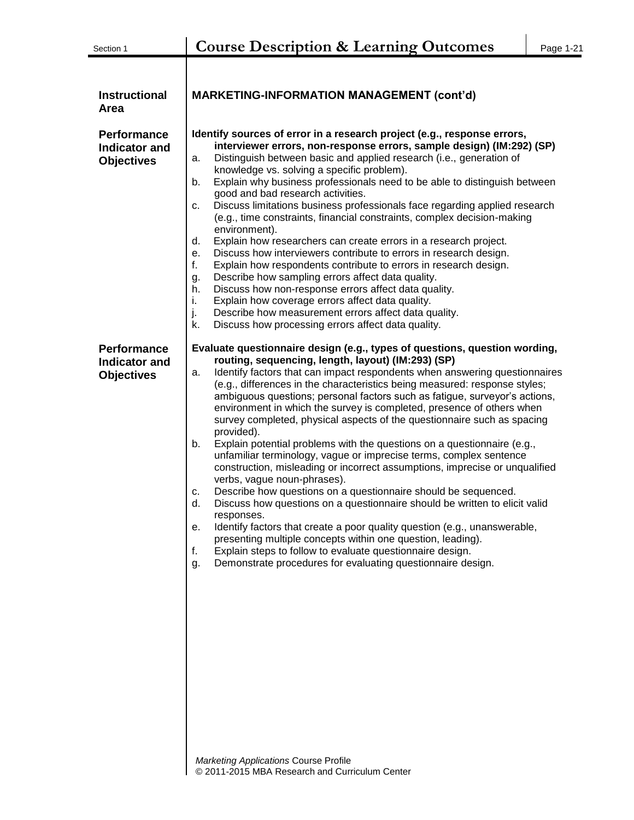| <b>Instructional</b><br>Area                                    | <b>MARKETING-INFORMATION MANAGEMENT (cont'd)</b>                                                                                                                                                                                                                                                                                                                                                                                                                                                                                                                                                                                                                                                                                                                                                                                                                                                                                                                                                                                                                                                                                                                                                                                                                                            |
|-----------------------------------------------------------------|---------------------------------------------------------------------------------------------------------------------------------------------------------------------------------------------------------------------------------------------------------------------------------------------------------------------------------------------------------------------------------------------------------------------------------------------------------------------------------------------------------------------------------------------------------------------------------------------------------------------------------------------------------------------------------------------------------------------------------------------------------------------------------------------------------------------------------------------------------------------------------------------------------------------------------------------------------------------------------------------------------------------------------------------------------------------------------------------------------------------------------------------------------------------------------------------------------------------------------------------------------------------------------------------|
| <b>Performance</b><br><b>Indicator and</b><br><b>Objectives</b> | Identify sources of error in a research project (e.g., response errors,<br>interviewer errors, non-response errors, sample design) (IM:292) (SP)<br>Distinguish between basic and applied research (i.e., generation of<br>а.<br>knowledge vs. solving a specific problem).<br>Explain why business professionals need to be able to distinguish between<br>b.<br>good and bad research activities.<br>Discuss limitations business professionals face regarding applied research<br>c.<br>(e.g., time constraints, financial constraints, complex decision-making<br>environment).<br>d.<br>Explain how researchers can create errors in a research project.<br>Discuss how interviewers contribute to errors in research design.<br>е.<br>f.<br>Explain how respondents contribute to errors in research design.<br>Describe how sampling errors affect data quality.<br>g.<br>Discuss how non-response errors affect data quality.<br>h.<br>Explain how coverage errors affect data quality.<br>i.<br>j.<br>Describe how measurement errors affect data quality.<br>Discuss how processing errors affect data quality.<br>k.                                                                                                                                                             |
| <b>Performance</b><br><b>Indicator and</b><br><b>Objectives</b> | Evaluate questionnaire design (e.g., types of questions, question wording,<br>routing, sequencing, length, layout) (IM:293) (SP)<br>Identify factors that can impact respondents when answering questionnaires<br>a.<br>(e.g., differences in the characteristics being measured: response styles;<br>ambiguous questions; personal factors such as fatigue, surveyor's actions,<br>environment in which the survey is completed, presence of others when<br>survey completed, physical aspects of the questionnaire such as spacing<br>provided).<br>Explain potential problems with the questions on a questionnaire (e.g.,<br>b.<br>unfamiliar terminology, vague or imprecise terms, complex sentence<br>construction, misleading or incorrect assumptions, imprecise or unqualified<br>verbs, vague noun-phrases).<br>Describe how questions on a questionnaire should be sequenced.<br>c.<br>Discuss how questions on a questionnaire should be written to elicit valid<br>d.<br>responses.<br>Identify factors that create a poor quality question (e.g., unanswerable,<br>е.<br>presenting multiple concepts within one question, leading).<br>Explain steps to follow to evaluate questionnaire design.<br>f.<br>Demonstrate procedures for evaluating questionnaire design.<br>g. |

*Marketing Applications* Course Profile © 2011-2015 MBA Research and Curriculum Center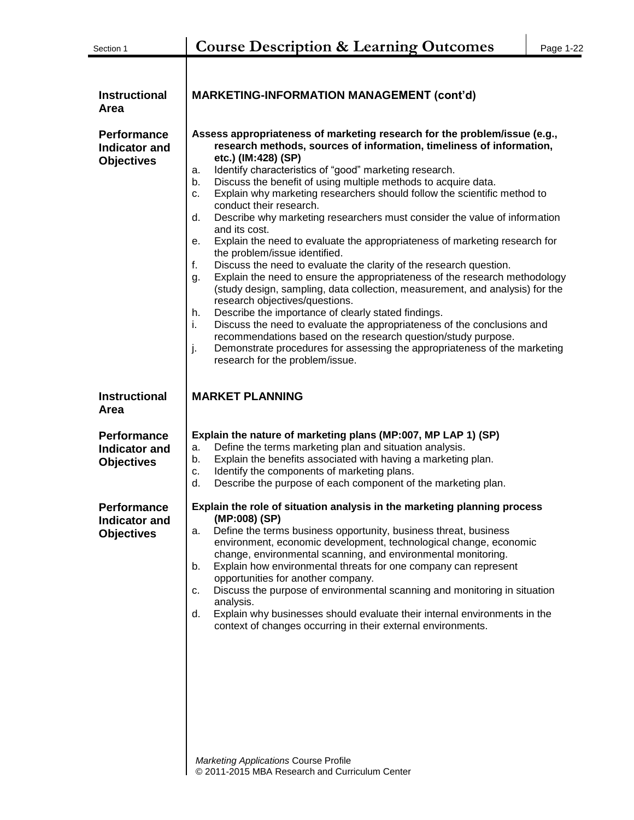| <b>Instructional</b><br>Area                                    | <b>MARKETING-INFORMATION MANAGEMENT (cont'd)</b>                                                                                                                                                                                                                                                                                                                                                                                                                                                                                                                                                                                                                                                                                                                                                                                                                                                                                                                                                                                                                                                                                                                                                                                                                              |
|-----------------------------------------------------------------|-------------------------------------------------------------------------------------------------------------------------------------------------------------------------------------------------------------------------------------------------------------------------------------------------------------------------------------------------------------------------------------------------------------------------------------------------------------------------------------------------------------------------------------------------------------------------------------------------------------------------------------------------------------------------------------------------------------------------------------------------------------------------------------------------------------------------------------------------------------------------------------------------------------------------------------------------------------------------------------------------------------------------------------------------------------------------------------------------------------------------------------------------------------------------------------------------------------------------------------------------------------------------------|
| <b>Performance</b><br>Indicator and<br><b>Objectives</b>        | Assess appropriateness of marketing research for the problem/issue (e.g.,<br>research methods, sources of information, timeliness of information,<br>etc.) (IM:428) (SP)<br>Identify characteristics of "good" marketing research.<br>a.<br>Discuss the benefit of using multiple methods to acquire data.<br>b.<br>Explain why marketing researchers should follow the scientific method to<br>c.<br>conduct their research.<br>Describe why marketing researchers must consider the value of information<br>d.<br>and its cost.<br>Explain the need to evaluate the appropriateness of marketing research for<br>е.<br>the problem/issue identified.<br>f.<br>Discuss the need to evaluate the clarity of the research question.<br>Explain the need to ensure the appropriateness of the research methodology<br>g.<br>(study design, sampling, data collection, measurement, and analysis) for the<br>research objectives/questions.<br>Describe the importance of clearly stated findings.<br>h.<br>Discuss the need to evaluate the appropriateness of the conclusions and<br>i.<br>recommendations based on the research question/study purpose.<br>j.<br>Demonstrate procedures for assessing the appropriateness of the marketing<br>research for the problem/issue. |
| <b>Instructional</b><br>Area                                    | <b>MARKET PLANNING</b>                                                                                                                                                                                                                                                                                                                                                                                                                                                                                                                                                                                                                                                                                                                                                                                                                                                                                                                                                                                                                                                                                                                                                                                                                                                        |
| <b>Performance</b><br><b>Indicator and</b><br><b>Objectives</b> | Explain the nature of marketing plans (MP:007, MP LAP 1) (SP)<br>Define the terms marketing plan and situation analysis.<br>a.<br>Explain the benefits associated with having a marketing plan.<br>b.<br>Identify the components of marketing plans.<br>c.<br>d.<br>Describe the purpose of each component of the marketing plan.                                                                                                                                                                                                                                                                                                                                                                                                                                                                                                                                                                                                                                                                                                                                                                                                                                                                                                                                             |
| <b>Performance</b><br><b>Indicator and</b><br><b>Objectives</b> | Explain the role of situation analysis in the marketing planning process<br>(MP:008) (SP)<br>Define the terms business opportunity, business threat, business<br>a.<br>environment, economic development, technological change, economic<br>change, environmental scanning, and environmental monitoring.<br>Explain how environmental threats for one company can represent<br>b.<br>opportunities for another company.<br>Discuss the purpose of environmental scanning and monitoring in situation<br>С.<br>analysis.<br>Explain why businesses should evaluate their internal environments in the<br>d.<br>context of changes occurring in their external environments.<br><b>Marketing Applications Course Profile</b>                                                                                                                                                                                                                                                                                                                                                                                                                                                                                                                                                   |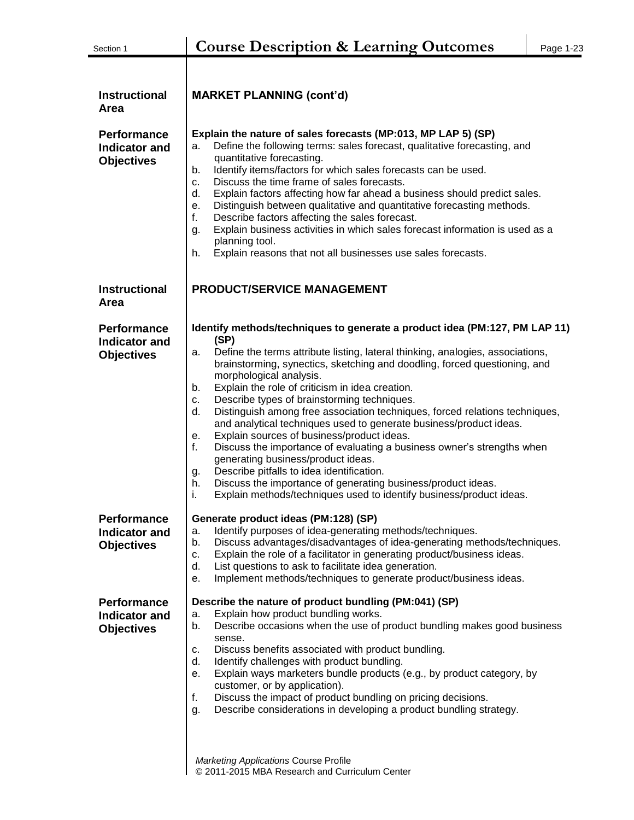| <b>Instructional</b><br><b>Area</b>                             | <b>MARKET PLANNING (cont'd)</b>                                                                                                                                                                                                                                                                                                                                                                                                                                                                                                                                                                                                                                                                                                                                                                                                                                                                                                             |
|-----------------------------------------------------------------|---------------------------------------------------------------------------------------------------------------------------------------------------------------------------------------------------------------------------------------------------------------------------------------------------------------------------------------------------------------------------------------------------------------------------------------------------------------------------------------------------------------------------------------------------------------------------------------------------------------------------------------------------------------------------------------------------------------------------------------------------------------------------------------------------------------------------------------------------------------------------------------------------------------------------------------------|
| Performance<br><b>Indicator and</b><br><b>Objectives</b>        | Explain the nature of sales forecasts (MP:013, MP LAP 5) (SP)<br>Define the following terms: sales forecast, qualitative forecasting, and<br>a.<br>quantitative forecasting.<br>Identify items/factors for which sales forecasts can be used.<br>b.<br>Discuss the time frame of sales forecasts.<br>c.<br>d.<br>Explain factors affecting how far ahead a business should predict sales.<br>Distinguish between qualitative and quantitative forecasting methods.<br>е.<br>f.<br>Describe factors affecting the sales forecast.<br>Explain business activities in which sales forecast information is used as a<br>g.<br>planning tool.<br>Explain reasons that not all businesses use sales forecasts.<br>h.                                                                                                                                                                                                                              |
| <b>Instructional</b><br><b>Area</b>                             | <b>PRODUCT/SERVICE MANAGEMENT</b>                                                                                                                                                                                                                                                                                                                                                                                                                                                                                                                                                                                                                                                                                                                                                                                                                                                                                                           |
| <b>Performance</b><br><b>Indicator and</b><br><b>Objectives</b> | Identify methods/techniques to generate a product idea (PM:127, PM LAP 11)<br>(SP)<br>Define the terms attribute listing, lateral thinking, analogies, associations,<br>а.<br>brainstorming, synectics, sketching and doodling, forced questioning, and<br>morphological analysis.<br>Explain the role of criticism in idea creation.<br>b.<br>Describe types of brainstorming techniques.<br>c.<br>d.<br>Distinguish among free association techniques, forced relations techniques,<br>and analytical techniques used to generate business/product ideas.<br>Explain sources of business/product ideas.<br>е.<br>f.<br>Discuss the importance of evaluating a business owner's strengths when<br>generating business/product ideas.<br>Describe pitfalls to idea identification.<br>g.<br>Discuss the importance of generating business/product ideas.<br>h.<br>Explain methods/techniques used to identify business/product ideas.<br>i. |
| <b>Performance</b><br><b>Indicator and</b><br><b>Objectives</b> | Generate product ideas (PM:128) (SP)<br>Identify purposes of idea-generating methods/techniques.<br>a.<br>Discuss advantages/disadvantages of idea-generating methods/techniques.<br>b.<br>Explain the role of a facilitator in generating product/business ideas.<br>c.<br>List questions to ask to facilitate idea generation.<br>d.<br>Implement methods/techniques to generate product/business ideas.<br>е.                                                                                                                                                                                                                                                                                                                                                                                                                                                                                                                            |
| <b>Performance</b><br><b>Indicator and</b><br><b>Objectives</b> | Describe the nature of product bundling (PM:041) (SP)<br>Explain how product bundling works.<br>a.<br>Describe occasions when the use of product bundling makes good business<br>b.<br>sense.<br>Discuss benefits associated with product bundling.<br>С.<br>Identify challenges with product bundling.<br>d.<br>Explain ways marketers bundle products (e.g., by product category, by<br>е.<br>customer, or by application).<br>Discuss the impact of product bundling on pricing decisions.<br>f.<br>Describe considerations in developing a product bundling strategy.<br>g.<br><b>Marketing Applications Course Profile</b>                                                                                                                                                                                                                                                                                                             |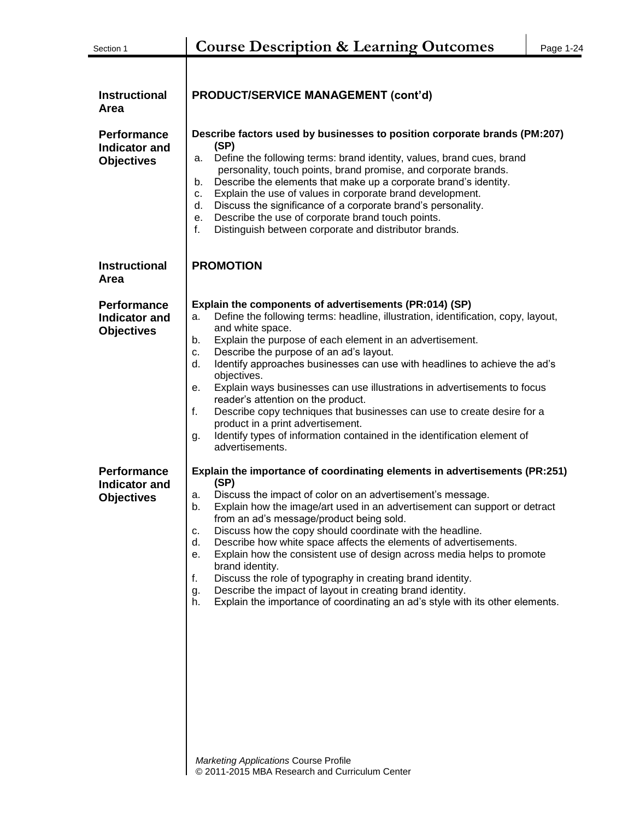| Section 1                                                       | <b>Course Description &amp; Learning Outcomes</b><br>Page 1-24                                                                                                                                                                                                                                                                                                                                                                                                                                                                                                                                                                                                                                                                                                      |
|-----------------------------------------------------------------|---------------------------------------------------------------------------------------------------------------------------------------------------------------------------------------------------------------------------------------------------------------------------------------------------------------------------------------------------------------------------------------------------------------------------------------------------------------------------------------------------------------------------------------------------------------------------------------------------------------------------------------------------------------------------------------------------------------------------------------------------------------------|
| <b>Instructional</b><br><b>Area</b>                             | <b>PRODUCT/SERVICE MANAGEMENT (cont'd)</b>                                                                                                                                                                                                                                                                                                                                                                                                                                                                                                                                                                                                                                                                                                                          |
| <b>Performance</b><br><b>Indicator and</b><br><b>Objectives</b> | Describe factors used by businesses to position corporate brands (PM:207)<br>(SP)<br>Define the following terms: brand identity, values, brand cues, brand<br>а.<br>personality, touch points, brand promise, and corporate brands.<br>Describe the elements that make up a corporate brand's identity.<br>b.<br>Explain the use of values in corporate brand development.<br>с.<br>Discuss the significance of a corporate brand's personality.<br>d.<br>Describe the use of corporate brand touch points.<br>е.<br>f.<br>Distinguish between corporate and distributor brands.                                                                                                                                                                                    |
| <b>Instructional</b><br><b>Area</b>                             | <b>PROMOTION</b>                                                                                                                                                                                                                                                                                                                                                                                                                                                                                                                                                                                                                                                                                                                                                    |
| <b>Performance</b><br>Indicator and<br><b>Objectives</b>        | Explain the components of advertisements (PR:014) (SP)<br>Define the following terms: headline, illustration, identification, copy, layout,<br>a.<br>and white space.<br>Explain the purpose of each element in an advertisement.<br>b.<br>Describe the purpose of an ad's layout.<br>c.<br>Identify approaches businesses can use with headlines to achieve the ad's<br>d.<br>objectives.<br>Explain ways businesses can use illustrations in advertisements to focus<br>е.<br>reader's attention on the product.<br>f.<br>Describe copy techniques that businesses can use to create desire for a<br>product in a print advertisement.<br>Identify types of information contained in the identification element of<br>g.<br>advertisements.                       |
| <b>Performance</b><br><b>Indicator and</b><br><b>Objectives</b> | Explain the importance of coordinating elements in advertisements (PR:251)<br>(SP)<br>Discuss the impact of color on an advertisement's message.<br>а.<br>Explain how the image/art used in an advertisement can support or detract<br>b.<br>from an ad's message/product being sold.<br>Discuss how the copy should coordinate with the headline.<br>c.<br>Describe how white space affects the elements of advertisements.<br>d.<br>Explain how the consistent use of design across media helps to promote<br>е.<br>brand identity.<br>Discuss the role of typography in creating brand identity.<br>f.<br>Describe the impact of layout in creating brand identity.<br>g.<br>Explain the importance of coordinating an ad's style with its other elements.<br>h. |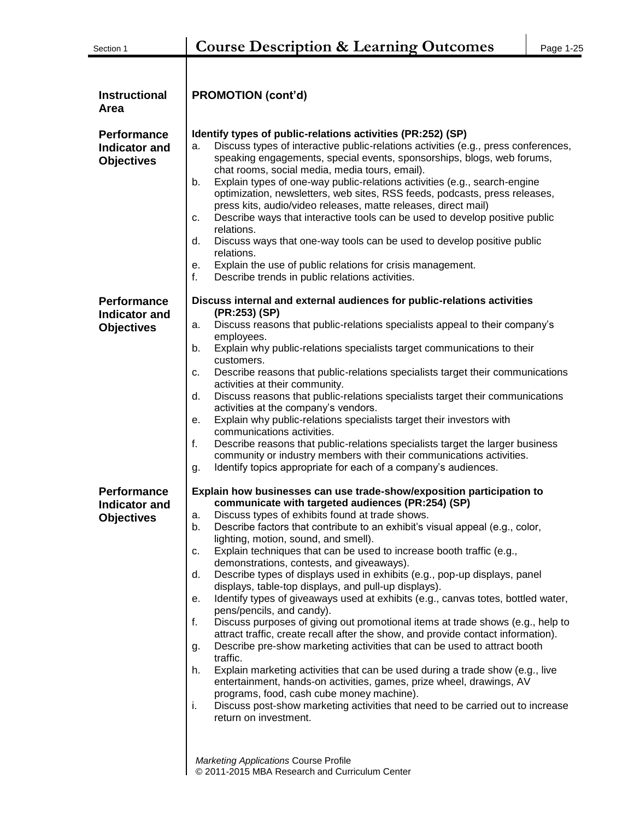| Section 1                                                       | <b>Course Description &amp; Learning Outcomes</b>                                                                                                                                                                                                                                                                                                                                                                                                                                                                                                                                                                                                                                                                                                                                                                                                                                                                                                                                                                                                                                                                                                                                                                                                                                                                     | Page 1-25 |
|-----------------------------------------------------------------|-----------------------------------------------------------------------------------------------------------------------------------------------------------------------------------------------------------------------------------------------------------------------------------------------------------------------------------------------------------------------------------------------------------------------------------------------------------------------------------------------------------------------------------------------------------------------------------------------------------------------------------------------------------------------------------------------------------------------------------------------------------------------------------------------------------------------------------------------------------------------------------------------------------------------------------------------------------------------------------------------------------------------------------------------------------------------------------------------------------------------------------------------------------------------------------------------------------------------------------------------------------------------------------------------------------------------|-----------|
| <b>Instructional</b><br>Area                                    | <b>PROMOTION (cont'd)</b>                                                                                                                                                                                                                                                                                                                                                                                                                                                                                                                                                                                                                                                                                                                                                                                                                                                                                                                                                                                                                                                                                                                                                                                                                                                                                             |           |
| <b>Performance</b><br><b>Indicator and</b><br><b>Objectives</b> | Identify types of public-relations activities (PR:252) (SP)<br>Discuss types of interactive public-relations activities (e.g., press conferences,<br>a.<br>speaking engagements, special events, sponsorships, blogs, web forums,<br>chat rooms, social media, media tours, email).<br>Explain types of one-way public-relations activities (e.g., search-engine<br>b.<br>optimization, newsletters, web sites, RSS feeds, podcasts, press releases,<br>press kits, audio/video releases, matte releases, direct mail)<br>Describe ways that interactive tools can be used to develop positive public<br>c.<br>relations.<br>d.<br>Discuss ways that one-way tools can be used to develop positive public<br>relations.<br>Explain the use of public relations for crisis management.<br>е.<br>f.<br>Describe trends in public relations activities.                                                                                                                                                                                                                                                                                                                                                                                                                                                                  |           |
| <b>Performance</b><br><b>Indicator and</b><br><b>Objectives</b> | Discuss internal and external audiences for public-relations activities<br>(PR:253) (SP)<br>Discuss reasons that public-relations specialists appeal to their company's<br>а.<br>employees.<br>Explain why public-relations specialists target communications to their<br>b.<br>customers.<br>Describe reasons that public-relations specialists target their communications<br>c.<br>activities at their community.<br>Discuss reasons that public-relations specialists target their communications<br>d.<br>activities at the company's vendors.<br>Explain why public-relations specialists target their investors with<br>е.<br>communications activities.<br>Describe reasons that public-relations specialists target the larger business<br>f.<br>community or industry members with their communications activities.<br>Identify topics appropriate for each of a company's audiences.<br>g.                                                                                                                                                                                                                                                                                                                                                                                                                 |           |
| <b>Performance</b><br><b>Indicator and</b><br><b>Objectives</b> | Explain how businesses can use trade-show/exposition participation to<br>communicate with targeted audiences (PR:254) (SP)<br>Discuss types of exhibits found at trade shows.<br>a.<br>Describe factors that contribute to an exhibit's visual appeal (e.g., color,<br>b.<br>lighting, motion, sound, and smell).<br>Explain techniques that can be used to increase booth traffic (e.g.,<br>c.<br>demonstrations, contests, and giveaways).<br>Describe types of displays used in exhibits (e.g., pop-up displays, panel<br>d.<br>displays, table-top displays, and pull-up displays).<br>Identify types of giveaways used at exhibits (e.g., canvas totes, bottled water,<br>е.<br>pens/pencils, and candy).<br>f.<br>Discuss purposes of giving out promotional items at trade shows (e.g., help to<br>attract traffic, create recall after the show, and provide contact information).<br>Describe pre-show marketing activities that can be used to attract booth<br>g.<br>traffic.<br>Explain marketing activities that can be used during a trade show (e.g., live<br>h.<br>entertainment, hands-on activities, games, prize wheel, drawings, AV<br>programs, food, cash cube money machine).<br>i.<br>Discuss post-show marketing activities that need to be carried out to increase<br>return on investment. |           |

*Marketing Applications* Course Profile © 2011-2015 MBA Research and Curriculum Center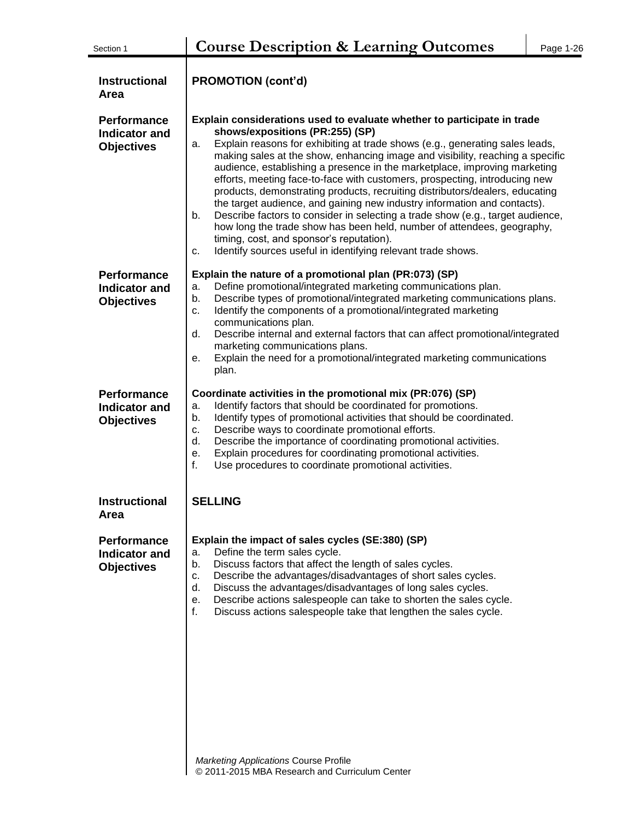| Section 1                                                       | <b>Course Description &amp; Learning Outcomes</b><br>Page 1-26                                                                                                                                                                                                                                                                                                                                                                                                                                                                                                                                                                                                                                                                                                                                                                                                                               |  |  |  |  |  |  |  |
|-----------------------------------------------------------------|----------------------------------------------------------------------------------------------------------------------------------------------------------------------------------------------------------------------------------------------------------------------------------------------------------------------------------------------------------------------------------------------------------------------------------------------------------------------------------------------------------------------------------------------------------------------------------------------------------------------------------------------------------------------------------------------------------------------------------------------------------------------------------------------------------------------------------------------------------------------------------------------|--|--|--|--|--|--|--|
| <b>Instructional</b><br>Area                                    | <b>PROMOTION (cont'd)</b>                                                                                                                                                                                                                                                                                                                                                                                                                                                                                                                                                                                                                                                                                                                                                                                                                                                                    |  |  |  |  |  |  |  |
| <b>Performance</b><br><b>Indicator and</b><br><b>Objectives</b> | Explain considerations used to evaluate whether to participate in trade<br>shows/expositions (PR:255) (SP)<br>Explain reasons for exhibiting at trade shows (e.g., generating sales leads,<br>a.<br>making sales at the show, enhancing image and visibility, reaching a specific<br>audience, establishing a presence in the marketplace, improving marketing<br>efforts, meeting face-to-face with customers, prospecting, introducing new<br>products, demonstrating products, recruiting distributors/dealers, educating<br>the target audience, and gaining new industry information and contacts).<br>Describe factors to consider in selecting a trade show (e.g., target audience,<br>b.<br>how long the trade show has been held, number of attendees, geography,<br>timing, cost, and sponsor's reputation).<br>Identify sources useful in identifying relevant trade shows.<br>c. |  |  |  |  |  |  |  |
| <b>Performance</b><br>Indicator and<br><b>Objectives</b>        | Explain the nature of a promotional plan (PR:073) (SP)<br>Define promotional/integrated marketing communications plan.<br>a.<br>Describe types of promotional/integrated marketing communications plans.<br>b.<br>Identify the components of a promotional/integrated marketing<br>c.<br>communications plan.<br>Describe internal and external factors that can affect promotional/integrated<br>d.<br>marketing communications plans.<br>Explain the need for a promotional/integrated marketing communications<br>е.<br>plan.                                                                                                                                                                                                                                                                                                                                                             |  |  |  |  |  |  |  |
| <b>Performance</b><br><b>Indicator and</b><br><b>Objectives</b> | Coordinate activities in the promotional mix (PR:076) (SP)<br>Identify factors that should be coordinated for promotions.<br>a.<br>Identify types of promotional activities that should be coordinated.<br>b.<br>Describe ways to coordinate promotional efforts.<br>c.<br>Describe the importance of coordinating promotional activities.<br>d.<br>Explain procedures for coordinating promotional activities.<br>е.<br>f.<br>Use procedures to coordinate promotional activities.                                                                                                                                                                                                                                                                                                                                                                                                          |  |  |  |  |  |  |  |
| <b>Instructional</b><br>Area                                    | <b>SELLING</b>                                                                                                                                                                                                                                                                                                                                                                                                                                                                                                                                                                                                                                                                                                                                                                                                                                                                               |  |  |  |  |  |  |  |
| <b>Performance</b><br><b>Indicator and</b><br><b>Objectives</b> | Explain the impact of sales cycles (SE:380) (SP)<br>Define the term sales cycle.<br>a.<br>Discuss factors that affect the length of sales cycles.<br>b.<br>Describe the advantages/disadvantages of short sales cycles.<br>c.<br>d.<br>Discuss the advantages/disadvantages of long sales cycles.<br>Describe actions salespeople can take to shorten the sales cycle.<br>е.<br>f.<br>Discuss actions salespeople take that lengthen the sales cycle.                                                                                                                                                                                                                                                                                                                                                                                                                                        |  |  |  |  |  |  |  |
|                                                                 | Marketing Applications Course Profile<br>© 2011-2015 MBA Research and Curriculum Center                                                                                                                                                                                                                                                                                                                                                                                                                                                                                                                                                                                                                                                                                                                                                                                                      |  |  |  |  |  |  |  |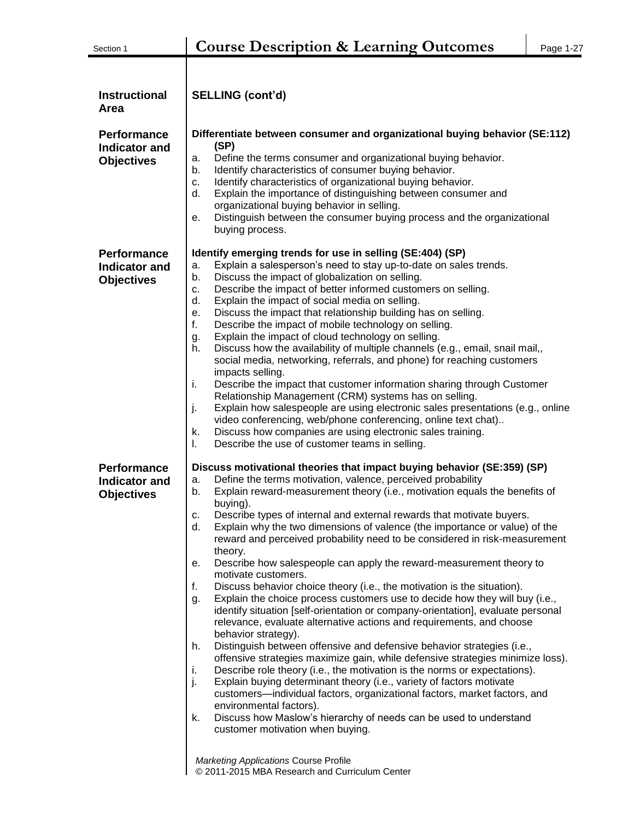| <b>Instructional</b><br>Area                                    | <b>SELLING (cont'd)</b>                                                                                                                                                                                                                                                                                                                                                                                                                                                                                                                                                                                                                                                                                                                                                                                                                                                                                                                                                                                                                                                                                                                                                                                                                                                                                                                                                                                                                                                                                                                                                                                                          |
|-----------------------------------------------------------------|----------------------------------------------------------------------------------------------------------------------------------------------------------------------------------------------------------------------------------------------------------------------------------------------------------------------------------------------------------------------------------------------------------------------------------------------------------------------------------------------------------------------------------------------------------------------------------------------------------------------------------------------------------------------------------------------------------------------------------------------------------------------------------------------------------------------------------------------------------------------------------------------------------------------------------------------------------------------------------------------------------------------------------------------------------------------------------------------------------------------------------------------------------------------------------------------------------------------------------------------------------------------------------------------------------------------------------------------------------------------------------------------------------------------------------------------------------------------------------------------------------------------------------------------------------------------------------------------------------------------------------|
| <b>Performance</b><br><b>Indicator and</b><br><b>Objectives</b> | Differentiate between consumer and organizational buying behavior (SE:112)<br>(SP)<br>Define the terms consumer and organizational buying behavior.<br>a.<br>Identify characteristics of consumer buying behavior.<br>b.<br>Identify characteristics of organizational buying behavior.<br>c.<br>d.<br>Explain the importance of distinguishing between consumer and<br>organizational buying behavior in selling.<br>Distinguish between the consumer buying process and the organizational<br>е.<br>buying process.                                                                                                                                                                                                                                                                                                                                                                                                                                                                                                                                                                                                                                                                                                                                                                                                                                                                                                                                                                                                                                                                                                            |
| <b>Performance</b><br><b>Indicator and</b><br><b>Objectives</b> | Identify emerging trends for use in selling (SE:404) (SP)<br>Explain a salesperson's need to stay up-to-date on sales trends.<br>a.<br>Discuss the impact of globalization on selling.<br>b.<br>Describe the impact of better informed customers on selling.<br>c.<br>d.<br>Explain the impact of social media on selling.<br>Discuss the impact that relationship building has on selling.<br>е.<br>f.<br>Describe the impact of mobile technology on selling.<br>Explain the impact of cloud technology on selling.<br>g.<br>Discuss how the availability of multiple channels (e.g., email, snail mail,,<br>h.<br>social media, networking, referrals, and phone) for reaching customers<br>impacts selling.<br>i.<br>Describe the impact that customer information sharing through Customer<br>Relationship Management (CRM) systems has on selling.<br>j.<br>Explain how salespeople are using electronic sales presentations (e.g., online<br>video conferencing, web/phone conferencing, online text chat)<br>Discuss how companies are using electronic sales training.<br>k.<br>Describe the use of customer teams in selling.<br>I.                                                                                                                                                                                                                                                                                                                                                                                                                                                                                    |
| <b>Performance</b><br><b>Indicator and</b><br><b>Objectives</b> | Discuss motivational theories that impact buying behavior (SE:359) (SP)<br>Define the terms motivation, valence, perceived probability<br>a.<br>Explain reward-measurement theory (i.e., motivation equals the benefits of<br>b.<br>buying).<br>Describe types of internal and external rewards that motivate buyers.<br>c.<br>d.<br>Explain why the two dimensions of valence (the importance or value) of the<br>reward and perceived probability need to be considered in risk-measurement<br>theory.<br>Describe how salespeople can apply the reward-measurement theory to<br>е.<br>motivate customers.<br>f.<br>Discuss behavior choice theory (i.e., the motivation is the situation).<br>Explain the choice process customers use to decide how they will buy (i.e.,<br>g.<br>identify situation [self-orientation or company-orientation], evaluate personal<br>relevance, evaluate alternative actions and requirements, and choose<br>behavior strategy).<br>Distinguish between offensive and defensive behavior strategies (i.e.,<br>h.<br>offensive strategies maximize gain, while defensive strategies minimize loss).<br>Describe role theory (i.e., the motivation is the norms or expectations).<br>i.<br>j.<br>Explain buying determinant theory (i.e., variety of factors motivate<br>customers-individual factors, organizational factors, market factors, and<br>environmental factors).<br>Discuss how Maslow's hierarchy of needs can be used to understand<br>k.<br>customer motivation when buying.<br><b>Marketing Applications Course Profile</b><br>© 2011-2015 MBA Research and Curriculum Center |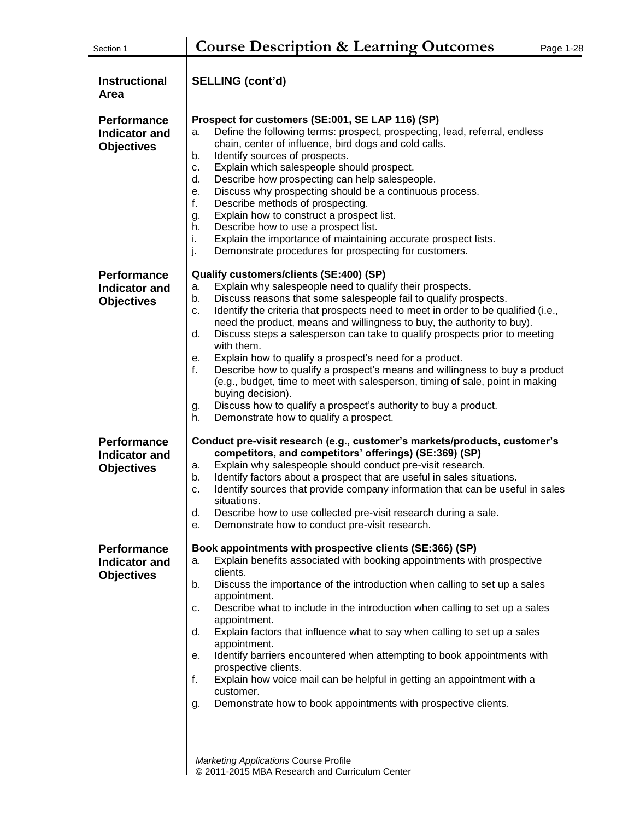| Section 1                                                       | <b>Course Description &amp; Learning Outcomes</b><br>Page 1-28                                                                                                                                                                                                                                                                                                                                                                                                                                                                                                                                                                                                                                                                                                                                                                                  |  |  |  |  |  |  |  |  |
|-----------------------------------------------------------------|-------------------------------------------------------------------------------------------------------------------------------------------------------------------------------------------------------------------------------------------------------------------------------------------------------------------------------------------------------------------------------------------------------------------------------------------------------------------------------------------------------------------------------------------------------------------------------------------------------------------------------------------------------------------------------------------------------------------------------------------------------------------------------------------------------------------------------------------------|--|--|--|--|--|--|--|--|
| <b>Instructional</b><br>Area                                    | <b>SELLING (cont'd)</b>                                                                                                                                                                                                                                                                                                                                                                                                                                                                                                                                                                                                                                                                                                                                                                                                                         |  |  |  |  |  |  |  |  |
| <b>Performance</b><br><b>Indicator and</b><br><b>Objectives</b> | Prospect for customers (SE:001, SE LAP 116) (SP)<br>Define the following terms: prospect, prospecting, lead, referral, endless<br>a.<br>chain, center of influence, bird dogs and cold calls.<br>Identify sources of prospects.<br>b.<br>Explain which salespeople should prospect.<br>c.<br>d.<br>Describe how prospecting can help salespeople.<br>Discuss why prospecting should be a continuous process.<br>е.<br>f.<br>Describe methods of prospecting.<br>Explain how to construct a prospect list.<br>g.<br>h.<br>Describe how to use a prospect list.<br>i.<br>Explain the importance of maintaining accurate prospect lists.<br>j.<br>Demonstrate procedures for prospecting for customers.                                                                                                                                            |  |  |  |  |  |  |  |  |
| <b>Performance</b><br>Indicator and<br><b>Objectives</b>        | Qualify customers/clients (SE:400) (SP)<br>Explain why salespeople need to qualify their prospects.<br>a.<br>Discuss reasons that some salespeople fail to qualify prospects.<br>b.<br>Identify the criteria that prospects need to meet in order to be qualified (i.e.,<br>c.<br>need the product, means and willingness to buy, the authority to buy).<br>Discuss steps a salesperson can take to qualify prospects prior to meeting<br>d.<br>with them.<br>Explain how to qualify a prospect's need for a product.<br>е.<br>f.<br>Describe how to qualify a prospect's means and willingness to buy a product<br>(e.g., budget, time to meet with salesperson, timing of sale, point in making<br>buying decision).<br>Discuss how to qualify a prospect's authority to buy a product.<br>g.<br>Demonstrate how to qualify a prospect.<br>h. |  |  |  |  |  |  |  |  |
| <b>Performance</b><br><b>Indicator and</b><br><b>Objectives</b> | Conduct pre-visit research (e.g., customer's markets/products, customer's<br>competitors, and competitors' offerings) (SE:369) (SP)<br>Explain why salespeople should conduct pre-visit research.<br>a.<br>Identify factors about a prospect that are useful in sales situations.<br>b.<br>Identify sources that provide company information that can be useful in sales<br>c.<br>situations.<br>d.<br>Describe how to use collected pre-visit research during a sale.<br>Demonstrate how to conduct pre-visit research.<br>е.                                                                                                                                                                                                                                                                                                                  |  |  |  |  |  |  |  |  |
| <b>Performance</b><br><b>Indicator and</b><br><b>Objectives</b> | Book appointments with prospective clients (SE:366) (SP)<br>Explain benefits associated with booking appointments with prospective<br>a.<br>clients.<br>Discuss the importance of the introduction when calling to set up a sales<br>b.<br>appointment.<br>Describe what to include in the introduction when calling to set up a sales<br>c.<br>appointment.<br>Explain factors that influence what to say when calling to set up a sales<br>d.<br>appointment.<br>Identify barriers encountered when attempting to book appointments with<br>е.<br>prospective clients.<br>f.<br>Explain how voice mail can be helpful in getting an appointment with a<br>customer.<br>Demonstrate how to book appointments with prospective clients.<br>g.<br><b>Marketing Applications Course Profile</b><br>© 2011-2015 MBA Research and Curriculum Center |  |  |  |  |  |  |  |  |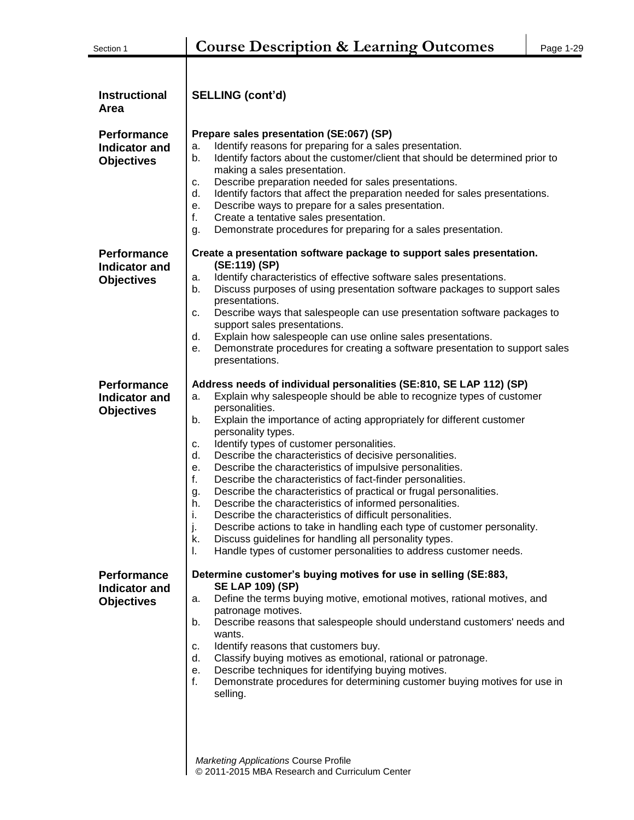| Section 1                                                       | <b>Course Description &amp; Learning Outcomes</b>                                                                                                                                                                                                                                                                                                                                                                                                                                                                                                                                                                                                                                                                                                                                                                                                                                                                                                                              | Page 1-29 |  |  |  |
|-----------------------------------------------------------------|--------------------------------------------------------------------------------------------------------------------------------------------------------------------------------------------------------------------------------------------------------------------------------------------------------------------------------------------------------------------------------------------------------------------------------------------------------------------------------------------------------------------------------------------------------------------------------------------------------------------------------------------------------------------------------------------------------------------------------------------------------------------------------------------------------------------------------------------------------------------------------------------------------------------------------------------------------------------------------|-----------|--|--|--|
|                                                                 |                                                                                                                                                                                                                                                                                                                                                                                                                                                                                                                                                                                                                                                                                                                                                                                                                                                                                                                                                                                |           |  |  |  |
| <b>Instructional</b><br>Area                                    | <b>SELLING (cont'd)</b>                                                                                                                                                                                                                                                                                                                                                                                                                                                                                                                                                                                                                                                                                                                                                                                                                                                                                                                                                        |           |  |  |  |
| <b>Performance</b><br><b>Indicator and</b><br><b>Objectives</b> | Prepare sales presentation (SE:067) (SP)<br>Identify reasons for preparing for a sales presentation.<br>a.<br>Identify factors about the customer/client that should be determined prior to<br>b.<br>making a sales presentation.<br>Describe preparation needed for sales presentations.<br>c.<br>Identify factors that affect the preparation needed for sales presentations.<br>d.<br>Describe ways to prepare for a sales presentation.<br>е.<br>f.<br>Create a tentative sales presentation.<br>Demonstrate procedures for preparing for a sales presentation.<br>g.                                                                                                                                                                                                                                                                                                                                                                                                      |           |  |  |  |
| <b>Performance</b><br><b>Indicator and</b><br><b>Objectives</b> | Create a presentation software package to support sales presentation.<br>(SE:119) (SP)<br>Identify characteristics of effective software sales presentations.<br>a.<br>Discuss purposes of using presentation software packages to support sales<br>b.<br>presentations.<br>Describe ways that salespeople can use presentation software packages to<br>c.<br>support sales presentations.<br>Explain how salespeople can use online sales presentations.<br>d.<br>Demonstrate procedures for creating a software presentation to support sales<br>е.<br>presentations.                                                                                                                                                                                                                                                                                                                                                                                                        |           |  |  |  |
| <b>Performance</b><br><b>Indicator and</b><br><b>Objectives</b> | Address needs of individual personalities (SE:810, SE LAP 112) (SP)<br>Explain why salespeople should be able to recognize types of customer<br>a.<br>personalities.<br>Explain the importance of acting appropriately for different customer<br>b.<br>personality types.<br>Identify types of customer personalities.<br>c.<br>Describe the characteristics of decisive personalities.<br>d.<br>Describe the characteristics of impulsive personalities.<br>е.<br>f.<br>Describe the characteristics of fact-finder personalities.<br>Describe the characteristics of practical or frugal personalities.<br>g.<br>Describe the characteristics of informed personalities.<br>h.<br>Describe the characteristics of difficult personalities.<br>i.<br>Describe actions to take in handling each type of customer personality.<br>j.<br>Discuss guidelines for handling all personality types.<br>k.<br>Handle types of customer personalities to address customer needs.<br>I. |           |  |  |  |
| <b>Performance</b><br><b>Indicator and</b><br><b>Objectives</b> | Determine customer's buying motives for use in selling (SE:883,<br><b>SE LAP 109) (SP)</b><br>Define the terms buying motive, emotional motives, rational motives, and<br>a.<br>patronage motives.<br>Describe reasons that salespeople should understand customers' needs and<br>b.<br>wants.<br>Identify reasons that customers buy.<br>c.<br>Classify buying motives as emotional, rational or patronage.<br>d.<br>Describe techniques for identifying buying motives.<br>е.<br>Demonstrate procedures for determining customer buying motives for use in<br>f.<br>selling.                                                                                                                                                                                                                                                                                                                                                                                                 |           |  |  |  |
|                                                                 | <b>Marketing Applications Course Profile</b>                                                                                                                                                                                                                                                                                                                                                                                                                                                                                                                                                                                                                                                                                                                                                                                                                                                                                                                                   |           |  |  |  |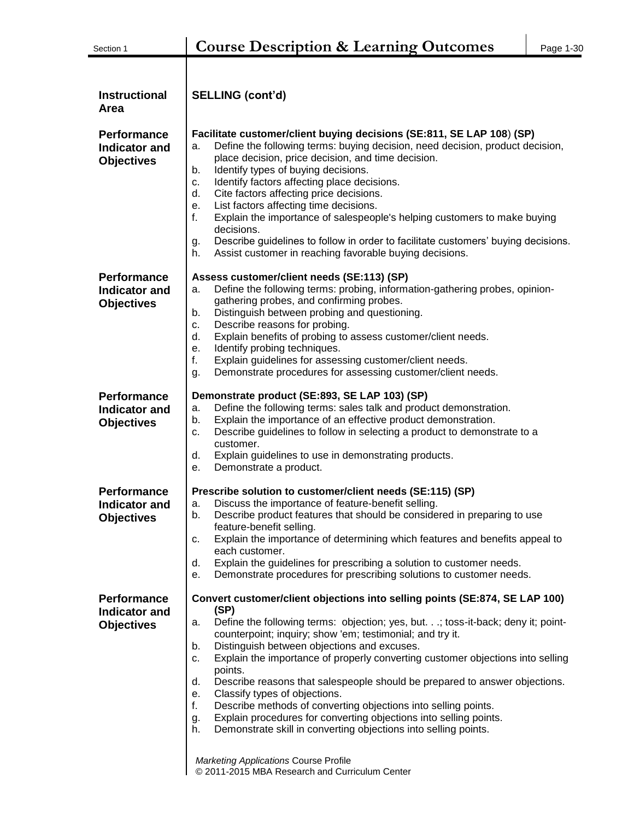| <b>Instructional</b><br><b>Area</b>                             | <b>SELLING (cont'd)</b>                                                                                                                                                                                                                                                                                                                                                                                                                                                                                                                                                                                                                                                                                                                                                                                                                                    |
|-----------------------------------------------------------------|------------------------------------------------------------------------------------------------------------------------------------------------------------------------------------------------------------------------------------------------------------------------------------------------------------------------------------------------------------------------------------------------------------------------------------------------------------------------------------------------------------------------------------------------------------------------------------------------------------------------------------------------------------------------------------------------------------------------------------------------------------------------------------------------------------------------------------------------------------|
| <b>Performance</b><br><b>Indicator and</b><br><b>Objectives</b> | Facilitate customer/client buying decisions (SE:811, SE LAP 108) (SP)<br>Define the following terms: buying decision, need decision, product decision,<br>а.<br>place decision, price decision, and time decision.<br>Identify types of buying decisions.<br>b.<br>Identify factors affecting place decisions.<br>c.<br>Cite factors affecting price decisions.<br>d.<br>List factors affecting time decisions.<br>е.<br>Explain the importance of salespeople's helping customers to make buying<br>f.<br>decisions.<br>Describe guidelines to follow in order to facilitate customers' buying decisions.<br>g.<br>Assist customer in reaching favorable buying decisions.<br>h.                                                                                                                                                                          |
| <b>Performance</b><br><b>Indicator and</b><br><b>Objectives</b> | Assess customer/client needs (SE:113) (SP)<br>Define the following terms: probing, information-gathering probes, opinion-<br>a.<br>gathering probes, and confirming probes.<br>Distinguish between probing and questioning.<br>b.<br>Describe reasons for probing.<br>c.<br>Explain benefits of probing to assess customer/client needs.<br>d.<br>Identify probing techniques.<br>е.<br>f.<br>Explain guidelines for assessing customer/client needs.<br>Demonstrate procedures for assessing customer/client needs.<br>g.                                                                                                                                                                                                                                                                                                                                 |
| <b>Performance</b><br><b>Indicator and</b><br><b>Objectives</b> | Demonstrate product (SE:893, SE LAP 103) (SP)<br>Define the following terms: sales talk and product demonstration.<br>a.<br>Explain the importance of an effective product demonstration.<br>b.<br>Describe guidelines to follow in selecting a product to demonstrate to a<br>c.<br>customer.<br>Explain guidelines to use in demonstrating products.<br>d.<br>Demonstrate a product.<br>е.                                                                                                                                                                                                                                                                                                                                                                                                                                                               |
| <b>Performance</b><br><b>Indicator and</b><br><b>Objectives</b> | Prescribe solution to customer/client needs (SE:115) (SP)<br>Discuss the importance of feature-benefit selling.<br>a.<br>Describe product features that should be considered in preparing to use<br>b.<br>feature-benefit selling.<br>Explain the importance of determining which features and benefits appeal to<br>c.<br>each customer.<br>Explain the guidelines for prescribing a solution to customer needs.<br>d.<br>Demonstrate procedures for prescribing solutions to customer needs.<br>е.                                                                                                                                                                                                                                                                                                                                                       |
| <b>Performance</b><br><b>Indicator and</b><br><b>Objectives</b> | Convert customer/client objections into selling points (SE:874, SE LAP 100)<br>(SP)<br>Define the following terms: objection; yes, but.; toss-it-back; deny it; point-<br>а.<br>counterpoint; inquiry; show 'em; testimonial; and try it.<br>Distinguish between objections and excuses.<br>b.<br>Explain the importance of properly converting customer objections into selling<br>c.<br>points.<br>Describe reasons that salespeople should be prepared to answer objections.<br>d.<br>Classify types of objections.<br>е.<br>f.<br>Describe methods of converting objections into selling points.<br>Explain procedures for converting objections into selling points.<br>g.<br>Demonstrate skill in converting objections into selling points.<br>h.<br><b>Marketing Applications Course Profile</b><br>© 2011-2015 MBA Research and Curriculum Center |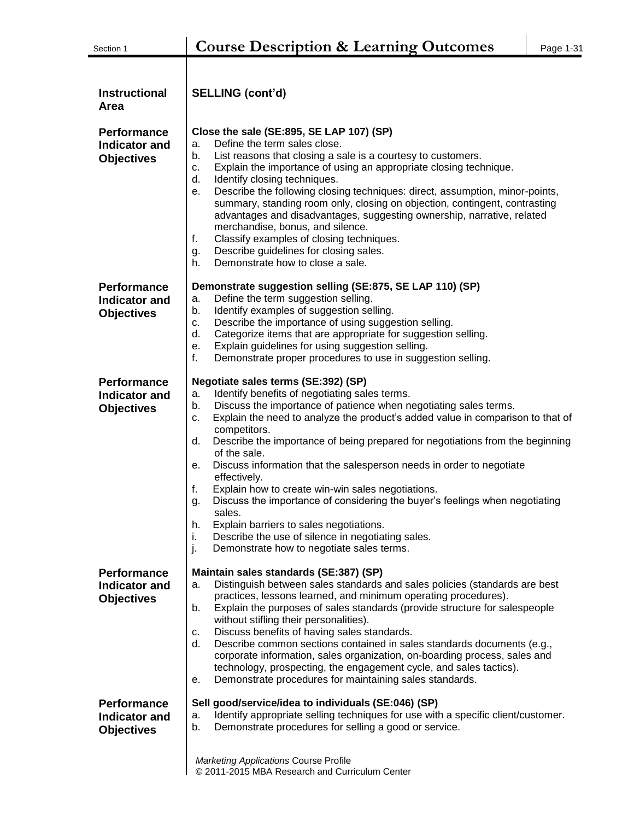| Section 1                                                       | <b>Course Description &amp; Learning Outcomes</b><br>Page 1-31                                                                                                                                                                                                                                                                                                                                                                                                                                                                                                                                                                                                                                                                                                                                             |
|-----------------------------------------------------------------|------------------------------------------------------------------------------------------------------------------------------------------------------------------------------------------------------------------------------------------------------------------------------------------------------------------------------------------------------------------------------------------------------------------------------------------------------------------------------------------------------------------------------------------------------------------------------------------------------------------------------------------------------------------------------------------------------------------------------------------------------------------------------------------------------------|
| <b>Instructional</b><br><b>Area</b>                             | <b>SELLING (cont'd)</b>                                                                                                                                                                                                                                                                                                                                                                                                                                                                                                                                                                                                                                                                                                                                                                                    |
| <b>Performance</b><br><b>Indicator and</b><br><b>Objectives</b> | Close the sale (SE:895, SE LAP 107) (SP)<br>Define the term sales close.<br>a.<br>List reasons that closing a sale is a courtesy to customers.<br>b.<br>Explain the importance of using an appropriate closing technique.<br>c.<br>Identify closing techniques.<br>d.<br>Describe the following closing techniques: direct, assumption, minor-points,<br>е.<br>summary, standing room only, closing on objection, contingent, contrasting<br>advantages and disadvantages, suggesting ownership, narrative, related<br>merchandise, bonus, and silence.<br>f.<br>Classify examples of closing techniques.<br>Describe guidelines for closing sales.<br>g.<br>Demonstrate how to close a sale.<br>h.                                                                                                        |
| <b>Performance</b><br><b>Indicator and</b><br><b>Objectives</b> | Demonstrate suggestion selling (SE:875, SE LAP 110) (SP)<br>Define the term suggestion selling.<br>a.<br>Identify examples of suggestion selling.<br>b.<br>Describe the importance of using suggestion selling.<br>c.<br>d.<br>Categorize items that are appropriate for suggestion selling.<br>Explain guidelines for using suggestion selling.<br>е.<br>f.<br>Demonstrate proper procedures to use in suggestion selling.                                                                                                                                                                                                                                                                                                                                                                                |
| <b>Performance</b><br><b>Indicator and</b><br><b>Objectives</b> | Negotiate sales terms (SE:392) (SP)<br>Identify benefits of negotiating sales terms.<br>a.<br>Discuss the importance of patience when negotiating sales terms.<br>b.<br>Explain the need to analyze the product's added value in comparison to that of<br>c.<br>competitors.<br>Describe the importance of being prepared for negotiations from the beginning<br>d.<br>of the sale.<br>Discuss information that the salesperson needs in order to negotiate<br>е.<br>effectively.<br>f.<br>Explain how to create win-win sales negotiations.<br>Discuss the importance of considering the buyer's feelings when negotiating<br>g.<br>sales.<br>Explain barriers to sales negotiations.<br>h.<br>Describe the use of silence in negotiating sales.<br>i.<br>j.<br>Demonstrate how to negotiate sales terms. |
| <b>Performance</b><br><b>Indicator and</b><br><b>Objectives</b> | Maintain sales standards (SE:387) (SP)<br>Distinguish between sales standards and sales policies (standards are best<br>a.<br>practices, lessons learned, and minimum operating procedures).<br>Explain the purposes of sales standards (provide structure for salespeople<br>b.<br>without stifling their personalities).<br>Discuss benefits of having sales standards.<br>C.<br>Describe common sections contained in sales standards documents (e.g.,<br>d.<br>corporate information, sales organization, on-boarding process, sales and<br>technology, prospecting, the engagement cycle, and sales tactics).<br>Demonstrate procedures for maintaining sales standards.<br>е.                                                                                                                        |
| <b>Performance</b><br><b>Indicator and</b><br><b>Objectives</b> | Sell good/service/idea to individuals (SE:046) (SP)<br>Identify appropriate selling techniques for use with a specific client/customer.<br>a.<br>Demonstrate procedures for selling a good or service.<br>b.<br>Marketing Applications Course Profile<br>© 2011-2015 MBA Research and Curriculum Center                                                                                                                                                                                                                                                                                                                                                                                                                                                                                                    |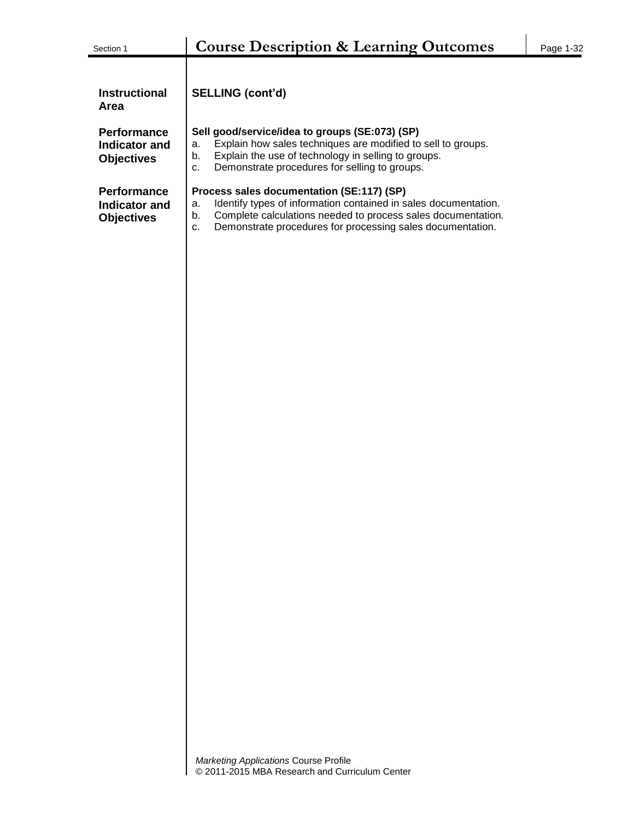| <b>Instructional</b><br>Area                                    | <b>SELLING (cont'd)</b>                                                                                                                                                                                                                                      |
|-----------------------------------------------------------------|--------------------------------------------------------------------------------------------------------------------------------------------------------------------------------------------------------------------------------------------------------------|
| <b>Performance</b><br><b>Indicator and</b><br><b>Objectives</b> | Sell good/service/idea to groups (SE:073) (SP)<br>Explain how sales techniques are modified to sell to groups.<br>a.<br>Explain the use of technology in selling to groups.<br>b.<br>Demonstrate procedures for selling to groups.<br>c.                     |
| <b>Performance</b><br><b>Indicator and</b><br><b>Objectives</b> | Process sales documentation (SE:117) (SP)<br>Identify types of information contained in sales documentation.<br>a.<br>Complete calculations needed to process sales documentation.<br>b.<br>Demonstrate procedures for processing sales documentation.<br>c. |
|                                                                 |                                                                                                                                                                                                                                                              |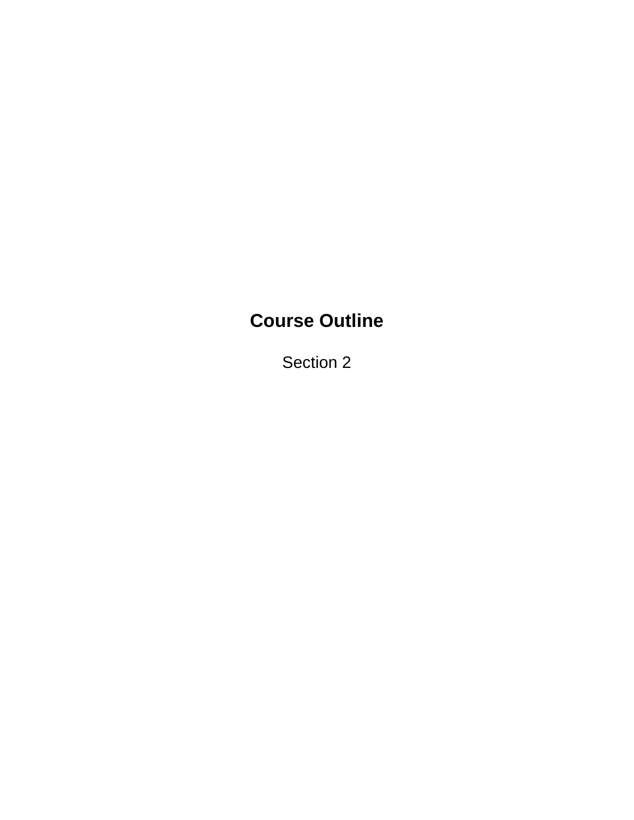## **Course Outline**

Section 2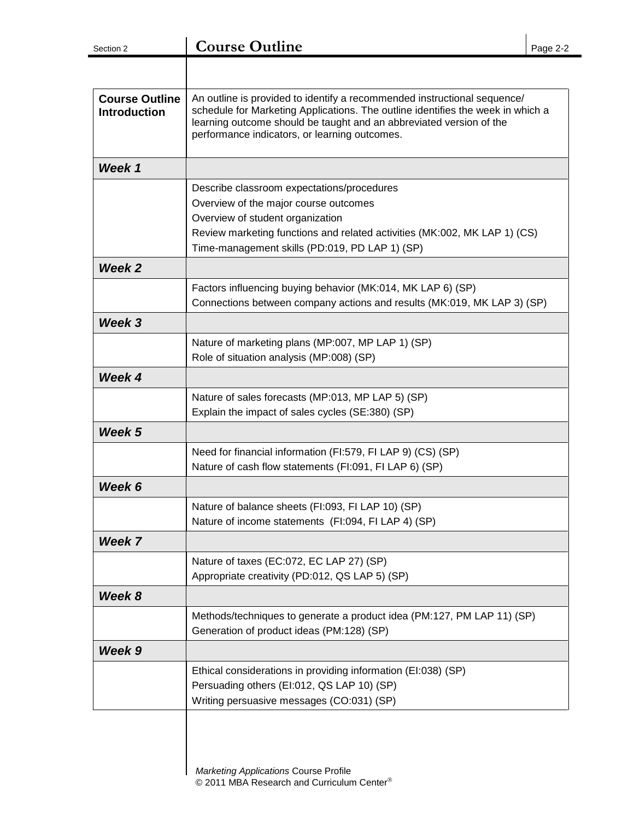| <b>Course Outline</b><br><b>Introduction</b> | An outline is provided to identify a recommended instructional sequence/<br>schedule for Marketing Applications. The outline identifies the week in which a<br>learning outcome should be taught and an abbreviated version of the<br>performance indicators, or learning outcomes. |
|----------------------------------------------|-------------------------------------------------------------------------------------------------------------------------------------------------------------------------------------------------------------------------------------------------------------------------------------|
| Week 1                                       |                                                                                                                                                                                                                                                                                     |
|                                              | Describe classroom expectations/procedures                                                                                                                                                                                                                                          |
|                                              | Overview of the major course outcomes                                                                                                                                                                                                                                               |
|                                              | Overview of student organization                                                                                                                                                                                                                                                    |
|                                              | Review marketing functions and related activities (MK:002, MK LAP 1) (CS)<br>Time-management skills (PD:019, PD LAP 1) (SP)                                                                                                                                                         |
| Week <sub>2</sub>                            |                                                                                                                                                                                                                                                                                     |
|                                              | Factors influencing buying behavior (MK:014, MK LAP 6) (SP)<br>Connections between company actions and results (MK:019, MK LAP 3) (SP)                                                                                                                                              |
| Week 3                                       |                                                                                                                                                                                                                                                                                     |
|                                              | Nature of marketing plans (MP:007, MP LAP 1) (SP)                                                                                                                                                                                                                                   |
|                                              | Role of situation analysis (MP:008) (SP)                                                                                                                                                                                                                                            |
| Week 4                                       |                                                                                                                                                                                                                                                                                     |
|                                              | Nature of sales forecasts (MP:013, MP LAP 5) (SP)                                                                                                                                                                                                                                   |
|                                              | Explain the impact of sales cycles (SE:380) (SP)                                                                                                                                                                                                                                    |
| Week <sub>5</sub>                            |                                                                                                                                                                                                                                                                                     |
|                                              | Need for financial information (FI:579, FI LAP 9) (CS) (SP)                                                                                                                                                                                                                         |
|                                              | Nature of cash flow statements (FI:091, FI LAP 6) (SP)                                                                                                                                                                                                                              |
| Week 6                                       |                                                                                                                                                                                                                                                                                     |
|                                              | Nature of balance sheets (FI:093, FI LAP 10) (SP)                                                                                                                                                                                                                                   |
|                                              | Nature of income statements (FI:094, FI LAP 4) (SP)                                                                                                                                                                                                                                 |
| Week 7                                       |                                                                                                                                                                                                                                                                                     |
|                                              | Nature of taxes (EC:072, EC LAP 27) (SP)                                                                                                                                                                                                                                            |
|                                              | Appropriate creativity (PD:012, QS LAP 5) (SP)                                                                                                                                                                                                                                      |
| Week 8                                       |                                                                                                                                                                                                                                                                                     |
|                                              | Methods/techniques to generate a product idea (PM:127, PM LAP 11) (SP)<br>Generation of product ideas (PM:128) (SP)                                                                                                                                                                 |
| Week 9                                       |                                                                                                                                                                                                                                                                                     |
|                                              | Ethical considerations in providing information (EI:038) (SP)                                                                                                                                                                                                                       |
|                                              | Persuading others (EI:012, QS LAP 10) (SP)                                                                                                                                                                                                                                          |
|                                              | Writing persuasive messages (CO:031) (SP)                                                                                                                                                                                                                                           |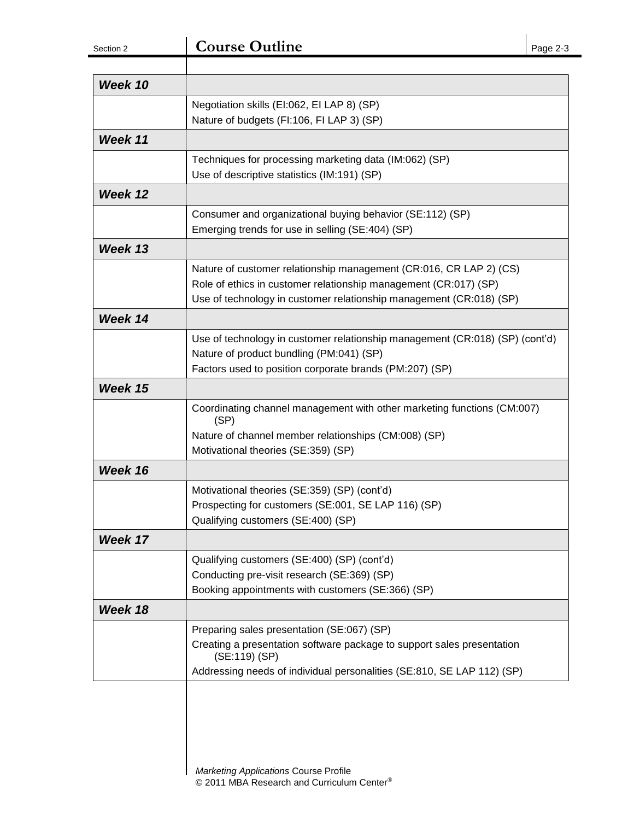| Section 2 | <b>Course Outline</b>                                                                   | Page 2-3 |
|-----------|-----------------------------------------------------------------------------------------|----------|
|           |                                                                                         |          |
| Week 10   |                                                                                         |          |
|           | Negotiation skills (EI:062, EI LAP 8) (SP)                                              |          |
|           | Nature of budgets (FI:106, FI LAP 3) (SP)                                               |          |
| Week 11   |                                                                                         |          |
|           | Techniques for processing marketing data (IM:062) (SP)                                  |          |
|           | Use of descriptive statistics (IM:191) (SP)                                             |          |
| Week 12   |                                                                                         |          |
|           | Consumer and organizational buying behavior (SE:112) (SP)                               |          |
|           | Emerging trends for use in selling (SE:404) (SP)                                        |          |
| Week 13   |                                                                                         |          |
|           | Nature of customer relationship management (CR:016, CR LAP 2) (CS)                      |          |
|           | Role of ethics in customer relationship management (CR:017) (SP)                        |          |
|           | Use of technology in customer relationship management (CR:018) (SP)                     |          |
| Week 14   |                                                                                         |          |
|           | Use of technology in customer relationship management (CR:018) (SP) (cont'd)            |          |
|           | Nature of product bundling (PM:041) (SP)                                                |          |
|           | Factors used to position corporate brands (PM:207) (SP)                                 |          |
| Week 15   |                                                                                         |          |
|           | Coordinating channel management with other marketing functions (CM:007)<br>(SP)         |          |
|           | Nature of channel member relationships (CM:008) (SP)                                    |          |
|           | Motivational theories (SE:359) (SP)                                                     |          |
| Week 16   |                                                                                         |          |
|           | Motivational theories (SE:359) (SP) (cont'd)                                            |          |
|           | Prospecting for customers (SE:001, SE LAP 116) (SP)                                     |          |
|           | Qualifying customers (SE:400) (SP)                                                      |          |
| Week 17   |                                                                                         |          |
|           | Qualifying customers (SE:400) (SP) (cont'd)                                             |          |
|           | Conducting pre-visit research (SE:369) (SP)                                             |          |
|           | Booking appointments with customers (SE:366) (SP)                                       |          |
| Week 18   |                                                                                         |          |
|           | Preparing sales presentation (SE:067) (SP)                                              |          |
|           | Creating a presentation software package to support sales presentation<br>(SE:119) (SP) |          |
|           | Addressing needs of individual personalities (SE:810, SE LAP 112) (SP)                  |          |
|           |                                                                                         |          |

I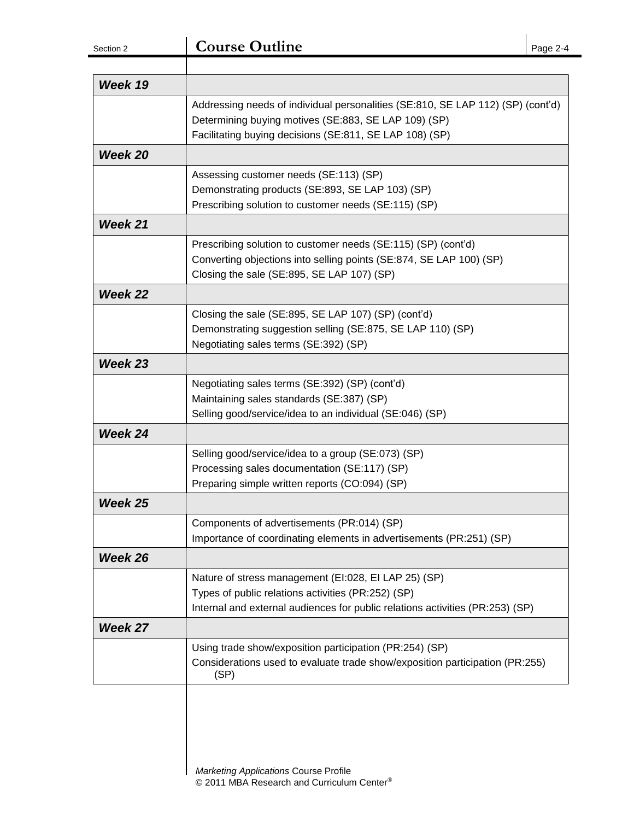| Week 19 |                                                                                                                                                 |
|---------|-------------------------------------------------------------------------------------------------------------------------------------------------|
|         | Addressing needs of individual personalities (SE:810, SE LAP 112) (SP) (cont'd)<br>Determining buying motives (SE:883, SE LAP 109) (SP)         |
|         | Facilitating buying decisions (SE:811, SE LAP 108) (SP)                                                                                         |
| Week 20 |                                                                                                                                                 |
|         | Assessing customer needs (SE:113) (SP)                                                                                                          |
|         | Demonstrating products (SE:893, SE LAP 103) (SP)                                                                                                |
|         | Prescribing solution to customer needs (SE:115) (SP)                                                                                            |
| Week 21 |                                                                                                                                                 |
|         | Prescribing solution to customer needs (SE:115) (SP) (cont'd)                                                                                   |
|         | Converting objections into selling points (SE:874, SE LAP 100) (SP)                                                                             |
|         | Closing the sale (SE:895, SE LAP 107) (SP)                                                                                                      |
| Week 22 |                                                                                                                                                 |
|         | Closing the sale (SE:895, SE LAP 107) (SP) (cont'd)                                                                                             |
|         | Demonstrating suggestion selling (SE:875, SE LAP 110) (SP)<br>Negotiating sales terms (SE:392) (SP)                                             |
| Week 23 |                                                                                                                                                 |
|         | Negotiating sales terms (SE:392) (SP) (cont'd)                                                                                                  |
|         | Maintaining sales standards (SE:387) (SP)                                                                                                       |
|         | Selling good/service/idea to an individual (SE:046) (SP)                                                                                        |
| Week 24 |                                                                                                                                                 |
|         | Selling good/service/idea to a group (SE:073) (SP)                                                                                              |
|         | Processing sales documentation (SE:117) (SP)                                                                                                    |
|         | Preparing simple written reports (CO:094) (SP)                                                                                                  |
| Week 25 |                                                                                                                                                 |
|         | Components of advertisements (PR:014) (SP)                                                                                                      |
|         | Importance of coordinating elements in advertisements (PR:251) (SP)                                                                             |
| Week 26 |                                                                                                                                                 |
|         | Nature of stress management (EI:028, EI LAP 25) (SP)                                                                                            |
|         | Types of public relations activities (PR:252) (SP)<br>Internal and external audiences for public relations activities (PR:253) (SP)             |
| Week 27 |                                                                                                                                                 |
|         |                                                                                                                                                 |
|         | Using trade show/exposition participation (PR:254) (SP)<br>Considerations used to evaluate trade show/exposition participation (PR:255)<br>(SP) |
|         |                                                                                                                                                 |
|         |                                                                                                                                                 |
|         |                                                                                                                                                 |
|         |                                                                                                                                                 |
|         |                                                                                                                                                 |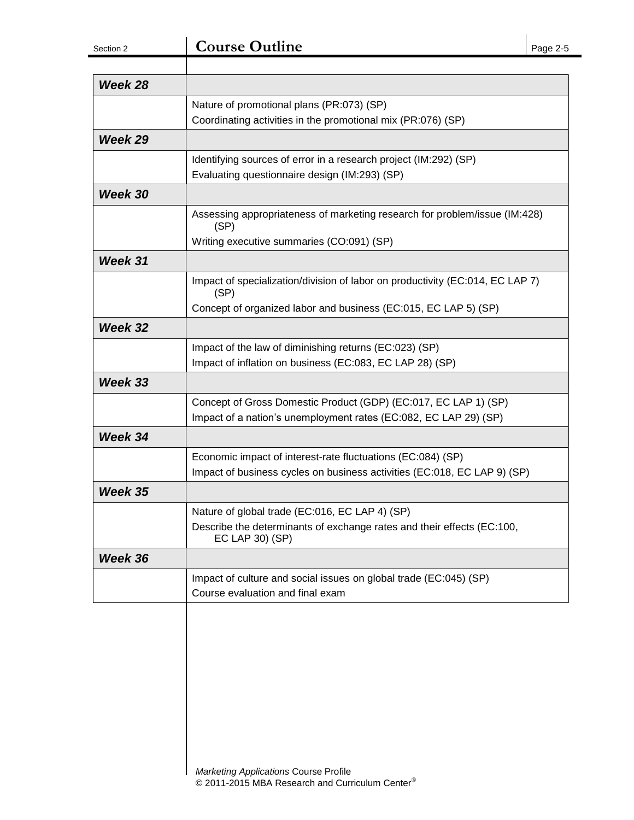| Week 28 |                                                                                                       |
|---------|-------------------------------------------------------------------------------------------------------|
|         | Nature of promotional plans (PR:073) (SP)                                                             |
|         | Coordinating activities in the promotional mix (PR:076) (SP)                                          |
| Week 29 |                                                                                                       |
|         | Identifying sources of error in a research project (IM:292) (SP)                                      |
|         | Evaluating questionnaire design (IM:293) (SP)                                                         |
| Week 30 |                                                                                                       |
|         | Assessing appropriateness of marketing research for problem/issue (IM:428)<br>(SP)                    |
|         | Writing executive summaries (CO:091) (SP)                                                             |
| Week 31 |                                                                                                       |
|         | Impact of specialization/division of labor on productivity (EC:014, EC LAP 7)<br>(SP)                 |
|         | Concept of organized labor and business (EC:015, EC LAP 5) (SP)                                       |
| Week 32 |                                                                                                       |
|         | Impact of the law of diminishing returns (EC:023) (SP)                                                |
|         | Impact of inflation on business (EC:083, EC LAP 28) (SP)                                              |
| Week 33 |                                                                                                       |
|         | Concept of Gross Domestic Product (GDP) (EC:017, EC LAP 1) (SP)                                       |
|         | Impact of a nation's unemployment rates (EC:082, EC LAP 29) (SP)                                      |
| Week 34 |                                                                                                       |
|         | Economic impact of interest-rate fluctuations (EC:084) (SP)                                           |
|         | Impact of business cycles on business activities (EC:018, EC LAP 9) (SP)                              |
| Week 35 |                                                                                                       |
|         | Nature of global trade (EC:016, EC LAP 4) (SP)                                                        |
|         | Describe the determinants of exchange rates and their effects (EC:100,<br>EC LAP 30) (SP)             |
| Week 36 |                                                                                                       |
|         | Impact of culture and social issues on global trade (EC:045) (SP)<br>Course evaluation and final exam |
|         |                                                                                                       |
|         |                                                                                                       |
|         |                                                                                                       |
|         |                                                                                                       |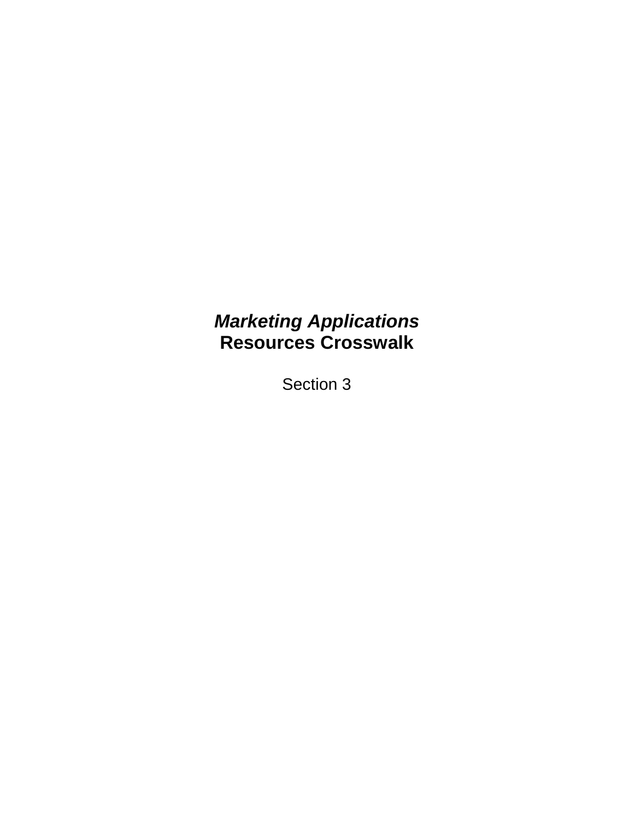### *Marketing Applications* **Resources Crosswalk**

Section 3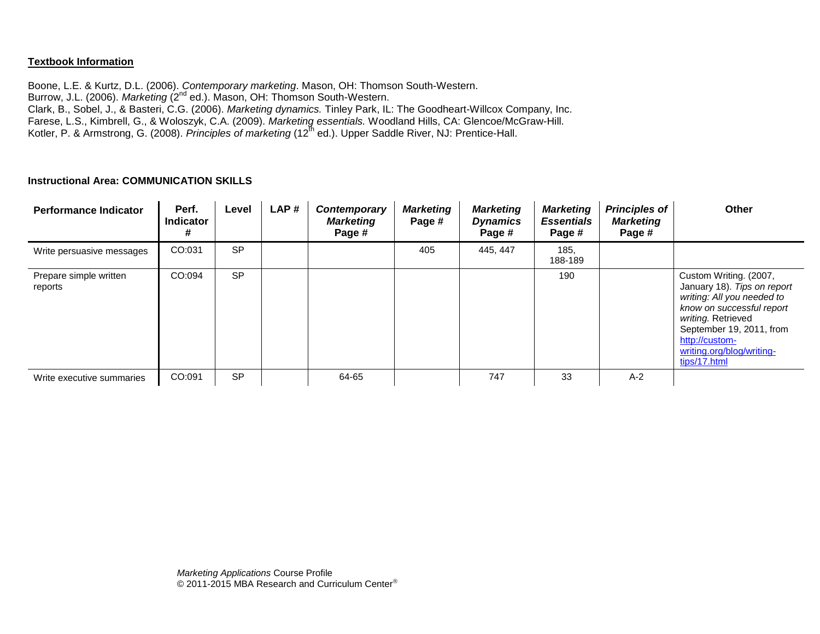#### **Textbook Information**

Boone, L.E. & Kurtz, D.L. (2006). *Contemporary marketing*. Mason, OH: Thomson South-Western. Burrow, J.L. (2006). *Marketing* (2nd ed.). Mason, OH: Thomson South-Western. Clark, B., Sobel, J., & Basteri, C.G. (2006). *Marketing dynamics.* Tinley Park, IL: The Goodheart-Willcox Company, Inc. Farese, L.S., Kimbrell, G., & Woloszyk, C.A. (2009). *Marketing essentials.* Woodland Hills, CA: Glencoe/McGraw-Hill. Kotler, P. & Armstrong, G. (2008). *Principles of marketing* (12<sup>th</sup> ed.). Upper Saddle River, NJ: Prentice-Hall.

#### **Instructional Area: COMMUNICATION SKILLS**

| <b>Performance Indicator</b>      | Perf.<br><b>Indicator</b><br># | Level     | LAP# | Contemporary<br><b>Marketing</b><br>Page # | <b>Marketing</b><br>Page # | <b>Marketing</b><br><b>Dynamics</b><br>Page # | <b>Marketing</b><br><b>Essentials</b><br>Page # | <b>Principles of</b><br><b>Marketing</b><br>Page # | <b>Other</b>                                                                                                                                                                                                                      |
|-----------------------------------|--------------------------------|-----------|------|--------------------------------------------|----------------------------|-----------------------------------------------|-------------------------------------------------|----------------------------------------------------|-----------------------------------------------------------------------------------------------------------------------------------------------------------------------------------------------------------------------------------|
| Write persuasive messages         | CO:031                         | <b>SP</b> |      |                                            | 405                        | 445, 447                                      | 185,<br>188-189                                 |                                                    |                                                                                                                                                                                                                                   |
| Prepare simple written<br>reports | CO:094                         | <b>SP</b> |      |                                            |                            |                                               | 190                                             |                                                    | Custom Writing. (2007,<br>January 18). Tips on report<br>writing: All you needed to<br>know on successful report<br>writing. Retrieved<br>September 19, 2011, from<br>http://custom-<br>writing.org/blog/writing-<br>tips/17.html |
| Write executive summaries         | CO:091                         | <b>SP</b> |      | 64-65                                      |                            | 747                                           | 33                                              | $A-2$                                              |                                                                                                                                                                                                                                   |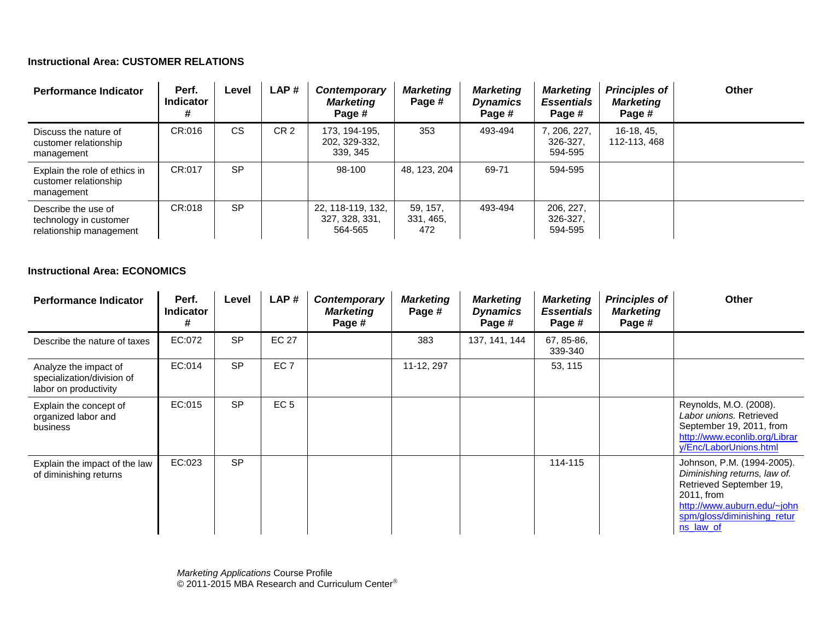#### **Instructional Area: CUSTOMER RELATIONS**

| <b>Performance Indicator</b>                                             | Perf.<br><b>Indicator</b><br># | Level     | LAP#            | Contemporary<br><b>Marketing</b><br>Page #     | <b>Marketing</b><br>Page #   | <b>Marketing</b><br><b>Dynamics</b><br>Page # | <b>Marketing</b><br><b>Essentials</b><br>Page # | <b>Principles of</b><br><b>Marketing</b><br>Page # | Other |
|--------------------------------------------------------------------------|--------------------------------|-----------|-----------------|------------------------------------------------|------------------------------|-----------------------------------------------|-------------------------------------------------|----------------------------------------------------|-------|
| Discuss the nature of<br>customer relationship<br>management             | CR:016                         | <b>CS</b> | CR <sub>2</sub> | 173, 194-195,<br>202, 329-332,<br>339, 345     | 353                          | 493-494                                       | 7, 206, 227,<br>326-327.<br>594-595             | $16-18, 45,$<br>112-113, 468                       |       |
| Explain the role of ethics in<br>customer relationship<br>management     | CR:017                         | <b>SP</b> |                 | 98-100                                         | 48, 123, 204                 | 69-71                                         | 594-595                                         |                                                    |       |
| Describe the use of<br>technology in customer<br>relationship management | CR:018                         | <b>SP</b> |                 | 22, 118-119, 132,<br>327, 328, 331,<br>564-565 | 59, 157,<br>331, 465,<br>472 | 493-494                                       | 206, 227,<br>326-327.<br>594-595                |                                                    |       |

#### **Instructional Area: ECONOMICS**

| <b>Performance Indicator</b>                                                 | Perf.<br><b>Indicator</b><br># | Level     | LAP#            | Contemporary<br><b>Marketing</b><br>Page # | <b>Marketing</b><br>Page # | <b>Marketing</b><br><b>Dynamics</b><br>Page # | <b>Marketing</b><br><b>Essentials</b><br>Page # | <b>Principles of</b><br><b>Marketing</b><br>Page # | Other                                                                                                                                                                          |
|------------------------------------------------------------------------------|--------------------------------|-----------|-----------------|--------------------------------------------|----------------------------|-----------------------------------------------|-------------------------------------------------|----------------------------------------------------|--------------------------------------------------------------------------------------------------------------------------------------------------------------------------------|
| Describe the nature of taxes                                                 | EC:072                         | <b>SP</b> | <b>EC 27</b>    |                                            | 383                        | 137, 141, 144                                 | 67, 85-86,<br>339-340                           |                                                    |                                                                                                                                                                                |
| Analyze the impact of<br>specialization/division of<br>labor on productivity | EC:014                         | <b>SP</b> | EC <sub>7</sub> |                                            | 11-12, 297                 |                                               | 53, 115                                         |                                                    |                                                                                                                                                                                |
| Explain the concept of<br>organized labor and<br>business                    | EC:015                         | <b>SP</b> | EC <sub>5</sub> |                                            |                            |                                               |                                                 |                                                    | Reynolds, M.O. (2008).<br>Labor unions, Retrieved<br>September 19, 2011, from<br>http://www.econlib.org/Librar<br>y/Enc/LaborUnions.html                                       |
| Explain the impact of the law<br>of diminishing returns                      | EC:023                         | <b>SP</b> |                 |                                            |                            |                                               | 114-115                                         |                                                    | Johnson, P.M. (1994-2005).<br>Diminishing returns, law of.<br>Retrieved September 19,<br>2011. from<br>http://www.auburn.edu/~john<br>spm/gloss/diminishing retur<br>ns law of |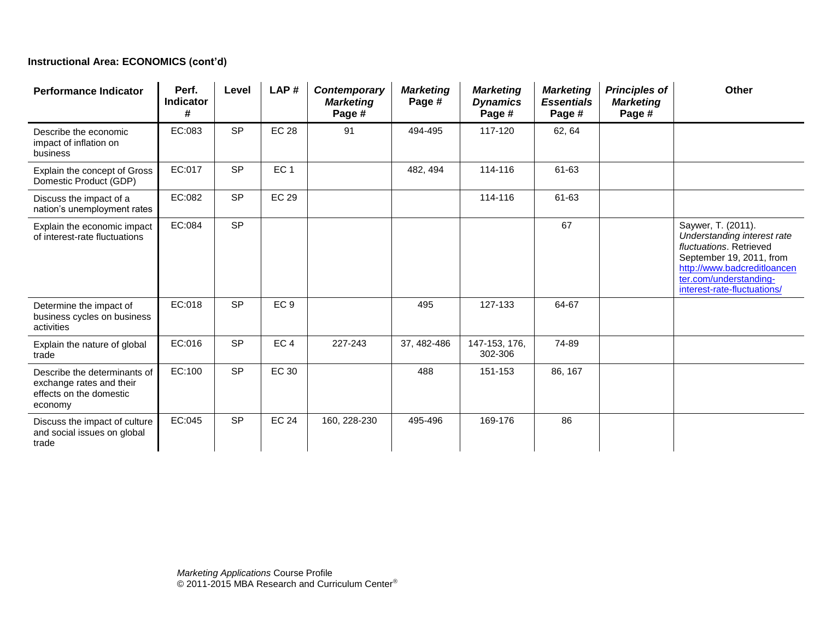#### **Instructional Area: ECONOMICS (cont'd)**

| <b>Performance Indicator</b>                                                                   | Perf.<br><b>Indicator</b><br># | Level     | LAP#            | Contemporary<br><b>Marketing</b><br>Page # | <b>Marketing</b><br>Page # | <b>Marketing</b><br><b>Dynamics</b><br>Page # | <b>Marketing</b><br><b>Essentials</b><br>Page # | <b>Principles of</b><br><b>Marketing</b><br>Page # | Other                                                                                                                                                                                            |
|------------------------------------------------------------------------------------------------|--------------------------------|-----------|-----------------|--------------------------------------------|----------------------------|-----------------------------------------------|-------------------------------------------------|----------------------------------------------------|--------------------------------------------------------------------------------------------------------------------------------------------------------------------------------------------------|
| Describe the economic<br>impact of inflation on<br>business                                    | EC:083                         | <b>SP</b> | <b>EC 28</b>    | 91                                         | 494-495                    | 117-120                                       | 62, 64                                          |                                                    |                                                                                                                                                                                                  |
| Explain the concept of Gross<br>Domestic Product (GDP)                                         | EC:017                         | <b>SP</b> | EC <sub>1</sub> |                                            | 482, 494                   | 114-116                                       | 61-63                                           |                                                    |                                                                                                                                                                                                  |
| Discuss the impact of a<br>nation's unemployment rates                                         | EC:082                         | <b>SP</b> | <b>EC 29</b>    |                                            |                            | 114-116                                       | 61-63                                           |                                                    |                                                                                                                                                                                                  |
| Explain the economic impact<br>of interest-rate fluctuations                                   | EC:084                         | <b>SP</b> |                 |                                            |                            |                                               | 67                                              |                                                    | Saywer, T. (2011).<br>Understanding interest rate<br>fluctuations. Retrieved<br>September 19, 2011, from<br>http://www.badcreditloancen<br>ter.com/understanding-<br>interest-rate-fluctuations/ |
| Determine the impact of<br>business cycles on business<br>activities                           | EC:018                         | <b>SP</b> | EC <sub>9</sub> |                                            | 495                        | 127-133                                       | 64-67                                           |                                                    |                                                                                                                                                                                                  |
| Explain the nature of global<br>trade                                                          | EC:016                         | <b>SP</b> | EC <sub>4</sub> | 227-243                                    | 37, 482-486                | 147-153, 176,<br>302-306                      | 74-89                                           |                                                    |                                                                                                                                                                                                  |
| Describe the determinants of<br>exchange rates and their<br>effects on the domestic<br>economy | EC:100                         | <b>SP</b> | <b>EC 30</b>    |                                            | 488                        | 151-153                                       | 86, 167                                         |                                                    |                                                                                                                                                                                                  |
| Discuss the impact of culture<br>and social issues on global<br>trade                          | EC:045                         | <b>SP</b> | <b>EC 24</b>    | 160, 228-230                               | 495-496                    | 169-176                                       | 86                                              |                                                    |                                                                                                                                                                                                  |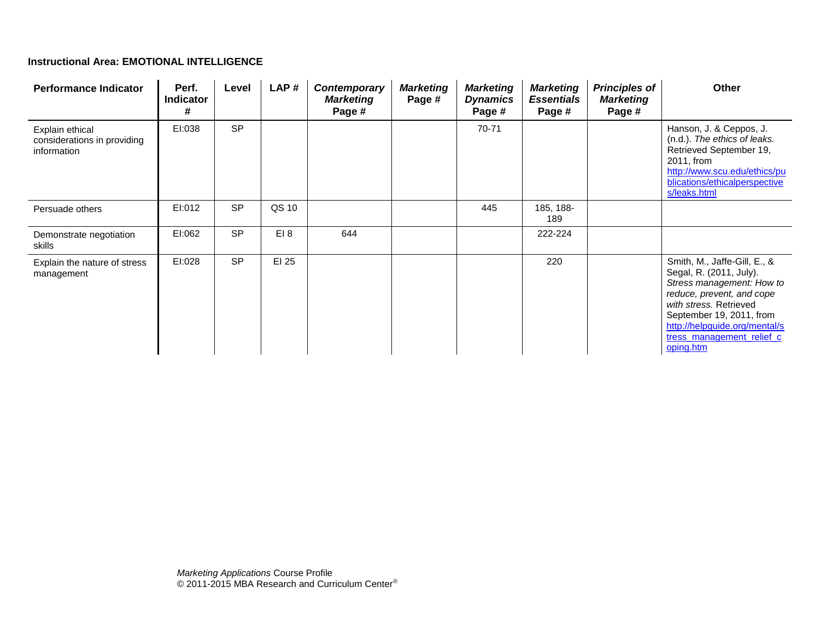#### **Instructional Area: EMOTIONAL INTELLIGENCE**

| <b>Performance Indicator</b>                                  | Perf.<br><b>Indicator</b><br># | Level     | LAP#  | Contemporary<br><b>Marketing</b><br>Page # | <b>Marketing</b><br>Page # | <b>Marketing</b><br><b>Dynamics</b><br>Page # | <b>Marketing</b><br><b>Essentials</b><br>Page # | <b>Principles of</b><br><b>Marketing</b><br>Page # | <b>Other</b>                                                                                                                                                                                                                                       |
|---------------------------------------------------------------|--------------------------------|-----------|-------|--------------------------------------------|----------------------------|-----------------------------------------------|-------------------------------------------------|----------------------------------------------------|----------------------------------------------------------------------------------------------------------------------------------------------------------------------------------------------------------------------------------------------------|
| Explain ethical<br>considerations in providing<br>information | EI:038                         | <b>SP</b> |       |                                            |                            | 70-71                                         |                                                 |                                                    | Hanson, J. & Ceppos, J.<br>(n.d.). The ethics of leaks.<br>Retrieved September 19,<br>2011, from<br>http://www.scu.edu/ethics/pu<br>blications/ethicalperspective<br>s/leaks.html                                                                  |
| Persuade others                                               | EI:012                         | <b>SP</b> | QS 10 |                                            |                            | 445                                           | 185, 188-<br>189                                |                                                    |                                                                                                                                                                                                                                                    |
| Demonstrate negotiation<br>skills                             | EI:062                         | <b>SP</b> | E18   | 644                                        |                            |                                               | 222-224                                         |                                                    |                                                                                                                                                                                                                                                    |
| Explain the nature of stress<br>management                    | EI:028                         | <b>SP</b> | EI 25 |                                            |                            |                                               | 220                                             |                                                    | Smith, M., Jaffe-Gill, E., &<br>Segal, R. (2011, July).<br>Stress management: How to<br>reduce, prevent, and cope<br>with stress. Retrieved<br>September 19, 2011, from<br>http://helpguide.org/mental/s<br>tress management relief c<br>oping.htm |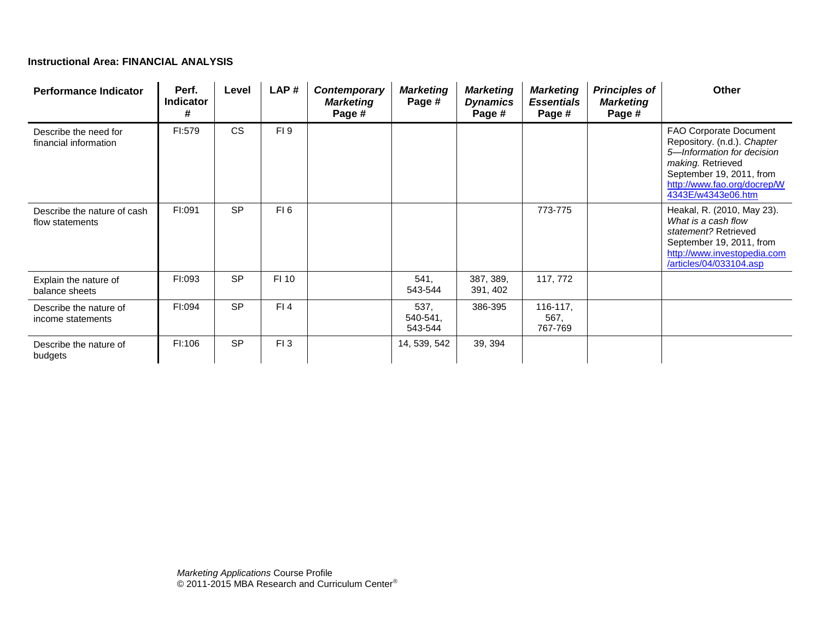#### **Instructional Area: FINANCIAL ANALYSIS**

| <b>Performance Indicator</b>                   | Perf.<br><b>Indicator</b><br># | Level     | LAP#            | Contemporary<br><b>Marketing</b><br>Page # | <b>Marketing</b><br>Page #  | <b>Marketing</b><br><b>Dynamics</b><br>Page # | <b>Marketing</b><br><b>Essentials</b><br>Page # | <b>Principles of</b><br><b>Marketing</b><br>Page # | Other                                                                                                                                                                                            |
|------------------------------------------------|--------------------------------|-----------|-----------------|--------------------------------------------|-----------------------------|-----------------------------------------------|-------------------------------------------------|----------------------------------------------------|--------------------------------------------------------------------------------------------------------------------------------------------------------------------------------------------------|
| Describe the need for<br>financial information | FI:579                         | <b>CS</b> | FI <sub>9</sub> |                                            |                             |                                               |                                                 |                                                    | <b>FAO Corporate Document</b><br>Repository. (n.d.). Chapter<br>5-Information for decision<br>making. Retrieved<br>September 19, 2011, from<br>http://www.fao.org/docrep/W<br>4343E/w4343e06.htm |
| Describe the nature of cash<br>flow statements | FI:091                         | <b>SP</b> | FI 6            |                                            |                             |                                               | 773-775                                         |                                                    | Heakal, R. (2010, May 23).<br>What is a cash flow<br>statement? Retrieved<br>September 19, 2011, from<br>http://www.investopedia.com<br>/articles/04/033104.asp                                  |
| Explain the nature of<br>balance sheets        | FI:093                         | <b>SP</b> | FI 10           |                                            | 541,<br>543-544             | 387, 389,<br>391, 402                         | 117, 772                                        |                                                    |                                                                                                                                                                                                  |
| Describe the nature of<br>income statements    | FI:094                         | <b>SP</b> | $FI$ 4          |                                            | 537.<br>540-541,<br>543-544 | 386-395                                       | $116 - 117$ ,<br>567,<br>767-769                |                                                    |                                                                                                                                                                                                  |
| Describe the nature of<br>budgets              | FI:106                         | <b>SP</b> | FI <sub>3</sub> |                                            | 14, 539, 542                | 39, 394                                       |                                                 |                                                    |                                                                                                                                                                                                  |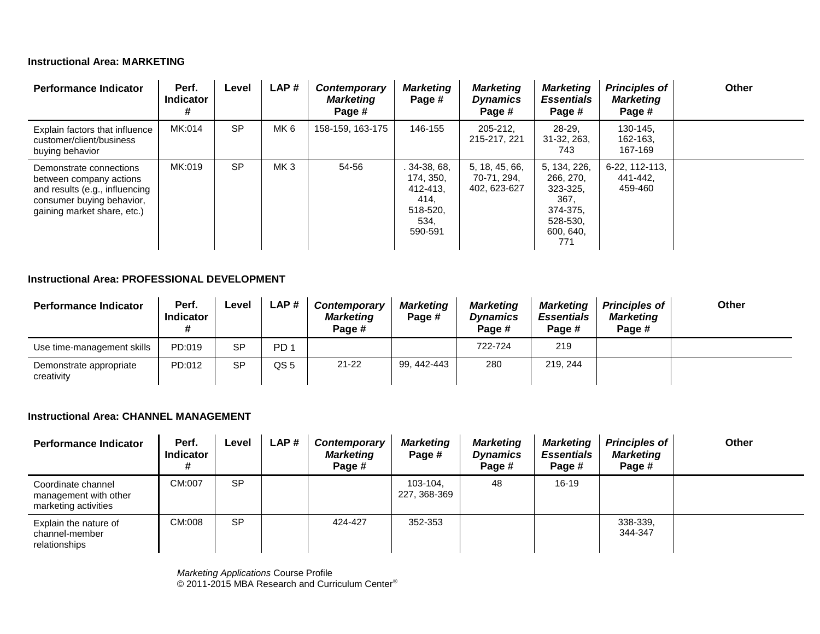#### **Instructional Area: MARKETING**

| <b>Performance Indicator</b>                                                                                                                     | Perf.<br><b>Indicator</b><br># | Level     | LAP#            | Contemporary<br><b>Marketing</b><br>Page # | <b>Marketing</b><br>Page #                                                   | <b>Marketing</b><br><b>Dynamics</b><br>Page # | <b>Marketing</b><br><b>Essentials</b><br>Page #                                           | <b>Principles of</b><br><b>Marketing</b><br>Page # | Other |
|--------------------------------------------------------------------------------------------------------------------------------------------------|--------------------------------|-----------|-----------------|--------------------------------------------|------------------------------------------------------------------------------|-----------------------------------------------|-------------------------------------------------------------------------------------------|----------------------------------------------------|-------|
| Explain factors that influence<br>customer/client/business<br>buying behavior                                                                    | MK:014                         | <b>SP</b> | MK <sub>6</sub> | 158-159, 163-175                           | 146-155                                                                      | $205 - 212$<br>215-217, 221                   | $28-29.$<br>31-32, 263,<br>743                                                            | 130-145,<br>162-163,<br>167-169                    |       |
| Demonstrate connections<br>between company actions<br>and results (e.g., influencing<br>consumer buying behavior,<br>gaining market share, etc.) | MK:019                         | <b>SP</b> | MK <sub>3</sub> | 54-56                                      | $.34-38,68,$<br>174, 350,<br>412-413.<br>414,<br>518-520,<br>534,<br>590-591 | 5, 18, 45, 66,<br>70-71, 294.<br>402, 623-627 | 5, 134, 226,<br>266, 270,<br>323-325,<br>367,<br>374-375,<br>528-530,<br>600, 640,<br>771 | 6-22, 112-113,<br>441-442.<br>459-460              |       |

#### **Instructional Area: PROFESSIONAL DEVELOPMENT**

| <b>Performance Indicator</b>          | Perf.<br><b>Indicator</b> | Level     | LAP #           | <b>Contemporary</b><br><b>Marketing</b><br>Page # | <b>Marketing</b><br>Page # | <b>Marketing</b><br><b>Dynamics</b><br>Page # | <b>Marketing</b><br><b>Essentials</b><br>Page # | <b>Principles of</b><br><b>Marketing</b><br>Page # | <b>Other</b> |
|---------------------------------------|---------------------------|-----------|-----------------|---------------------------------------------------|----------------------------|-----------------------------------------------|-------------------------------------------------|----------------------------------------------------|--------------|
| Use time-management skills            | PD:019                    | <b>SP</b> | PD <sub>1</sub> |                                                   |                            | 722-724                                       | 219                                             |                                                    |              |
| Demonstrate appropriate<br>creativity | PD:012                    | <b>SP</b> | QS <sub>5</sub> | $21 - 22$                                         | 99.442-443                 | 280                                           | 219, 244                                        |                                                    |              |

#### **Instructional Area: CHANNEL MANAGEMENT**

| <b>Performance Indicator</b>                                        | Perf.<br><b>Indicator</b> | Level     | LAP# | Contemporary<br><b>Marketing</b><br>Page # | <b>Marketing</b><br>Page # | <b>Marketing</b><br><b>Dynamics</b><br>Page # | <b>Marketing</b><br><b>Essentials</b><br>Page # | <b>Principles of</b><br><b>Marketing</b><br>Page # | <b>Other</b> |
|---------------------------------------------------------------------|---------------------------|-----------|------|--------------------------------------------|----------------------------|-----------------------------------------------|-------------------------------------------------|----------------------------------------------------|--------------|
| Coordinate channel<br>management with other<br>marketing activities | CM:007                    | <b>SP</b> |      |                                            | 103-104.<br>227, 368-369   | 48                                            | $16-19$                                         |                                                    |              |
| Explain the nature of<br>channel-member<br>relationships            | CM:008                    | <b>SP</b> |      | 424-427                                    | 352-353                    |                                               |                                                 | 338-339.<br>344-347                                |              |

*Marketing Applications* Course Profile © 2011-2015 MBA Research and Curriculum Center®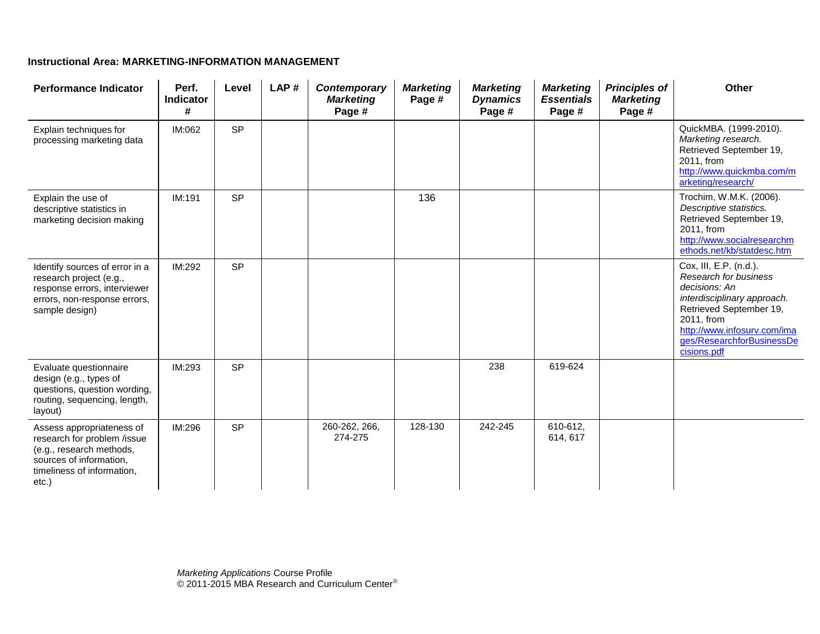#### **Instructional Area: MARKETING-INFORMATION MANAGEMENT**

| <b>Performance Indicator</b>                                                                                                                              | Perf.<br><b>Indicator</b><br># | Level     | LAP# | Contemporary<br><b>Marketing</b><br>Page # | <b>Marketing</b><br>Page # | <b>Marketing</b><br><b>Dynamics</b><br>Page # | <b>Marketing</b><br><b>Essentials</b><br>Page # | <b>Principles of</b><br><b>Marketing</b><br>Page # | Other                                                                                                                                                                                                                      |
|-----------------------------------------------------------------------------------------------------------------------------------------------------------|--------------------------------|-----------|------|--------------------------------------------|----------------------------|-----------------------------------------------|-------------------------------------------------|----------------------------------------------------|----------------------------------------------------------------------------------------------------------------------------------------------------------------------------------------------------------------------------|
| Explain techniques for<br>processing marketing data                                                                                                       | IM:062                         | <b>SP</b> |      |                                            |                            |                                               |                                                 |                                                    | QuickMBA. (1999-2010).<br>Marketing research.<br>Retrieved September 19,<br>2011, from<br>http://www.quickmba.com/m<br>arketing/research/                                                                                  |
| Explain the use of<br>descriptive statistics in<br>marketing decision making                                                                              | IM:191                         | <b>SP</b> |      |                                            | 136                        |                                               |                                                 |                                                    | Trochim, W.M.K. (2006).<br>Descriptive statistics.<br>Retrieved September 19,<br>2011, from<br>http://www.socialresearchm<br>ethods.net/kb/statdesc.htm                                                                    |
| Identify sources of error in a<br>research project (e.g.,<br>response errors, interviewer<br>errors, non-response errors,<br>sample design)               | IM:292                         | <b>SP</b> |      |                                            |                            |                                               |                                                 |                                                    | Cox, III, E.P. (n.d.).<br><b>Research for business</b><br>decisions: An<br>interdisciplinary approach.<br>Retrieved September 19,<br>2011, from<br>http://www.infosurv.com/ima<br>ges/ResearchforBusinessDe<br>cisions.pdf |
| Evaluate questionnaire<br>design (e.g., types of<br>questions, question wording,<br>routing, sequencing, length,<br>layout)                               | IM:293                         | <b>SP</b> |      |                                            |                            | 238                                           | 619-624                                         |                                                    |                                                                                                                                                                                                                            |
| Assess appropriateness of<br>research for problem /issue<br>(e.g., research methods,<br>sources of information,<br>timeliness of information,<br>$etc.$ ) | IM:296                         | <b>SP</b> |      | 260-262, 266,<br>274-275                   | 128-130                    | 242-245                                       | 610-612,<br>614, 617                            |                                                    |                                                                                                                                                                                                                            |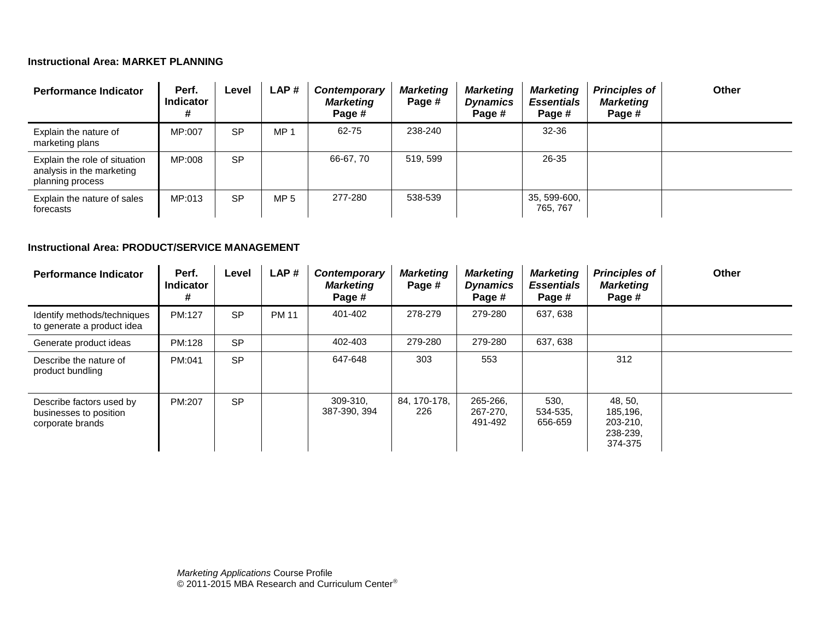#### **Instructional Area: MARKET PLANNING**

| <b>Performance Indicator</b>                                                   | Perf.<br><b>Indicator</b><br># | Level     | LAP#            | <b>Contemporary</b><br><b>Marketing</b><br>Page # | <b>Marketing</b><br>Page # | <b>Marketing</b><br><b>Dynamics</b><br>Page # | <b>Marketing</b><br><b>Essentials</b><br>Page # | <b>Principles of</b><br><b>Marketing</b><br>Page # | Other |
|--------------------------------------------------------------------------------|--------------------------------|-----------|-----------------|---------------------------------------------------|----------------------------|-----------------------------------------------|-------------------------------------------------|----------------------------------------------------|-------|
| Explain the nature of<br>marketing plans                                       | MP:007                         | <b>SP</b> | MP <sub>1</sub> | 62-75                                             | 238-240                    |                                               | $32 - 36$                                       |                                                    |       |
| Explain the role of situation<br>analysis in the marketing<br>planning process | MP:008                         | <b>SP</b> |                 | 66-67, 70                                         | 519, 599                   |                                               | 26-35                                           |                                                    |       |
| Explain the nature of sales<br>forecasts                                       | MP:013                         | <b>SP</b> | MP <sub>5</sub> | 277-280                                           | 538-539                    |                                               | 35, 599-600,<br>765, 767                        |                                                    |       |

#### **Instructional Area: PRODUCT/SERVICE MANAGEMENT**

| <b>Performance Indicator</b>                                           | Perf.<br><b>Indicator</b><br># | Level     | LAP#         | Contemporary<br><b>Marketing</b><br>Page # | <b>Marketing</b><br>Page # | <b>Marketing</b><br><b>Dynamics</b><br>Page # | <b>Marketing</b><br><b>Essentials</b><br>Page # | <b>Principles of</b><br><b>Marketing</b><br>Page #     | Other |
|------------------------------------------------------------------------|--------------------------------|-----------|--------------|--------------------------------------------|----------------------------|-----------------------------------------------|-------------------------------------------------|--------------------------------------------------------|-------|
| Identify methods/techniques<br>to generate a product idea              | PM:127                         | <b>SP</b> | <b>PM 11</b> | 401-402                                    | 278-279                    | 279-280                                       | 637, 638                                        |                                                        |       |
| Generate product ideas                                                 | PM:128                         | <b>SP</b> |              | 402-403                                    | 279-280                    | 279-280                                       | 637, 638                                        |                                                        |       |
| Describe the nature of<br>product bundling                             | PM:041                         | <b>SP</b> |              | 647-648                                    | 303                        | 553                                           |                                                 | 312                                                    |       |
| Describe factors used by<br>businesses to position<br>corporate brands | PM:207                         | <b>SP</b> |              | 309-310,<br>387-390, 394                   | 84, 170-178,<br>226        | 265-266,<br>267-270,<br>491-492               | 530,<br>534-535,<br>656-659                     | 48, 50,<br>185,196,<br>203-210,<br>238-239,<br>374-375 |       |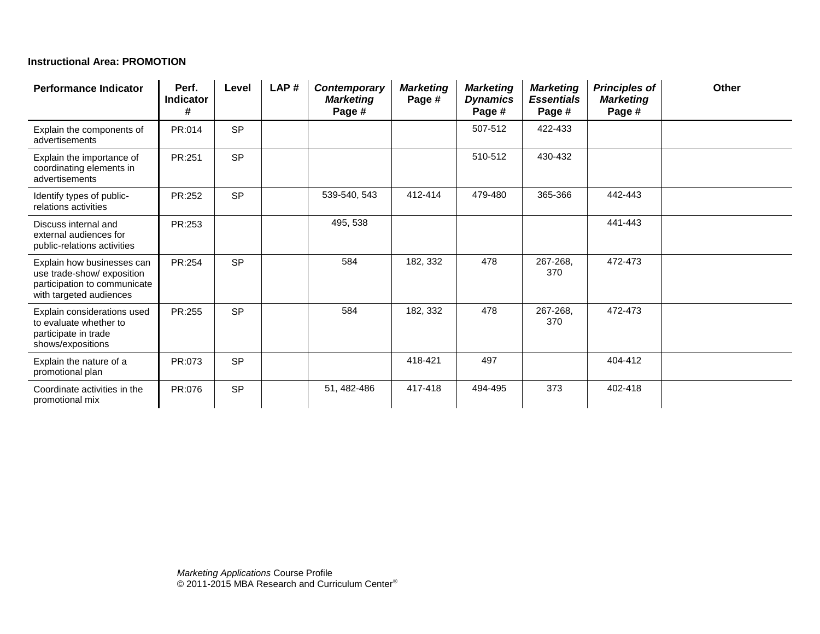#### **Instructional Area: PROMOTION**

| <b>Performance Indicator</b>                                                                                        | Perf.<br><b>Indicator</b><br># | Level     | LAP# | Contemporary<br><b>Marketing</b><br>Page # | <b>Marketing</b><br>Page # | <b>Marketing</b><br><b>Dynamics</b><br>Page # | <b>Marketing</b><br><b>Essentials</b><br>Page # | <b>Principles of</b><br><b>Marketing</b><br>Page # | <b>Other</b> |
|---------------------------------------------------------------------------------------------------------------------|--------------------------------|-----------|------|--------------------------------------------|----------------------------|-----------------------------------------------|-------------------------------------------------|----------------------------------------------------|--------------|
| Explain the components of<br>advertisements                                                                         | PR:014                         | <b>SP</b> |      |                                            |                            | 507-512                                       | 422-433                                         |                                                    |              |
| Explain the importance of<br>coordinating elements in<br>advertisements                                             | PR:251                         | <b>SP</b> |      |                                            |                            | 510-512                                       | 430-432                                         |                                                    |              |
| Identify types of public-<br>relations activities                                                                   | PR:252                         | <b>SP</b> |      | 539-540, 543                               | 412-414                    | 479-480                                       | 365-366                                         | 442-443                                            |              |
| Discuss internal and<br>external audiences for<br>public-relations activities                                       | PR:253                         |           |      | 495, 538                                   |                            |                                               |                                                 | 441-443                                            |              |
| Explain how businesses can<br>use trade-show/ exposition<br>participation to communicate<br>with targeted audiences | PR:254                         | <b>SP</b> |      | 584                                        | 182, 332                   | 478                                           | 267-268,<br>370                                 | 472-473                                            |              |
| Explain considerations used<br>to evaluate whether to<br>participate in trade<br>shows/expositions                  | PR:255                         | <b>SP</b> |      | 584                                        | 182, 332                   | 478                                           | 267-268,<br>370                                 | 472-473                                            |              |
| Explain the nature of a<br>promotional plan                                                                         | PR:073                         | <b>SP</b> |      |                                            | 418-421                    | 497                                           |                                                 | 404-412                                            |              |
| Coordinate activities in the<br>promotional mix                                                                     | PR:076                         | <b>SP</b> |      | 51, 482-486                                | 417-418                    | 494-495                                       | 373                                             | 402-418                                            |              |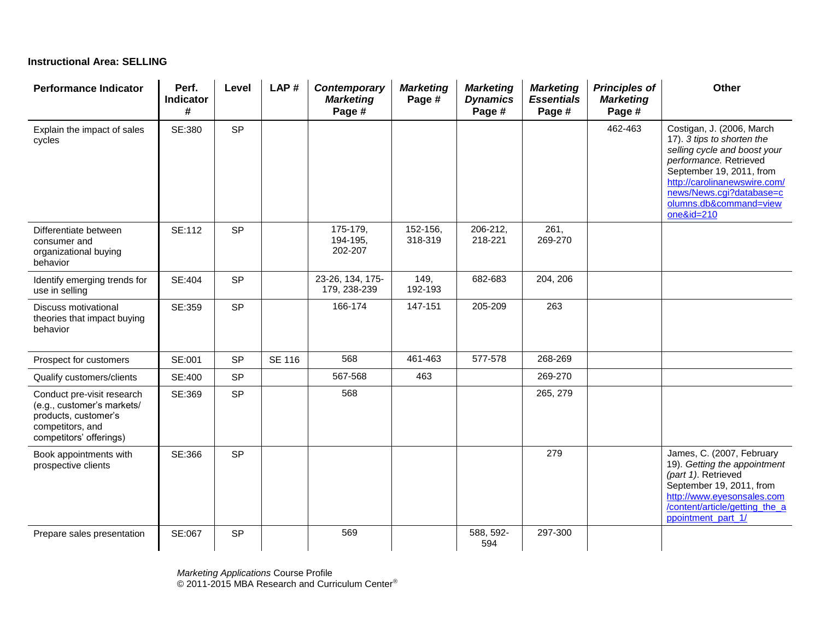#### **Instructional Area: SELLING**

| <b>Performance Indicator</b>                                                                                                    | Perf.<br>Indicator<br># | Level     | LAP#          | Contemporary<br><b>Marketing</b><br>Page # | <b>Marketing</b><br>Page # | <b>Marketing</b><br><b>Dynamics</b><br>Page # | <b>Marketing</b><br><b>Essentials</b><br>Page # | <b>Principles of</b><br><b>Marketing</b><br>Page # | <b>Other</b>                                                                                                                                                                                                                                         |
|---------------------------------------------------------------------------------------------------------------------------------|-------------------------|-----------|---------------|--------------------------------------------|----------------------------|-----------------------------------------------|-------------------------------------------------|----------------------------------------------------|------------------------------------------------------------------------------------------------------------------------------------------------------------------------------------------------------------------------------------------------------|
| Explain the impact of sales<br>cycles                                                                                           | SE:380                  | <b>SP</b> |               |                                            |                            |                                               |                                                 | 462-463                                            | Costigan, J. (2006, March<br>17). 3 tips to shorten the<br>selling cycle and boost your<br>performance. Retrieved<br>September 19, 2011, from<br>http://carolinanewswire.com/<br>news/News.cgi?database=c<br>olumns.db&command=view<br>$one$ &id=210 |
| Differentiate between<br>consumer and<br>organizational buying<br>behavior                                                      | SE:112                  | SP        |               | 175-179,<br>194-195,<br>202-207            | 152-156,<br>318-319        | 206-212,<br>218-221                           | 261,<br>269-270                                 |                                                    |                                                                                                                                                                                                                                                      |
| Identify emerging trends for<br>use in selling                                                                                  | SE:404                  | <b>SP</b> |               | 23-26, 134, 175-<br>179, 238-239           | 149,<br>192-193            | 682-683                                       | 204, 206                                        |                                                    |                                                                                                                                                                                                                                                      |
| Discuss motivational<br>theories that impact buying<br>behavior                                                                 | SE:359                  | SP        |               | 166-174                                    | 147-151                    | 205-209                                       | 263                                             |                                                    |                                                                                                                                                                                                                                                      |
| Prospect for customers                                                                                                          | SE:001                  | <b>SP</b> | <b>SE 116</b> | 568                                        | 461-463                    | 577-578                                       | 268-269                                         |                                                    |                                                                                                                                                                                                                                                      |
| Qualify customers/clients                                                                                                       | SE:400                  | <b>SP</b> |               | 567-568                                    | 463                        |                                               | 269-270                                         |                                                    |                                                                                                                                                                                                                                                      |
| Conduct pre-visit research<br>(e.g., customer's markets/<br>products, customer's<br>competitors, and<br>competitors' offerings) | SE:369                  | <b>SP</b> |               | 568                                        |                            |                                               | 265, 279                                        |                                                    |                                                                                                                                                                                                                                                      |
| Book appointments with<br>prospective clients                                                                                   | SE:366                  | <b>SP</b> |               |                                            |                            |                                               | 279                                             |                                                    | James, C. (2007, February<br>19). Getting the appointment<br>(part 1). Retrieved<br>September 19, 2011, from<br>http://www.eyesonsales.com<br>content/article/getting the a<br>ppointment part 1/                                                    |
| Prepare sales presentation                                                                                                      | SE:067                  | <b>SP</b> |               | 569                                        |                            | 588, 592-<br>594                              | 297-300                                         |                                                    |                                                                                                                                                                                                                                                      |

*Marketing Applications* Course Profile © 2011-2015 MBA Research and Curriculum Center®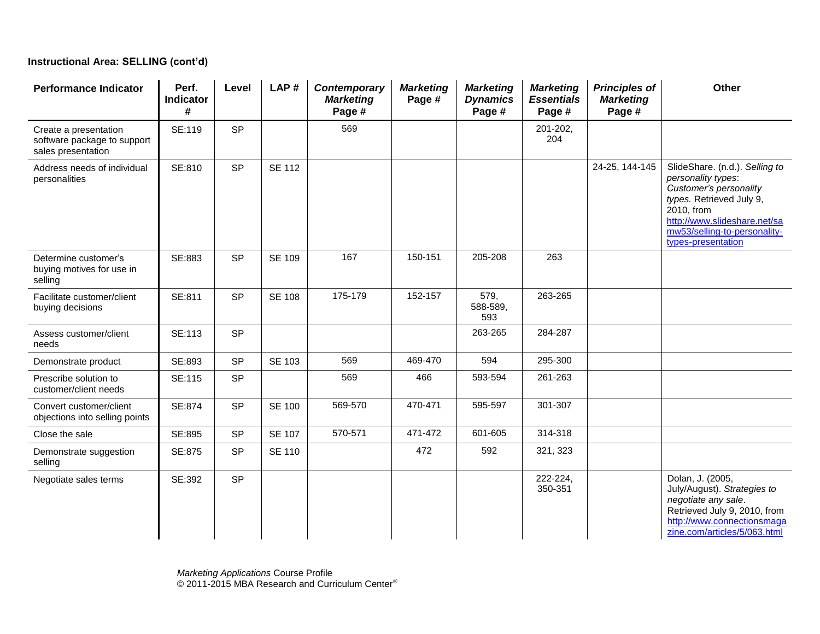#### **Instructional Area: SELLING (cont'd)**

| <b>Performance Indicator</b>                                               | Perf.<br><b>Indicator</b><br># | Level     | LAP#          | Contemporary<br><b>Marketing</b><br>Page # | <b>Marketing</b><br>Page # | <b>Marketing</b><br><b>Dynamics</b><br>Page # | <b>Marketing</b><br><b>Essentials</b><br>Page # | <b>Principles of</b><br><b>Marketing</b><br>Page # | <b>Other</b>                                                                                                                                                                                                   |
|----------------------------------------------------------------------------|--------------------------------|-----------|---------------|--------------------------------------------|----------------------------|-----------------------------------------------|-------------------------------------------------|----------------------------------------------------|----------------------------------------------------------------------------------------------------------------------------------------------------------------------------------------------------------------|
| Create a presentation<br>software package to support<br>sales presentation | SE:119                         | <b>SP</b> |               | 569                                        |                            |                                               | 201-202,<br>204                                 |                                                    |                                                                                                                                                                                                                |
| Address needs of individual<br>personalities                               | SE:810                         | <b>SP</b> | <b>SE 112</b> |                                            |                            |                                               |                                                 | 24-25, 144-145                                     | SlideShare. (n.d.). Selling to<br>personality types:<br>Customer's personality<br>types. Retrieved July 9,<br>2010, from<br>http://www.slideshare.net/sa<br>mw53/selling-to-personality-<br>types-presentation |
| Determine customer's<br>buying motives for use in<br>selling               | SE:883                         | <b>SP</b> | <b>SE 109</b> | 167                                        | 150-151                    | 205-208                                       | 263                                             |                                                    |                                                                                                                                                                                                                |
| Facilitate customer/client<br>buying decisions                             | SE:811                         | <b>SP</b> | <b>SE 108</b> | 175-179                                    | 152-157                    | 579,<br>588-589,<br>593                       | 263-265                                         |                                                    |                                                                                                                                                                                                                |
| Assess customer/client<br>needs                                            | SE:113                         | SP        |               |                                            |                            | 263-265                                       | 284-287                                         |                                                    |                                                                                                                                                                                                                |
| Demonstrate product                                                        | SE:893                         | <b>SP</b> | <b>SE 103</b> | 569                                        | 469-470                    | 594                                           | 295-300                                         |                                                    |                                                                                                                                                                                                                |
| Prescribe solution to<br>customer/client needs                             | SE:115                         | <b>SP</b> |               | 569                                        | 466                        | 593-594                                       | 261-263                                         |                                                    |                                                                                                                                                                                                                |
| Convert customer/client<br>objections into selling points                  | SE:874                         | <b>SP</b> | <b>SE 100</b> | 569-570                                    | 470-471                    | 595-597                                       | 301-307                                         |                                                    |                                                                                                                                                                                                                |
| Close the sale                                                             | SE:895                         | <b>SP</b> | <b>SE 107</b> | 570-571                                    | 471-472                    | 601-605                                       | 314-318                                         |                                                    |                                                                                                                                                                                                                |
| Demonstrate suggestion<br>selling                                          | SE:875                         | <b>SP</b> | <b>SE 110</b> |                                            | 472                        | 592                                           | 321, 323                                        |                                                    |                                                                                                                                                                                                                |
| Negotiate sales terms                                                      | SE:392                         | <b>SP</b> |               |                                            |                            |                                               | 222-224.<br>350-351                             |                                                    | Dolan, J. (2005,<br>July/August). Strategies to<br>negotiate any sale.<br>Retrieved July 9, 2010, from<br>http://www.connectionsmaga<br>zine.com/articles/5/063.html                                           |